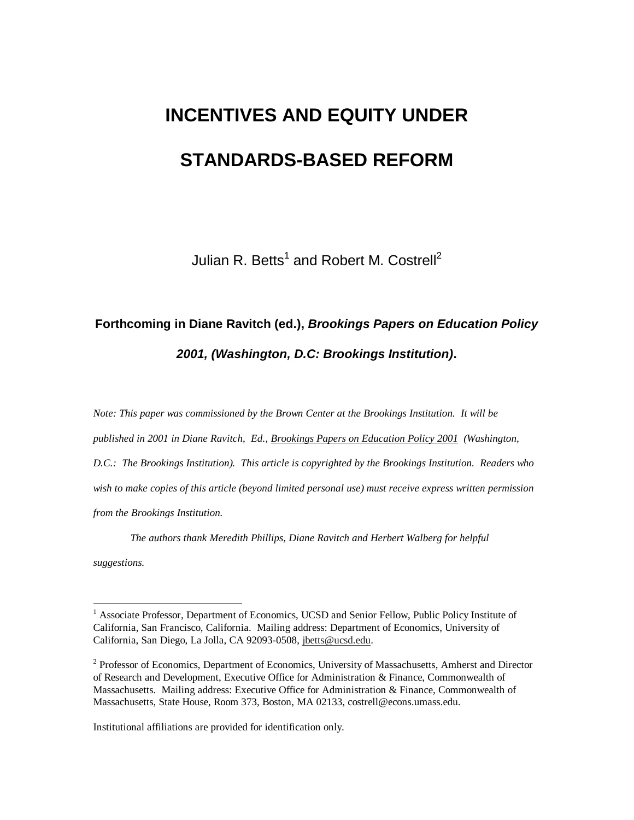# **INCENTIVES AND EQUITY UNDER STANDARDS-BASED REFORM**

Julian R. Betts<sup>1</sup> and Robert M. Costrell<sup>2</sup>

# **Forthcoming in Diane Ravitch (ed.),** *Brookings Papers on Education Policy 2001, (Washington, D.C: Brookings Institution)***.**

*Note: This paper was commissioned by the Brown Center at the Brookings Institution. It will be published in 2001 in Diane Ravitch, Ed., Brookings Papers on Education Policy 2001 (Washington, D.C.: The Brookings Institution). This article is copyrighted by the Brookings Institution. Readers who wish to make copies of this article (beyond limited personal use) must receive express written permission from the Brookings Institution.* 

 *The authors thank Meredith Phillips, Diane Ravitch and Herbert Walberg for helpful suggestions.* 

Institutional affiliations are provided for identification only.

 $\overline{a}$ 

<sup>&</sup>lt;sup>1</sup> Associate Professor, Department of Economics, UCSD and Senior Fellow, Public Policy Institute of California, San Francisco, California. Mailing address: Department of Economics, University of California, San Diego, La Jolla, CA 92093-0508, jbetts@ucsd.edu.

<sup>&</sup>lt;sup>2</sup> Professor of Economics, Department of Economics, University of Massachusetts, Amherst and Director of Research and Development, Executive Office for Administration & Finance, Commonwealth of Massachusetts. Mailing address: Executive Office for Administration & Finance, Commonwealth of Massachusetts, State House, Room 373, Boston, MA 02133, costrell@econs.umass.edu.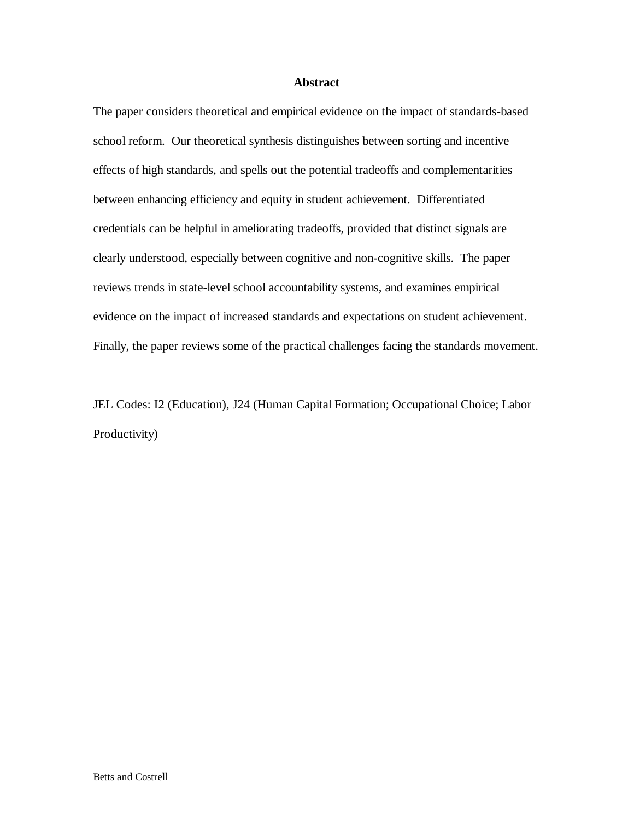## **Abstract**

The paper considers theoretical and empirical evidence on the impact of standards-based school reform. Our theoretical synthesis distinguishes between sorting and incentive effects of high standards, and spells out the potential tradeoffs and complementarities between enhancing efficiency and equity in student achievement. Differentiated credentials can be helpful in ameliorating tradeoffs, provided that distinct signals are clearly understood, especially between cognitive and non-cognitive skills. The paper reviews trends in state-level school accountability systems, and examines empirical evidence on the impact of increased standards and expectations on student achievement. Finally, the paper reviews some of the practical challenges facing the standards movement.

JEL Codes: I2 (Education), J24 (Human Capital Formation; Occupational Choice; Labor Productivity)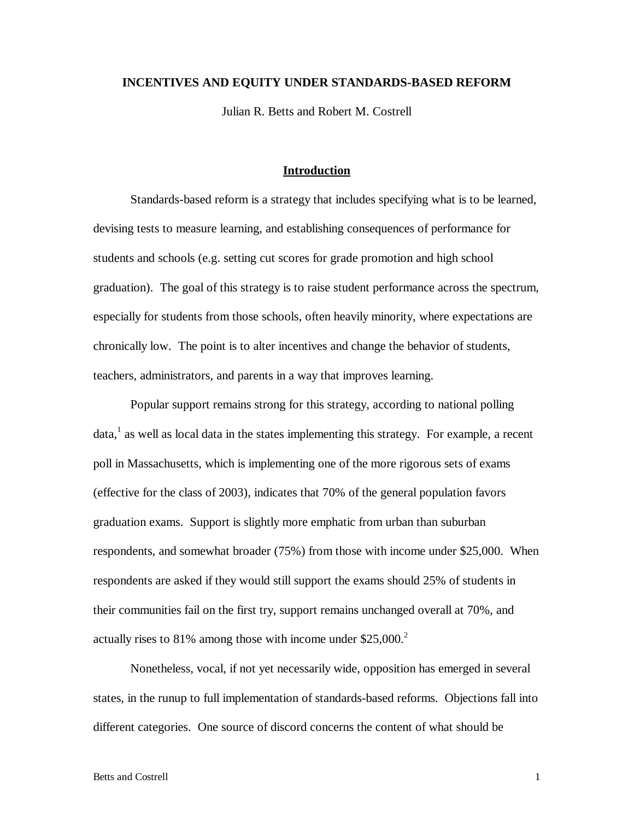# **INCENTIVES AND EQUITY UNDER STANDARDS-BASED REFORM**

Julian R. Betts and Robert M. Costrell

# **Introduction**

 Standards-based reform is a strategy that includes specifying what is to be learned, devising tests to measure learning, and establishing consequences of performance for students and schools (e.g. setting cut scores for grade promotion and high school graduation). The goal of this strategy is to raise student performance across the spectrum, especially for students from those schools, often heavily minority, where expectations are chronically low. The point is to alter incentives and change the behavior of students, teachers, administrators, and parents in a way that improves learning.

 Popular support remains strong for this strategy, according to national polling data, $<sup>1</sup>$  as well as local data in the states implementing this strategy. For example, a recent</sup> poll in Massachusetts, which is implementing one of the more rigorous sets of exams (effective for the class of 2003), indicates that 70% of the general population favors graduation exams. Support is slightly more emphatic from urban than suburban respondents, and somewhat broader (75%) from those with income under \$25,000. When respondents are asked if they would still support the exams should 25% of students in their communities fail on the first try, support remains unchanged overall at 70%, and actually rises to 81% among those with income under  $$25,000.<sup>2</sup>$ 

 Nonetheless, vocal, if not yet necessarily wide, opposition has emerged in several states, in the runup to full implementation of standards-based reforms. Objections fall into different categories. One source of discord concerns the content of what should be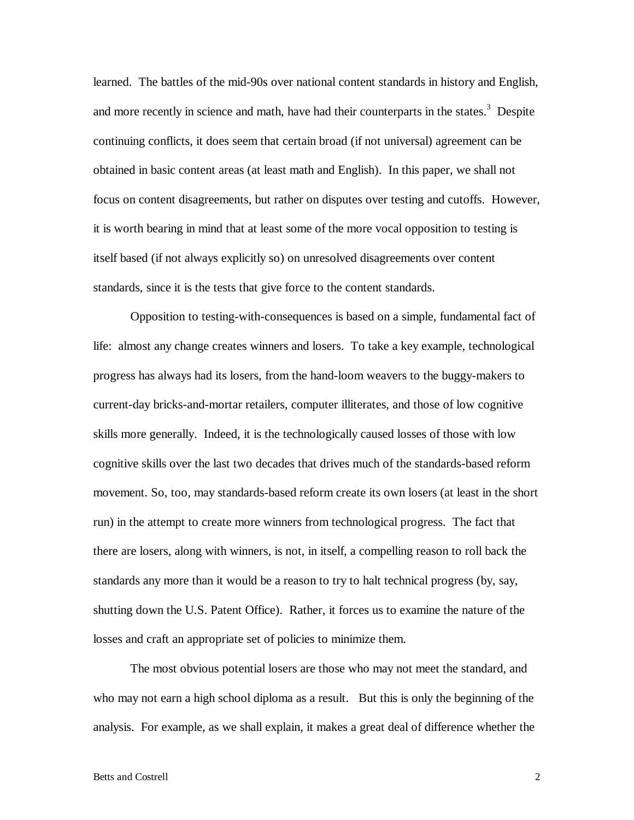learned. The battles of the mid-90s over national content standards in history and English, and more recently in science and math, have had their counterparts in the states.<sup>3</sup> Despite continuing conflicts, it does seem that certain broad (if not universal) agreement can be obtained in basic content areas (at least math and English). In this paper, we shall not focus on content disagreements, but rather on disputes over testing and cutoffs. However, it is worth bearing in mind that at least some of the more vocal opposition to testing is itself based (if not always explicitly so) on unresolved disagreements over content standards, since it is the tests that give force to the content standards.

 Opposition to testing-with-consequences is based on a simple, fundamental fact of life: almost any change creates winners and losers. To take a key example, technological progress has always had its losers, from the hand-loom weavers to the buggy-makers to current-day bricks-and-mortar retailers, computer illiterates, and those of low cognitive skills more generally. Indeed, it is the technologically caused losses of those with low cognitive skills over the last two decades that drives much of the standards-based reform movement. So, too, may standards-based reform create its own losers (at least in the short run) in the attempt to create more winners from technological progress. The fact that there are losers, along with winners, is not, in itself, a compelling reason to roll back the standards any more than it would be a reason to try to halt technical progress (by, say, shutting down the U.S. Patent Office). Rather, it forces us to examine the nature of the losses and craft an appropriate set of policies to minimize them.

 The most obvious potential losers are those who may not meet the standard, and who may not earn a high school diploma as a result. But this is only the beginning of the analysis. For example, as we shall explain, it makes a great deal of difference whether the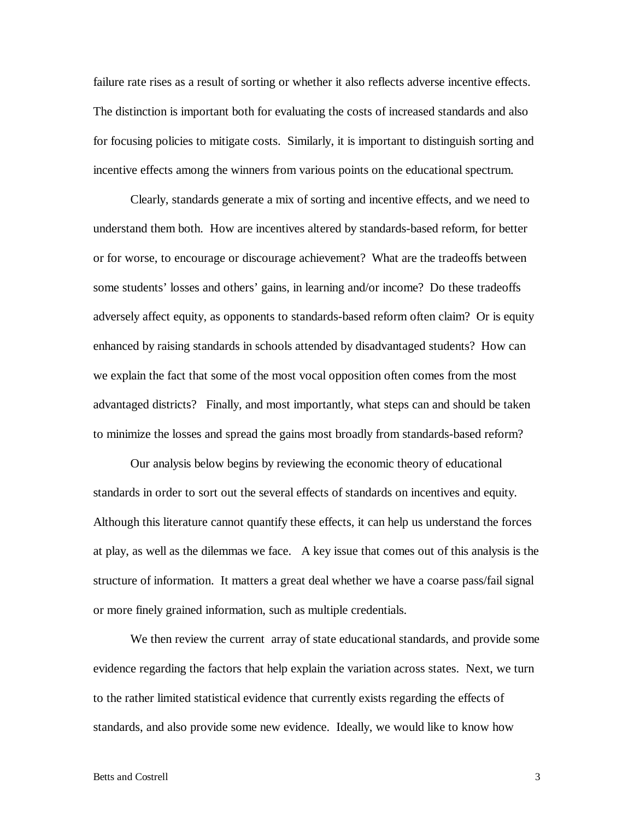failure rate rises as a result of sorting or whether it also reflects adverse incentive effects. The distinction is important both for evaluating the costs of increased standards and also for focusing policies to mitigate costs. Similarly, it is important to distinguish sorting and incentive effects among the winners from various points on the educational spectrum.

 Clearly, standards generate a mix of sorting and incentive effects, and we need to understand them both. How are incentives altered by standards-based reform, for better or for worse, to encourage or discourage achievement? What are the tradeoffs between some students' losses and others' gains, in learning and/or income? Do these tradeoffs adversely affect equity, as opponents to standards-based reform often claim? Or is equity enhanced by raising standards in schools attended by disadvantaged students? How can we explain the fact that some of the most vocal opposition often comes from the most advantaged districts? Finally, and most importantly, what steps can and should be taken to minimize the losses and spread the gains most broadly from standards-based reform?

 Our analysis below begins by reviewing the economic theory of educational standards in order to sort out the several effects of standards on incentives and equity. Although this literature cannot quantify these effects, it can help us understand the forces at play, as well as the dilemmas we face. A key issue that comes out of this analysis is the structure of information. It matters a great deal whether we have a coarse pass/fail signal or more finely grained information, such as multiple credentials.

We then review the current array of state educational standards, and provide some evidence regarding the factors that help explain the variation across states. Next, we turn to the rather limited statistical evidence that currently exists regarding the effects of standards, and also provide some new evidence. Ideally, we would like to know how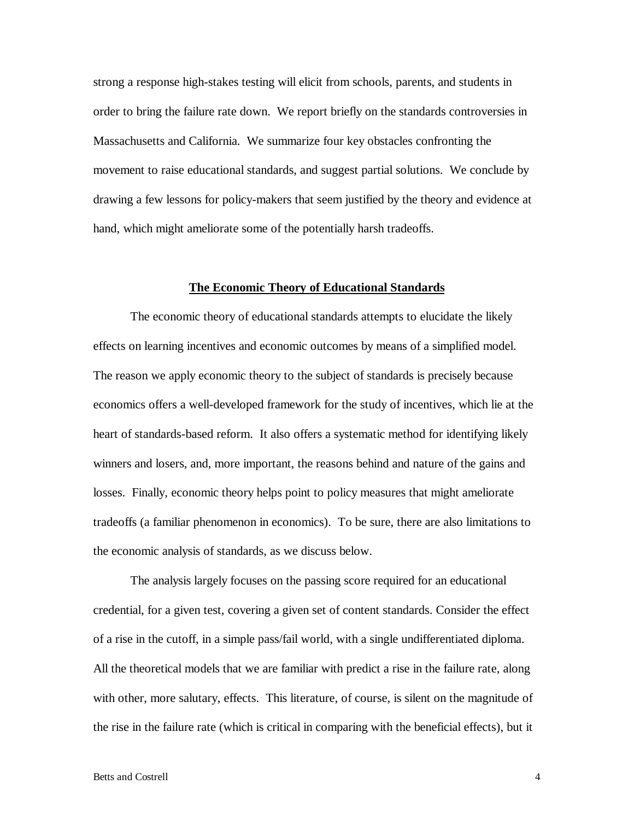strong a response high-stakes testing will elicit from schools, parents, and students in order to bring the failure rate down. We report briefly on the standards controversies in Massachusetts and California. We summarize four key obstacles confronting the movement to raise educational standards, and suggest partial solutions. We conclude by drawing a few lessons for policy-makers that seem justified by the theory and evidence at hand, which might ameliorate some of the potentially harsh tradeoffs.

### **The Economic Theory of Educational Standards**

 The economic theory of educational standards attempts to elucidate the likely effects on learning incentives and economic outcomes by means of a simplified model. The reason we apply economic theory to the subject of standards is precisely because economics offers a well-developed framework for the study of incentives, which lie at the heart of standards-based reform. It also offers a systematic method for identifying likely winners and losers, and, more important, the reasons behind and nature of the gains and losses. Finally, economic theory helps point to policy measures that might ameliorate tradeoffs (a familiar phenomenon in economics). To be sure, there are also limitations to the economic analysis of standards, as we discuss below.

 The analysis largely focuses on the passing score required for an educational credential, for a given test, covering a given set of content standards. Consider the effect of a rise in the cutoff, in a simple pass/fail world, with a single undifferentiated diploma. All the theoretical models that we are familiar with predict a rise in the failure rate, along with other, more salutary, effects. This literature, of course, is silent on the magnitude of the rise in the failure rate (which is critical in comparing with the beneficial effects), but it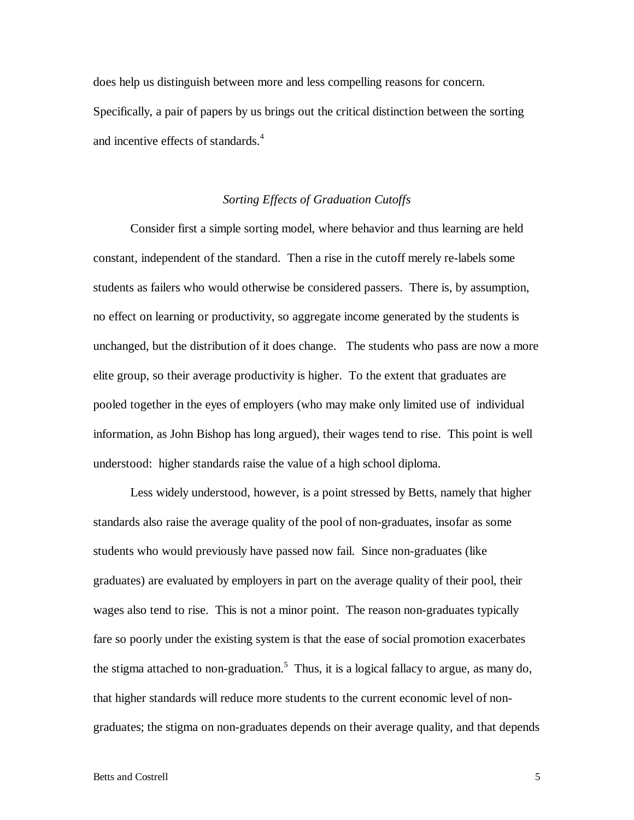does help us distinguish between more and less compelling reasons for concern. Specifically, a pair of papers by us brings out the critical distinction between the sorting and incentive effects of standards.<sup>4</sup>

# *Sorting Effects of Graduation Cutoffs*

 Consider first a simple sorting model, where behavior and thus learning are held constant, independent of the standard. Then a rise in the cutoff merely re-labels some students as failers who would otherwise be considered passers. There is, by assumption, no effect on learning or productivity, so aggregate income generated by the students is unchanged, but the distribution of it does change. The students who pass are now a more elite group, so their average productivity is higher. To the extent that graduates are pooled together in the eyes of employers (who may make only limited use of individual information, as John Bishop has long argued), their wages tend to rise. This point is well understood: higher standards raise the value of a high school diploma.

 Less widely understood, however, is a point stressed by Betts, namely that higher standards also raise the average quality of the pool of non-graduates, insofar as some students who would previously have passed now fail. Since non-graduates (like graduates) are evaluated by employers in part on the average quality of their pool, their wages also tend to rise. This is not a minor point. The reason non-graduates typically fare so poorly under the existing system is that the ease of social promotion exacerbates the stigma attached to non-graduation.<sup>5</sup> Thus, it is a logical fallacy to argue, as many do, that higher standards will reduce more students to the current economic level of nongraduates; the stigma on non-graduates depends on their average quality, and that depends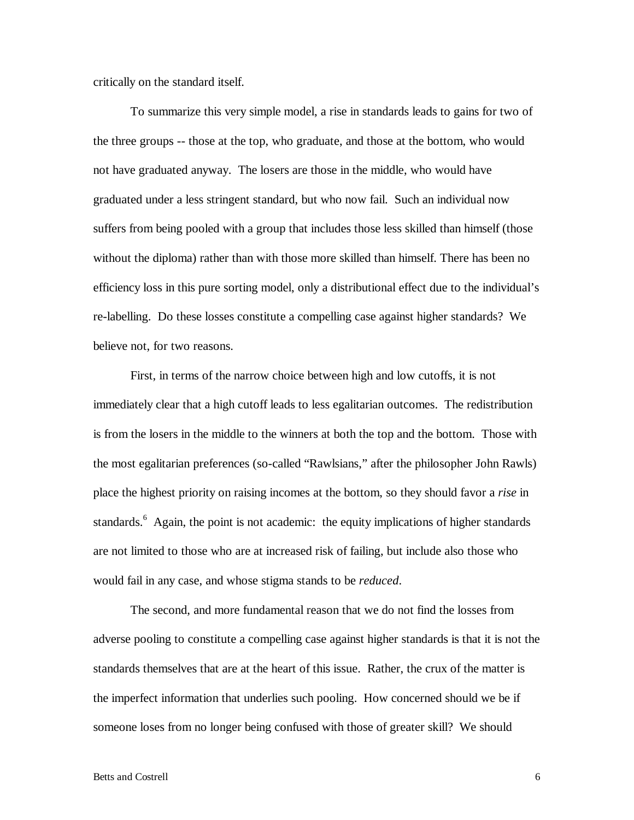critically on the standard itself.

 To summarize this very simple model, a rise in standards leads to gains for two of the three groups -- those at the top, who graduate, and those at the bottom, who would not have graduated anyway. The losers are those in the middle, who would have graduated under a less stringent standard, but who now fail. Such an individual now suffers from being pooled with a group that includes those less skilled than himself (those without the diploma) rather than with those more skilled than himself. There has been no efficiency loss in this pure sorting model, only a distributional effect due to the individual's re-labelling. Do these losses constitute a compelling case against higher standards? We believe not, for two reasons.

 First, in terms of the narrow choice between high and low cutoffs, it is not immediately clear that a high cutoff leads to less egalitarian outcomes. The redistribution is from the losers in the middle to the winners at both the top and the bottom. Those with the most egalitarian preferences (so-called "Rawlsians," after the philosopher John Rawls) place the highest priority on raising incomes at the bottom, so they should favor a *rise* in standards.<sup>6</sup> Again, the point is not academic: the equity implications of higher standards are not limited to those who are at increased risk of failing, but include also those who would fail in any case, and whose stigma stands to be *reduced*.

 The second, and more fundamental reason that we do not find the losses from adverse pooling to constitute a compelling case against higher standards is that it is not the standards themselves that are at the heart of this issue. Rather, the crux of the matter is the imperfect information that underlies such pooling. How concerned should we be if someone loses from no longer being confused with those of greater skill? We should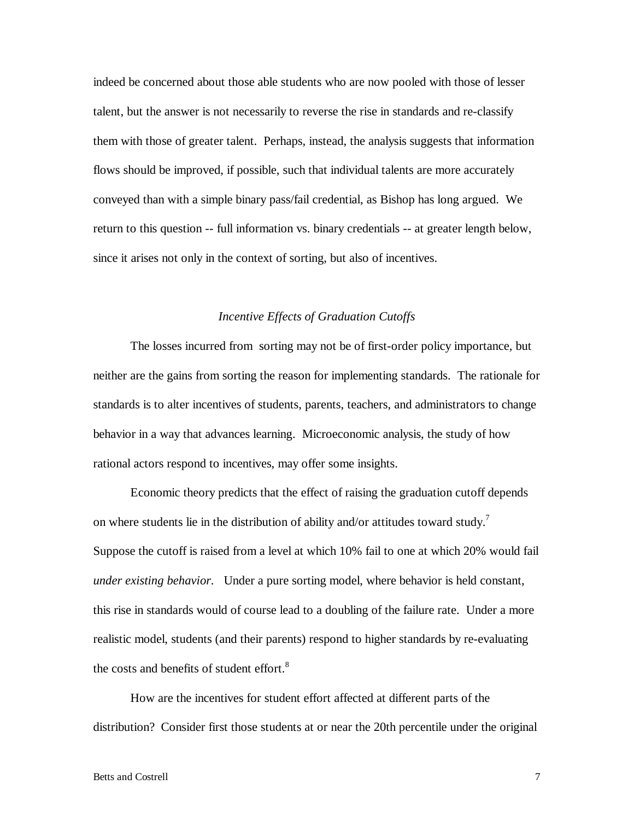indeed be concerned about those able students who are now pooled with those of lesser talent, but the answer is not necessarily to reverse the rise in standards and re-classify them with those of greater talent. Perhaps, instead, the analysis suggests that information flows should be improved, if possible, such that individual talents are more accurately conveyed than with a simple binary pass/fail credential, as Bishop has long argued. We return to this question -- full information vs. binary credentials -- at greater length below, since it arises not only in the context of sorting, but also of incentives.

#### *Incentive Effects of Graduation Cutoffs*

 The losses incurred from sorting may not be of first-order policy importance, but neither are the gains from sorting the reason for implementing standards. The rationale for standards is to alter incentives of students, parents, teachers, and administrators to change behavior in a way that advances learning. Microeconomic analysis, the study of how rational actors respond to incentives, may offer some insights.

 Economic theory predicts that the effect of raising the graduation cutoff depends on where students lie in the distribution of ability and/or attitudes toward study.<sup>7</sup> Suppose the cutoff is raised from a level at which 10% fail to one at which 20% would fail *under existing behavior*. Under a pure sorting model, where behavior is held constant, this rise in standards would of course lead to a doubling of the failure rate. Under a more realistic model, students (and their parents) respond to higher standards by re-evaluating the costs and benefits of student effort. $8<sup>8</sup>$ 

 How are the incentives for student effort affected at different parts of the distribution? Consider first those students at or near the 20th percentile under the original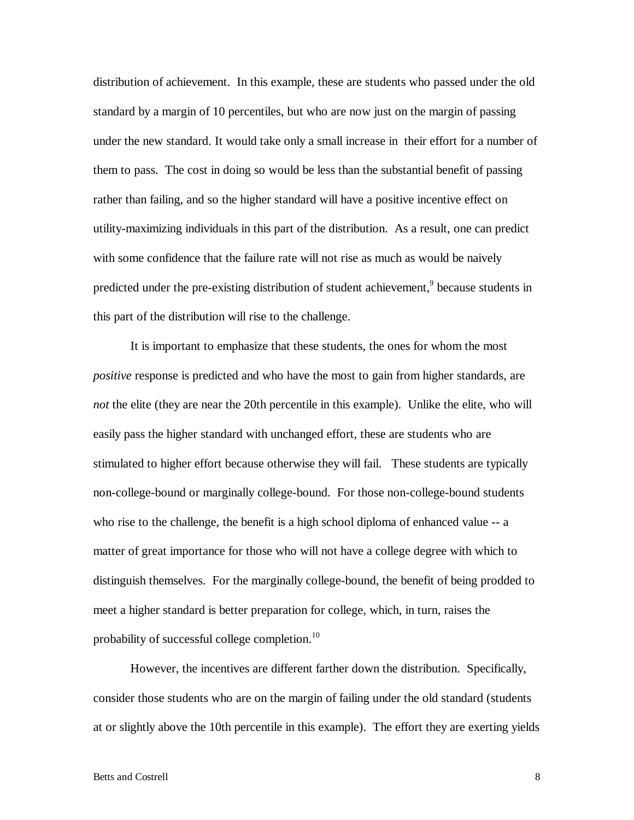distribution of achievement. In this example, these are students who passed under the old standard by a margin of 10 percentiles, but who are now just on the margin of passing under the new standard. It would take only a small increase in their effort for a number of them to pass. The cost in doing so would be less than the substantial benefit of passing rather than failing, and so the higher standard will have a positive incentive effect on utility-maximizing individuals in this part of the distribution. As a result, one can predict with some confidence that the failure rate will not rise as much as would be naively predicted under the pre-existing distribution of student achievement,<sup>9</sup> because students in this part of the distribution will rise to the challenge.

 It is important to emphasize that these students, the ones for whom the most *positive* response is predicted and who have the most to gain from higher standards, are *not* the elite (they are near the 20th percentile in this example). Unlike the elite, who will easily pass the higher standard with unchanged effort, these are students who are stimulated to higher effort because otherwise they will fail. These students are typically non-college-bound or marginally college-bound. For those non-college-bound students who rise to the challenge, the benefit is a high school diploma of enhanced value -- a matter of great importance for those who will not have a college degree with which to distinguish themselves. For the marginally college-bound, the benefit of being prodded to meet a higher standard is better preparation for college, which, in turn, raises the probability of successful college completion. $^{10}$ 

 However, the incentives are different farther down the distribution. Specifically, consider those students who are on the margin of failing under the old standard (students at or slightly above the 10th percentile in this example). The effort they are exerting yields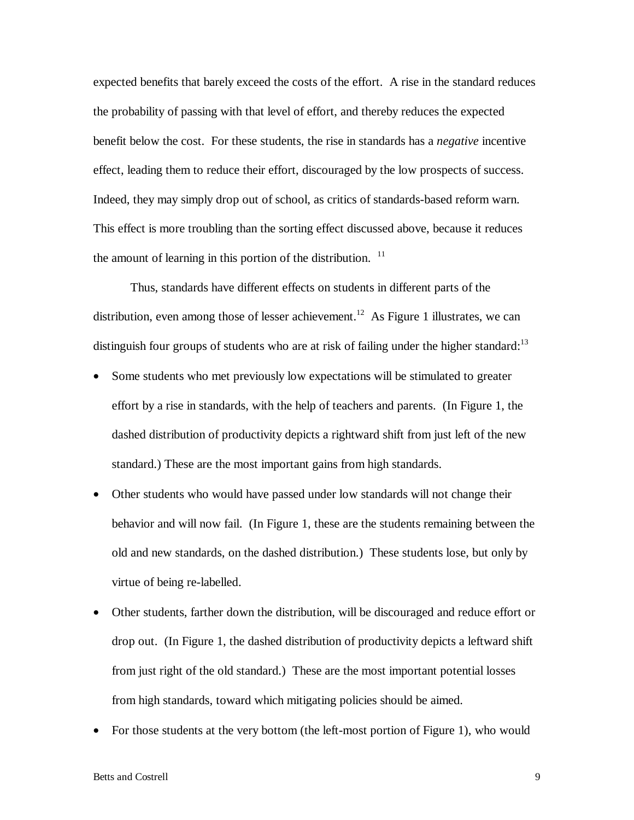expected benefits that barely exceed the costs of the effort. A rise in the standard reduces the probability of passing with that level of effort, and thereby reduces the expected benefit below the cost. For these students, the rise in standards has a *negative* incentive effect, leading them to reduce their effort, discouraged by the low prospects of success. Indeed, they may simply drop out of school, as critics of standards-based reform warn. This effect is more troubling than the sorting effect discussed above, because it reduces the amount of learning in this portion of the distribution.  $11$ 

 Thus, standards have different effects on students in different parts of the distribution, even among those of lesser achievement.<sup>12</sup> As Figure 1 illustrates, we can distinguish four groups of students who are at risk of failing under the higher standard: $13$ 

- Some students who met previously low expectations will be stimulated to greater effort by a rise in standards, with the help of teachers and parents. (In Figure 1, the dashed distribution of productivity depicts a rightward shift from just left of the new standard.) These are the most important gains from high standards.
- Other students who would have passed under low standards will not change their behavior and will now fail. (In Figure 1, these are the students remaining between the old and new standards, on the dashed distribution.) These students lose, but only by virtue of being re-labelled.
- Other students, farther down the distribution, will be discouraged and reduce effort or drop out. (In Figure 1, the dashed distribution of productivity depicts a leftward shift from just right of the old standard.) These are the most important potential losses from high standards, toward which mitigating policies should be aimed.
- For those students at the very bottom (the left-most portion of Figure 1), who would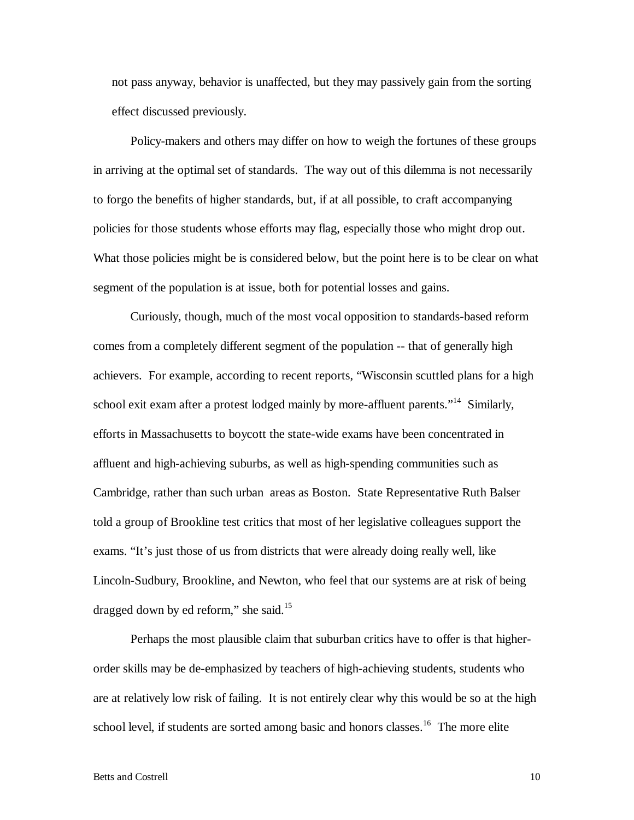not pass anyway, behavior is unaffected, but they may passively gain from the sorting effect discussed previously.

 Policy-makers and others may differ on how to weigh the fortunes of these groups in arriving at the optimal set of standards. The way out of this dilemma is not necessarily to forgo the benefits of higher standards, but, if at all possible, to craft accompanying policies for those students whose efforts may flag, especially those who might drop out. What those policies might be is considered below, but the point here is to be clear on what segment of the population is at issue, both for potential losses and gains.

 Curiously, though, much of the most vocal opposition to standards-based reform comes from a completely different segment of the population -- that of generally high achievers. For example, according to recent reports, "Wisconsin scuttled plans for a high school exit exam after a protest lodged mainly by more-affluent parents."<sup>14</sup> Similarly, efforts in Massachusetts to boycott the state-wide exams have been concentrated in affluent and high-achieving suburbs, as well as high-spending communities such as Cambridge, rather than such urban areas as Boston. State Representative Ruth Balser told a group of Brookline test critics that most of her legislative colleagues support the exams. "It's just those of us from districts that were already doing really well, like Lincoln-Sudbury, Brookline, and Newton, who feel that our systems are at risk of being dragged down by ed reform," she said. $15$ 

 Perhaps the most plausible claim that suburban critics have to offer is that higherorder skills may be de-emphasized by teachers of high-achieving students, students who are at relatively low risk of failing. It is not entirely clear why this would be so at the high school level, if students are sorted among basic and honors classes.<sup>16</sup> The more elite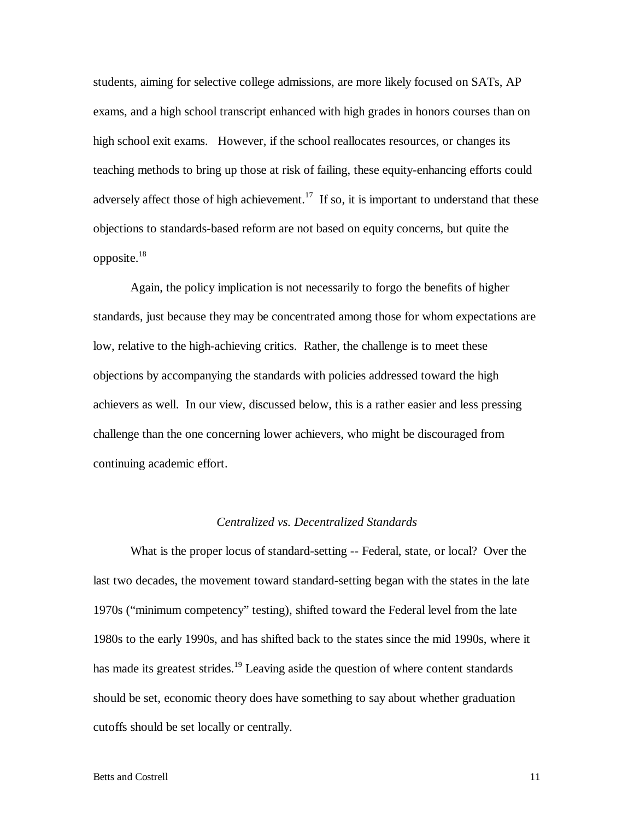students, aiming for selective college admissions, are more likely focused on SATs, AP exams, and a high school transcript enhanced with high grades in honors courses than on high school exit exams. However, if the school reallocates resources, or changes its teaching methods to bring up those at risk of failing, these equity-enhancing efforts could adversely affect those of high achievement.<sup>17</sup> If so, it is important to understand that these objections to standards-based reform are not based on equity concerns, but quite the opposite.<sup>18</sup>

 Again, the policy implication is not necessarily to forgo the benefits of higher standards, just because they may be concentrated among those for whom expectations are low, relative to the high-achieving critics. Rather, the challenge is to meet these objections by accompanying the standards with policies addressed toward the high achievers as well. In our view, discussed below, this is a rather easier and less pressing challenge than the one concerning lower achievers, who might be discouraged from continuing academic effort.

#### *Centralized vs. Decentralized Standards*

 What is the proper locus of standard-setting -- Federal, state, or local? Over the last two decades, the movement toward standard-setting began with the states in the late 1970s ("minimum competency" testing), shifted toward the Federal level from the late 1980s to the early 1990s, and has shifted back to the states since the mid 1990s, where it has made its greatest strides.<sup>19</sup> Leaving aside the question of where content standards should be set, economic theory does have something to say about whether graduation cutoffs should be set locally or centrally.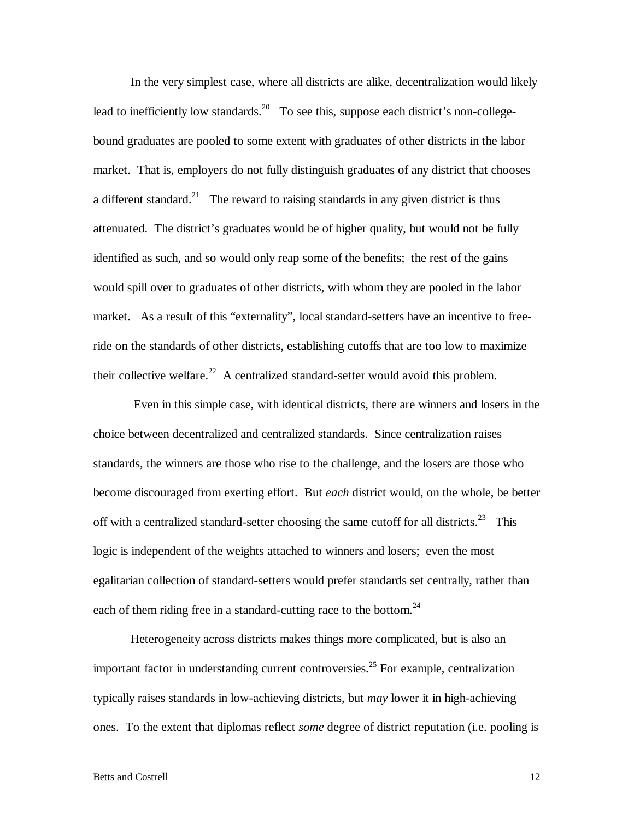In the very simplest case, where all districts are alike, decentralization would likely lead to inefficiently low standards.<sup>20</sup> To see this, suppose each district's non-collegebound graduates are pooled to some extent with graduates of other districts in the labor market. That is, employers do not fully distinguish graduates of any district that chooses a different standard.<sup>21</sup> The reward to raising standards in any given district is thus attenuated. The district's graduates would be of higher quality, but would not be fully identified as such, and so would only reap some of the benefits; the rest of the gains would spill over to graduates of other districts, with whom they are pooled in the labor market. As a result of this "externality", local standard-setters have an incentive to freeride on the standards of other districts, establishing cutoffs that are too low to maximize their collective welfare.<sup>22</sup> A centralized standard-setter would avoid this problem.

 Even in this simple case, with identical districts, there are winners and losers in the choice between decentralized and centralized standards. Since centralization raises standards, the winners are those who rise to the challenge, and the losers are those who become discouraged from exerting effort. But *each* district would, on the whole, be better off with a centralized standard-setter choosing the same cutoff for all districts.<sup>23</sup> This logic is independent of the weights attached to winners and losers; even the most egalitarian collection of standard-setters would prefer standards set centrally, rather than each of them riding free in a standard-cutting race to the bottom.<sup>24</sup>

 Heterogeneity across districts makes things more complicated, but is also an important factor in understanding current controversies.<sup>25</sup> For example, centralization typically raises standards in low-achieving districts, but *may* lower it in high-achieving ones. To the extent that diplomas reflect *some* degree of district reputation (i.e. pooling is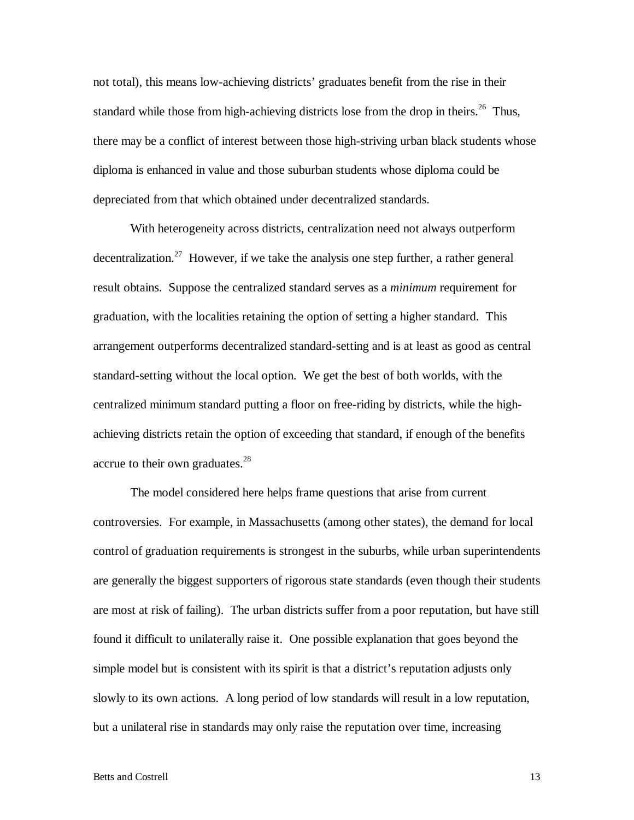not total), this means low-achieving districts' graduates benefit from the rise in their standard while those from high-achieving districts lose from the drop in theirs.<sup>26</sup> Thus, there may be a conflict of interest between those high-striving urban black students whose diploma is enhanced in value and those suburban students whose diploma could be depreciated from that which obtained under decentralized standards.

With heterogeneity across districts, centralization need not always outperform decentralization.<sup>27</sup> However, if we take the analysis one step further, a rather general result obtains. Suppose the centralized standard serves as a *minimum* requirement for graduation, with the localities retaining the option of setting a higher standard. This arrangement outperforms decentralized standard-setting and is at least as good as central standard-setting without the local option. We get the best of both worlds, with the centralized minimum standard putting a floor on free-riding by districts, while the highachieving districts retain the option of exceeding that standard, if enough of the benefits accrue to their own graduates.<sup>28</sup>

The model considered here helps frame questions that arise from current controversies. For example, in Massachusetts (among other states), the demand for local control of graduation requirements is strongest in the suburbs, while urban superintendents are generally the biggest supporters of rigorous state standards (even though their students are most at risk of failing). The urban districts suffer from a poor reputation, but have still found it difficult to unilaterally raise it. One possible explanation that goes beyond the simple model but is consistent with its spirit is that a district's reputation adjusts only slowly to its own actions. A long period of low standards will result in a low reputation, but a unilateral rise in standards may only raise the reputation over time, increasing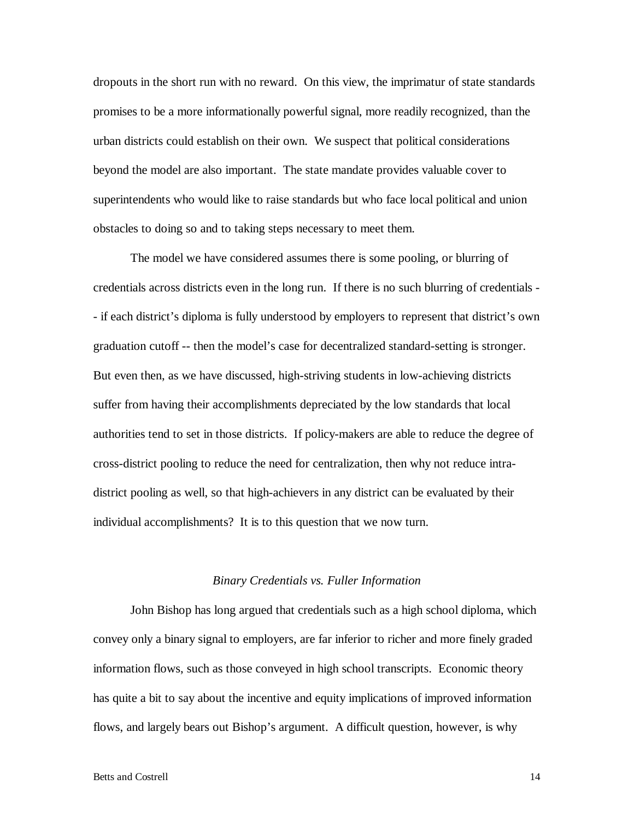dropouts in the short run with no reward. On this view, the imprimatur of state standards promises to be a more informationally powerful signal, more readily recognized, than the urban districts could establish on their own. We suspect that political considerations beyond the model are also important. The state mandate provides valuable cover to superintendents who would like to raise standards but who face local political and union obstacles to doing so and to taking steps necessary to meet them.

The model we have considered assumes there is some pooling, or blurring of credentials across districts even in the long run. If there is no such blurring of credentials - - if each district's diploma is fully understood by employers to represent that district's own graduation cutoff -- then the model's case for decentralized standard-setting is stronger. But even then, as we have discussed, high-striving students in low-achieving districts suffer from having their accomplishments depreciated by the low standards that local authorities tend to set in those districts. If policy-makers are able to reduce the degree of cross-district pooling to reduce the need for centralization, then why not reduce intradistrict pooling as well, so that high-achievers in any district can be evaluated by their individual accomplishments? It is to this question that we now turn.

# *Binary Credentials vs. Fuller Information*

 John Bishop has long argued that credentials such as a high school diploma, which convey only a binary signal to employers, are far inferior to richer and more finely graded information flows, such as those conveyed in high school transcripts. Economic theory has quite a bit to say about the incentive and equity implications of improved information flows, and largely bears out Bishop's argument. A difficult question, however, is why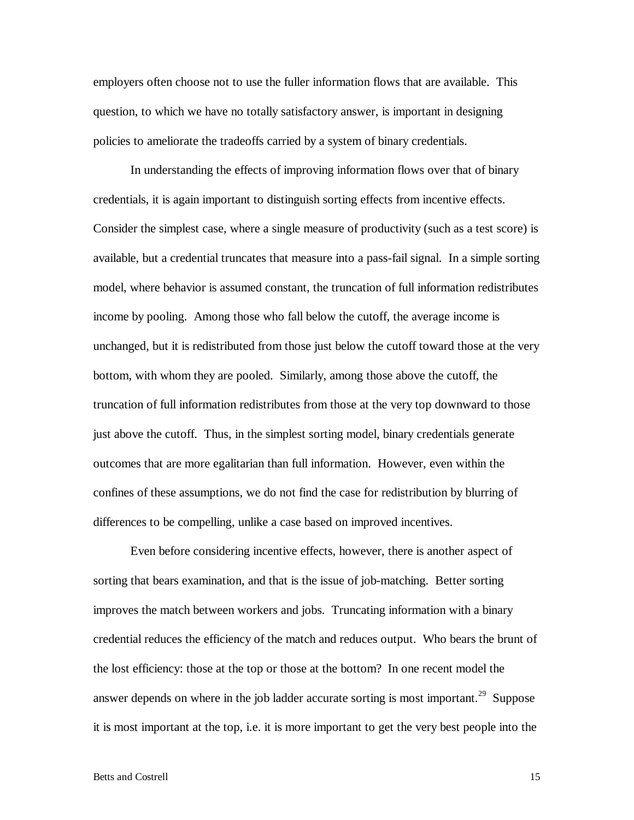employers often choose not to use the fuller information flows that are available. This question, to which we have no totally satisfactory answer, is important in designing policies to ameliorate the tradeoffs carried by a system of binary credentials.

 In understanding the effects of improving information flows over that of binary credentials, it is again important to distinguish sorting effects from incentive effects. Consider the simplest case, where a single measure of productivity (such as a test score) is available, but a credential truncates that measure into a pass-fail signal. In a simple sorting model, where behavior is assumed constant, the truncation of full information redistributes income by pooling. Among those who fall below the cutoff, the average income is unchanged, but it is redistributed from those just below the cutoff toward those at the very bottom, with whom they are pooled. Similarly, among those above the cutoff, the truncation of full information redistributes from those at the very top downward to those just above the cutoff. Thus, in the simplest sorting model, binary credentials generate outcomes that are more egalitarian than full information. However, even within the confines of these assumptions, we do not find the case for redistribution by blurring of differences to be compelling, unlike a case based on improved incentives.

 Even before considering incentive effects, however, there is another aspect of sorting that bears examination, and that is the issue of job-matching. Better sorting improves the match between workers and jobs. Truncating information with a binary credential reduces the efficiency of the match and reduces output. Who bears the brunt of the lost efficiency: those at the top or those at the bottom? In one recent model the answer depends on where in the job ladder accurate sorting is most important.<sup>29</sup> Suppose it is most important at the top, i.e. it is more important to get the very best people into the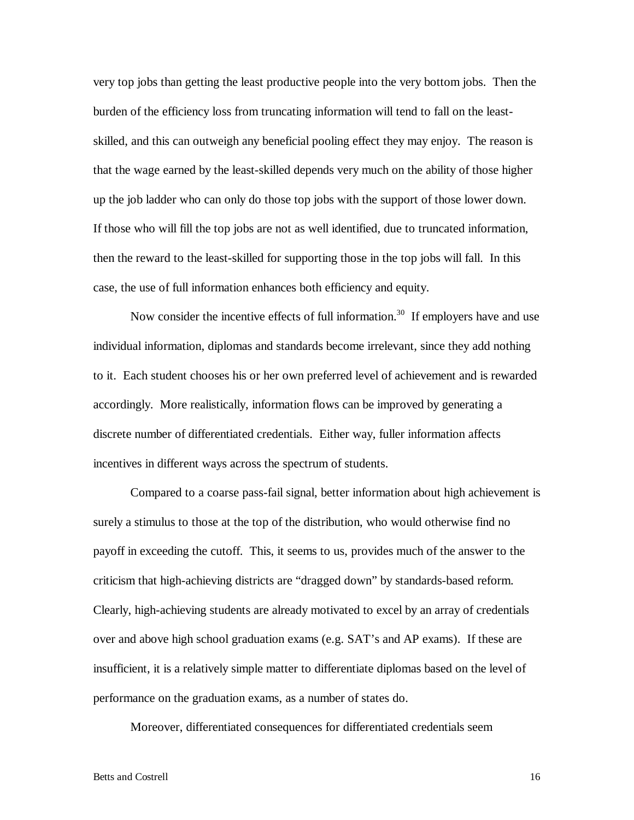very top jobs than getting the least productive people into the very bottom jobs. Then the burden of the efficiency loss from truncating information will tend to fall on the leastskilled, and this can outweigh any beneficial pooling effect they may enjoy. The reason is that the wage earned by the least-skilled depends very much on the ability of those higher up the job ladder who can only do those top jobs with the support of those lower down. If those who will fill the top jobs are not as well identified, due to truncated information, then the reward to the least-skilled for supporting those in the top jobs will fall. In this case, the use of full information enhances both efficiency and equity.

Now consider the incentive effects of full information.<sup>30</sup> If employers have and use individual information, diplomas and standards become irrelevant, since they add nothing to it. Each student chooses his or her own preferred level of achievement and is rewarded accordingly. More realistically, information flows can be improved by generating a discrete number of differentiated credentials. Either way, fuller information affects incentives in different ways across the spectrum of students.

 Compared to a coarse pass-fail signal, better information about high achievement is surely a stimulus to those at the top of the distribution, who would otherwise find no payoff in exceeding the cutoff. This, it seems to us, provides much of the answer to the criticism that high-achieving districts are "dragged down" by standards-based reform. Clearly, high-achieving students are already motivated to excel by an array of credentials over and above high school graduation exams (e.g. SAT's and AP exams). If these are insufficient, it is a relatively simple matter to differentiate diplomas based on the level of performance on the graduation exams, as a number of states do.

Moreover, differentiated consequences for differentiated credentials seem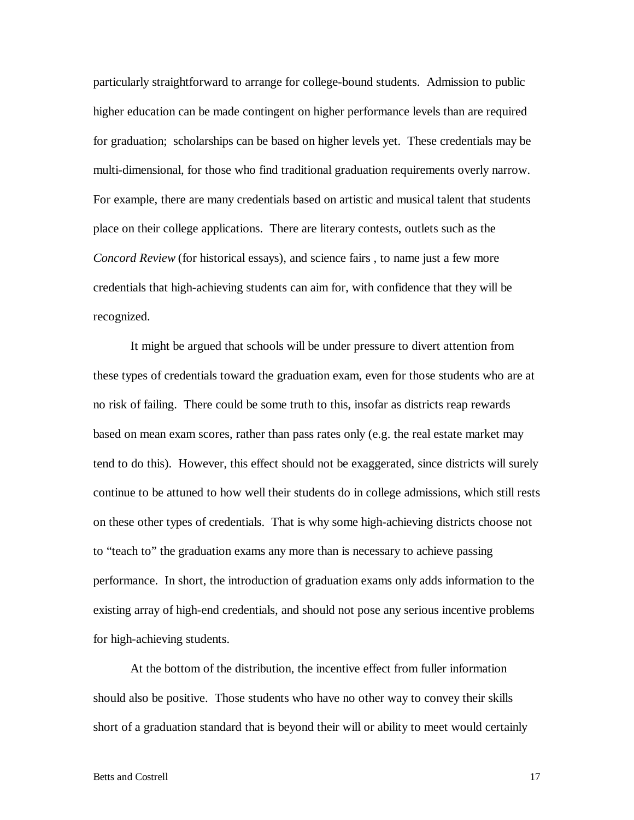particularly straightforward to arrange for college-bound students. Admission to public higher education can be made contingent on higher performance levels than are required for graduation; scholarships can be based on higher levels yet. These credentials may be multi-dimensional, for those who find traditional graduation requirements overly narrow. For example, there are many credentials based on artistic and musical talent that students place on their college applications. There are literary contests, outlets such as the *Concord Review* (for historical essays), and science fairs , to name just a few more credentials that high-achieving students can aim for, with confidence that they will be recognized.

 It might be argued that schools will be under pressure to divert attention from these types of credentials toward the graduation exam, even for those students who are at no risk of failing. There could be some truth to this, insofar as districts reap rewards based on mean exam scores, rather than pass rates only (e.g. the real estate market may tend to do this). However, this effect should not be exaggerated, since districts will surely continue to be attuned to how well their students do in college admissions, which still rests on these other types of credentials. That is why some high-achieving districts choose not to "teach to" the graduation exams any more than is necessary to achieve passing performance. In short, the introduction of graduation exams only adds information to the existing array of high-end credentials, and should not pose any serious incentive problems for high-achieving students.

 At the bottom of the distribution, the incentive effect from fuller information should also be positive. Those students who have no other way to convey their skills short of a graduation standard that is beyond their will or ability to meet would certainly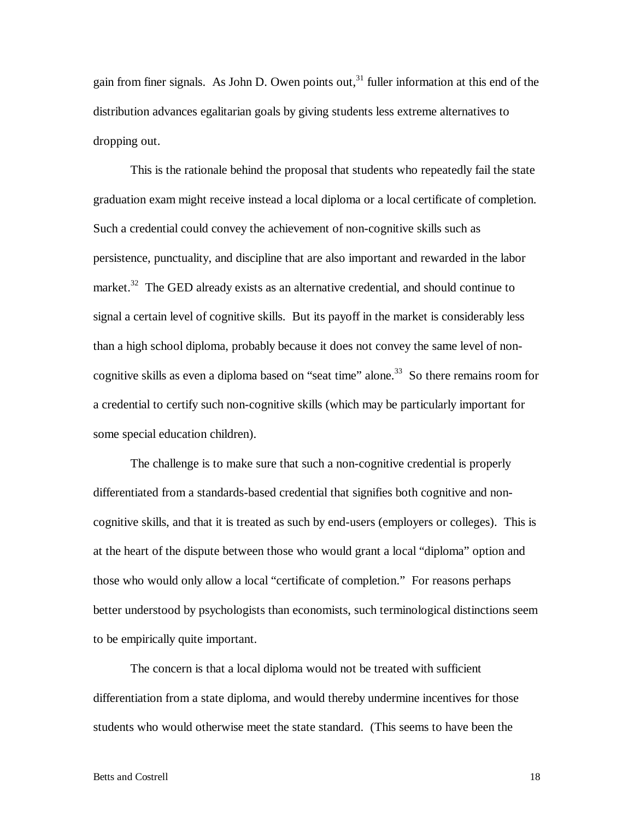gain from finer signals. As John D. Owen points out,<sup>31</sup> fuller information at this end of the distribution advances egalitarian goals by giving students less extreme alternatives to dropping out.

 This is the rationale behind the proposal that students who repeatedly fail the state graduation exam might receive instead a local diploma or a local certificate of completion. Such a credential could convey the achievement of non-cognitive skills such as persistence, punctuality, and discipline that are also important and rewarded in the labor market.<sup>32</sup> The GED already exists as an alternative credential, and should continue to signal a certain level of cognitive skills. But its payoff in the market is considerably less than a high school diploma, probably because it does not convey the same level of noncognitive skills as even a diploma based on "seat time" alone.<sup>33</sup> So there remains room for a credential to certify such non-cognitive skills (which may be particularly important for some special education children).

 The challenge is to make sure that such a non-cognitive credential is properly differentiated from a standards-based credential that signifies both cognitive and noncognitive skills, and that it is treated as such by end-users (employers or colleges). This is at the heart of the dispute between those who would grant a local "diploma" option and those who would only allow a local "certificate of completion." For reasons perhaps better understood by psychologists than economists, such terminological distinctions seem to be empirically quite important.

The concern is that a local diploma would not be treated with sufficient differentiation from a state diploma, and would thereby undermine incentives for those students who would otherwise meet the state standard. (This seems to have been the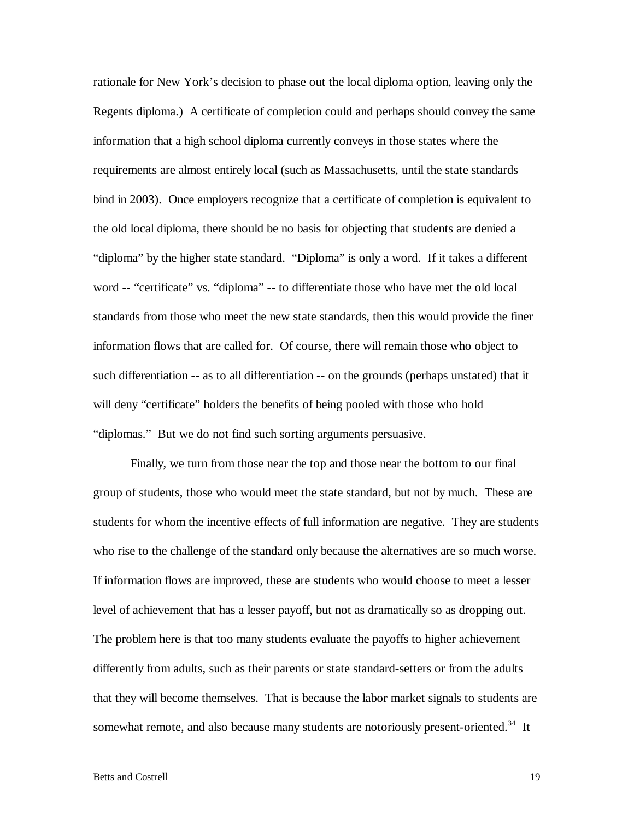rationale for New York's decision to phase out the local diploma option, leaving only the Regents diploma.) A certificate of completion could and perhaps should convey the same information that a high school diploma currently conveys in those states where the requirements are almost entirely local (such as Massachusetts, until the state standards bind in 2003). Once employers recognize that a certificate of completion is equivalent to the old local diploma, there should be no basis for objecting that students are denied a "diploma" by the higher state standard. "Diploma" is only a word. If it takes a different word -- "certificate" vs. "diploma" -- to differentiate those who have met the old local standards from those who meet the new state standards, then this would provide the finer information flows that are called for. Of course, there will remain those who object to such differentiation -- as to all differentiation -- on the grounds (perhaps unstated) that it will deny "certificate" holders the benefits of being pooled with those who hold "diplomas." But we do not find such sorting arguments persuasive.

 Finally, we turn from those near the top and those near the bottom to our final group of students, those who would meet the state standard, but not by much. These are students for whom the incentive effects of full information are negative. They are students who rise to the challenge of the standard only because the alternatives are so much worse. If information flows are improved, these are students who would choose to meet a lesser level of achievement that has a lesser payoff, but not as dramatically so as dropping out. The problem here is that too many students evaluate the payoffs to higher achievement differently from adults, such as their parents or state standard-setters or from the adults that they will become themselves. That is because the labor market signals to students are somewhat remote, and also because many students are notoriously present-oriented.<sup>34</sup> It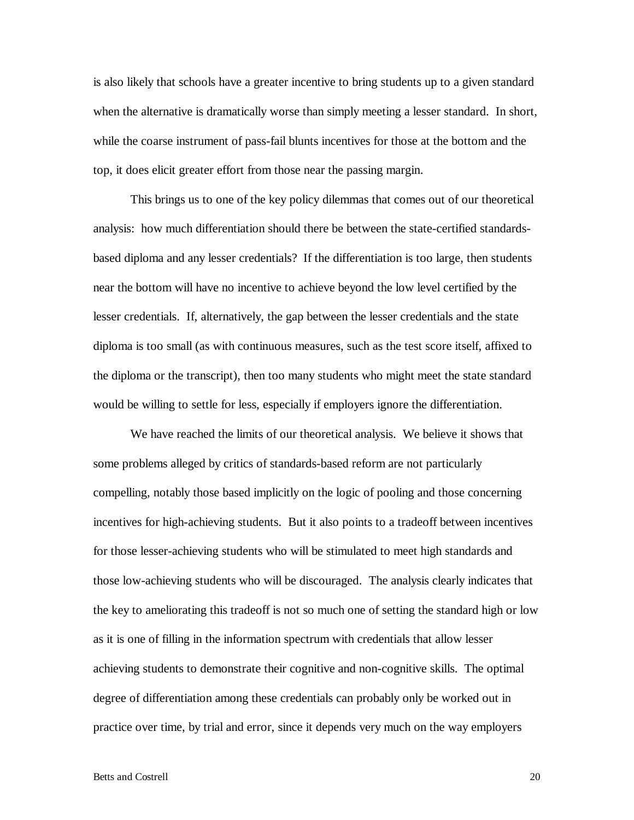is also likely that schools have a greater incentive to bring students up to a given standard when the alternative is dramatically worse than simply meeting a lesser standard. In short, while the coarse instrument of pass-fail blunts incentives for those at the bottom and the top, it does elicit greater effort from those near the passing margin.

 This brings us to one of the key policy dilemmas that comes out of our theoretical analysis: how much differentiation should there be between the state-certified standardsbased diploma and any lesser credentials? If the differentiation is too large, then students near the bottom will have no incentive to achieve beyond the low level certified by the lesser credentials. If, alternatively, the gap between the lesser credentials and the state diploma is too small (as with continuous measures, such as the test score itself, affixed to the diploma or the transcript), then too many students who might meet the state standard would be willing to settle for less, especially if employers ignore the differentiation.

 We have reached the limits of our theoretical analysis. We believe it shows that some problems alleged by critics of standards-based reform are not particularly compelling, notably those based implicitly on the logic of pooling and those concerning incentives for high-achieving students. But it also points to a tradeoff between incentives for those lesser-achieving students who will be stimulated to meet high standards and those low-achieving students who will be discouraged. The analysis clearly indicates that the key to ameliorating this tradeoff is not so much one of setting the standard high or low as it is one of filling in the information spectrum with credentials that allow lesser achieving students to demonstrate their cognitive and non-cognitive skills. The optimal degree of differentiation among these credentials can probably only be worked out in practice over time, by trial and error, since it depends very much on the way employers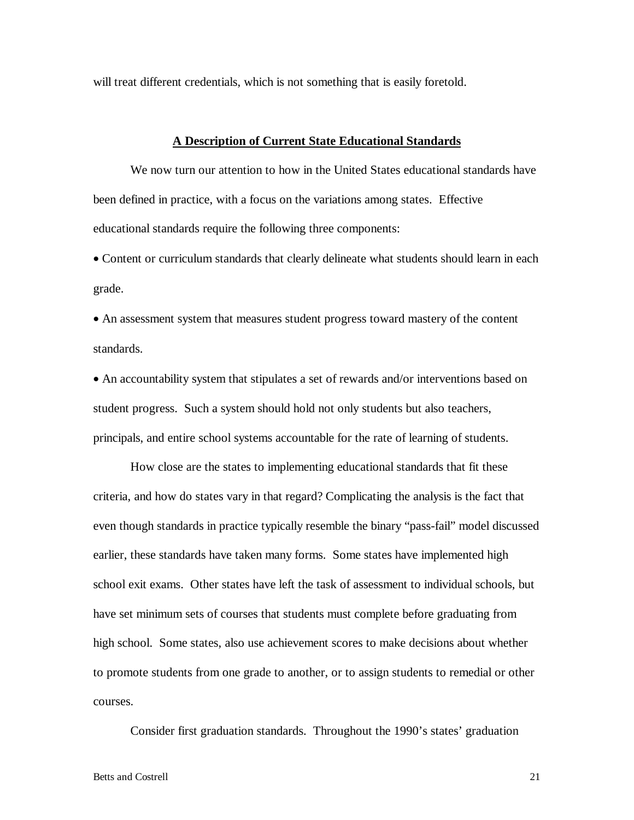will treat different credentials, which is not something that is easily foretold.

### **A Description of Current State Educational Standards**

We now turn our attention to how in the United States educational standards have been defined in practice, with a focus on the variations among states. Effective educational standards require the following three components:

• Content or curriculum standards that clearly delineate what students should learn in each grade.

• An assessment system that measures student progress toward mastery of the content standards.

• An accountability system that stipulates a set of rewards and/or interventions based on student progress. Such a system should hold not only students but also teachers, principals, and entire school systems accountable for the rate of learning of students.

 How close are the states to implementing educational standards that fit these criteria, and how do states vary in that regard? Complicating the analysis is the fact that even though standards in practice typically resemble the binary "pass-fail" model discussed earlier, these standards have taken many forms. Some states have implemented high school exit exams. Other states have left the task of assessment to individual schools, but have set minimum sets of courses that students must complete before graduating from high school. Some states, also use achievement scores to make decisions about whether to promote students from one grade to another, or to assign students to remedial or other courses.

Consider first graduation standards. Throughout the 1990's states' graduation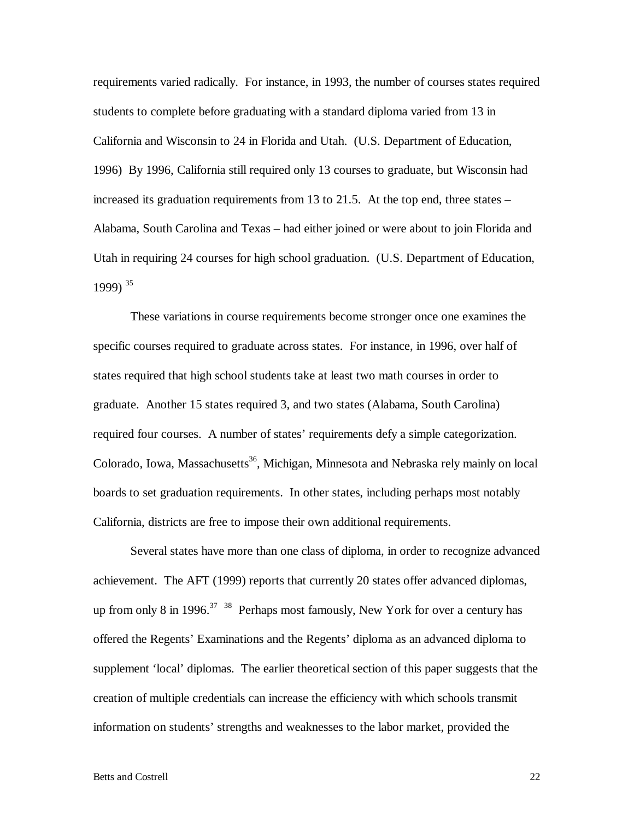requirements varied radically. For instance, in 1993, the number of courses states required students to complete before graduating with a standard diploma varied from 13 in California and Wisconsin to 24 in Florida and Utah. (U.S. Department of Education, 1996) By 1996, California still required only 13 courses to graduate, but Wisconsin had increased its graduation requirements from 13 to 21.5. At the top end, three states – Alabama, South Carolina and Texas – had either joined or were about to join Florida and Utah in requiring 24 courses for high school graduation. (U.S. Department of Education, 1999)  $35$ 

 These variations in course requirements become stronger once one examines the specific courses required to graduate across states. For instance, in 1996, over half of states required that high school students take at least two math courses in order to graduate. Another 15 states required 3, and two states (Alabama, South Carolina) required four courses. A number of states' requirements defy a simple categorization. Colorado, Iowa, Massachusetts<sup>36</sup>, Michigan, Minnesota and Nebraska rely mainly on local boards to set graduation requirements. In other states, including perhaps most notably California, districts are free to impose their own additional requirements.

 Several states have more than one class of diploma, in order to recognize advanced achievement. The AFT (1999) reports that currently 20 states offer advanced diplomas, up from only 8 in 1996.<sup>37</sup> <sup>38</sup> Perhaps most famously, New York for over a century has offered the Regents' Examinations and the Regents' diploma as an advanced diploma to supplement 'local' diplomas. The earlier theoretical section of this paper suggests that the creation of multiple credentials can increase the efficiency with which schools transmit information on students' strengths and weaknesses to the labor market, provided the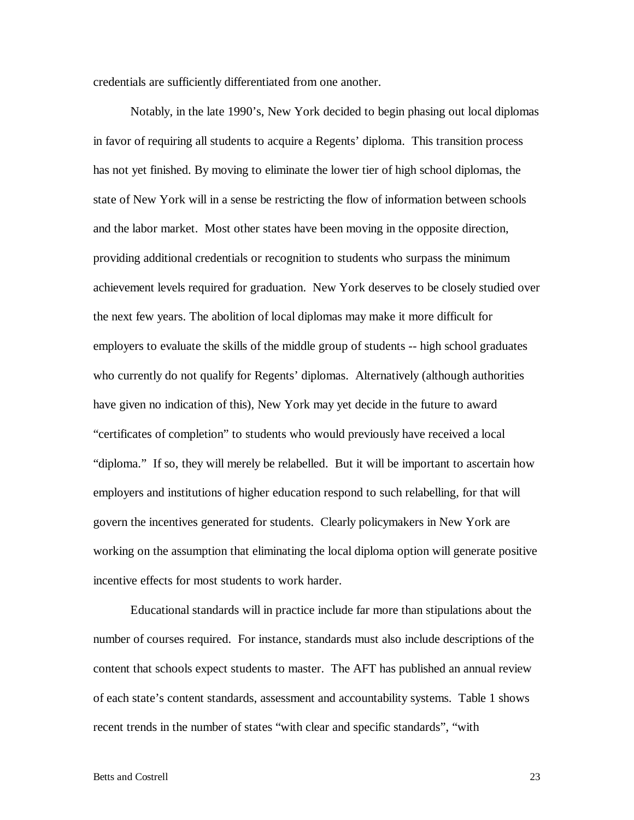credentials are sufficiently differentiated from one another.

 Notably, in the late 1990's, New York decided to begin phasing out local diplomas in favor of requiring all students to acquire a Regents' diploma. This transition process has not yet finished. By moving to eliminate the lower tier of high school diplomas, the state of New York will in a sense be restricting the flow of information between schools and the labor market. Most other states have been moving in the opposite direction, providing additional credentials or recognition to students who surpass the minimum achievement levels required for graduation. New York deserves to be closely studied over the next few years. The abolition of local diplomas may make it more difficult for employers to evaluate the skills of the middle group of students -- high school graduates who currently do not qualify for Regents' diplomas. Alternatively (although authorities have given no indication of this), New York may yet decide in the future to award "certificates of completion" to students who would previously have received a local "diploma." If so, they will merely be relabelled. But it will be important to ascertain how employers and institutions of higher education respond to such relabelling, for that will govern the incentives generated for students. Clearly policymakers in New York are working on the assumption that eliminating the local diploma option will generate positive incentive effects for most students to work harder.

 Educational standards will in practice include far more than stipulations about the number of courses required. For instance, standards must also include descriptions of the content that schools expect students to master. The AFT has published an annual review of each state's content standards, assessment and accountability systems. Table 1 shows recent trends in the number of states "with clear and specific standards", "with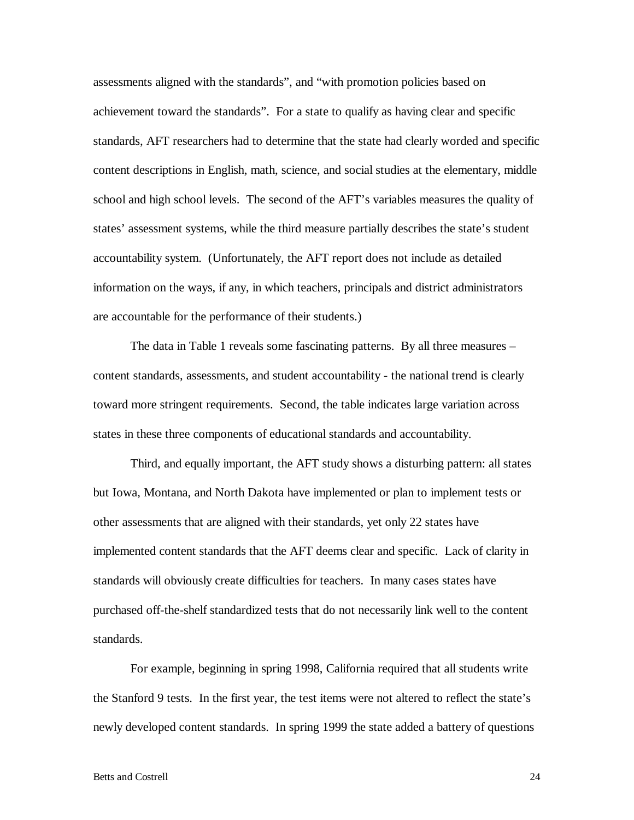assessments aligned with the standards", and "with promotion policies based on achievement toward the standards". For a state to qualify as having clear and specific standards, AFT researchers had to determine that the state had clearly worded and specific content descriptions in English, math, science, and social studies at the elementary, middle school and high school levels. The second of the AFT's variables measures the quality of states' assessment systems, while the third measure partially describes the state's student accountability system. (Unfortunately, the AFT report does not include as detailed information on the ways, if any, in which teachers, principals and district administrators are accountable for the performance of their students.)

 The data in Table 1 reveals some fascinating patterns. By all three measures – content standards, assessments, and student accountability - the national trend is clearly toward more stringent requirements. Second, the table indicates large variation across states in these three components of educational standards and accountability.

 Third, and equally important, the AFT study shows a disturbing pattern: all states but Iowa, Montana, and North Dakota have implemented or plan to implement tests or other assessments that are aligned with their standards, yet only 22 states have implemented content standards that the AFT deems clear and specific. Lack of clarity in standards will obviously create difficulties for teachers. In many cases states have purchased off-the-shelf standardized tests that do not necessarily link well to the content standards.

 For example, beginning in spring 1998, California required that all students write the Stanford 9 tests. In the first year, the test items were not altered to reflect the state's newly developed content standards. In spring 1999 the state added a battery of questions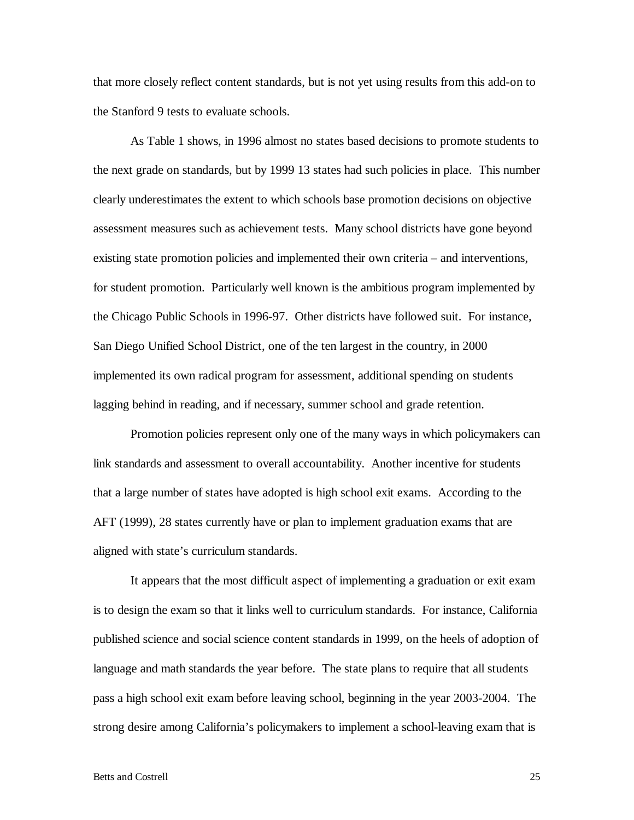that more closely reflect content standards, but is not yet using results from this add-on to the Stanford 9 tests to evaluate schools.

 As Table 1 shows, in 1996 almost no states based decisions to promote students to the next grade on standards, but by 1999 13 states had such policies in place. This number clearly underestimates the extent to which schools base promotion decisions on objective assessment measures such as achievement tests. Many school districts have gone beyond existing state promotion policies and implemented their own criteria – and interventions, for student promotion. Particularly well known is the ambitious program implemented by the Chicago Public Schools in 1996-97. Other districts have followed suit. For instance, San Diego Unified School District, one of the ten largest in the country, in 2000 implemented its own radical program for assessment, additional spending on students lagging behind in reading, and if necessary, summer school and grade retention.

 Promotion policies represent only one of the many ways in which policymakers can link standards and assessment to overall accountability. Another incentive for students that a large number of states have adopted is high school exit exams. According to the AFT (1999), 28 states currently have or plan to implement graduation exams that are aligned with state's curriculum standards.

 It appears that the most difficult aspect of implementing a graduation or exit exam is to design the exam so that it links well to curriculum standards. For instance, California published science and social science content standards in 1999, on the heels of adoption of language and math standards the year before. The state plans to require that all students pass a high school exit exam before leaving school, beginning in the year 2003-2004. The strong desire among California's policymakers to implement a school-leaving exam that is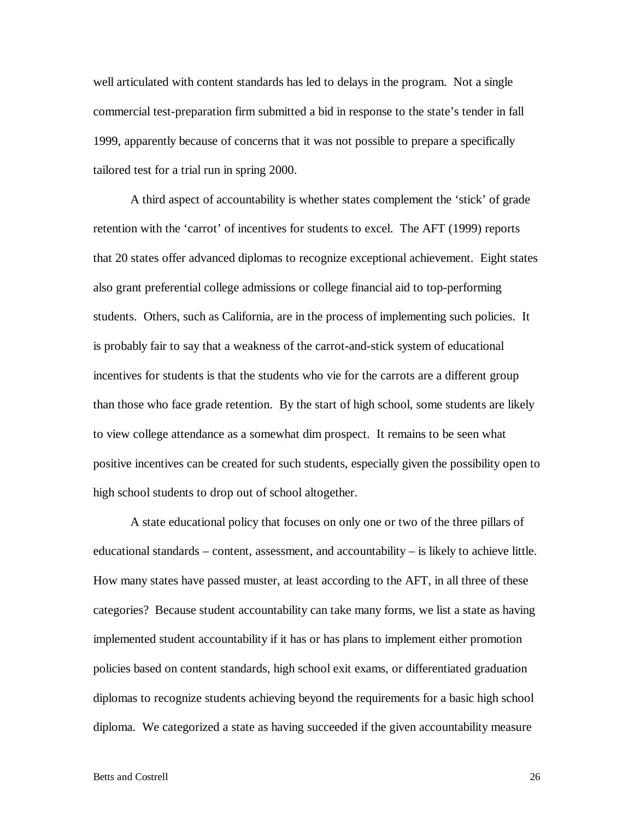well articulated with content standards has led to delays in the program. Not a single commercial test-preparation firm submitted a bid in response to the state's tender in fall 1999, apparently because of concerns that it was not possible to prepare a specifically tailored test for a trial run in spring 2000.

 A third aspect of accountability is whether states complement the 'stick' of grade retention with the 'carrot' of incentives for students to excel. The AFT (1999) reports that 20 states offer advanced diplomas to recognize exceptional achievement. Eight states also grant preferential college admissions or college financial aid to top-performing students. Others, such as California, are in the process of implementing such policies. It is probably fair to say that a weakness of the carrot-and-stick system of educational incentives for students is that the students who vie for the carrots are a different group than those who face grade retention. By the start of high school, some students are likely to view college attendance as a somewhat dim prospect. It remains to be seen what positive incentives can be created for such students, especially given the possibility open to high school students to drop out of school altogether.

 A state educational policy that focuses on only one or two of the three pillars of educational standards – content, assessment, and accountability – is likely to achieve little. How many states have passed muster, at least according to the AFT, in all three of these categories? Because student accountability can take many forms, we list a state as having implemented student accountability if it has or has plans to implement either promotion policies based on content standards, high school exit exams, or differentiated graduation diplomas to recognize students achieving beyond the requirements for a basic high school diploma. We categorized a state as having succeeded if the given accountability measure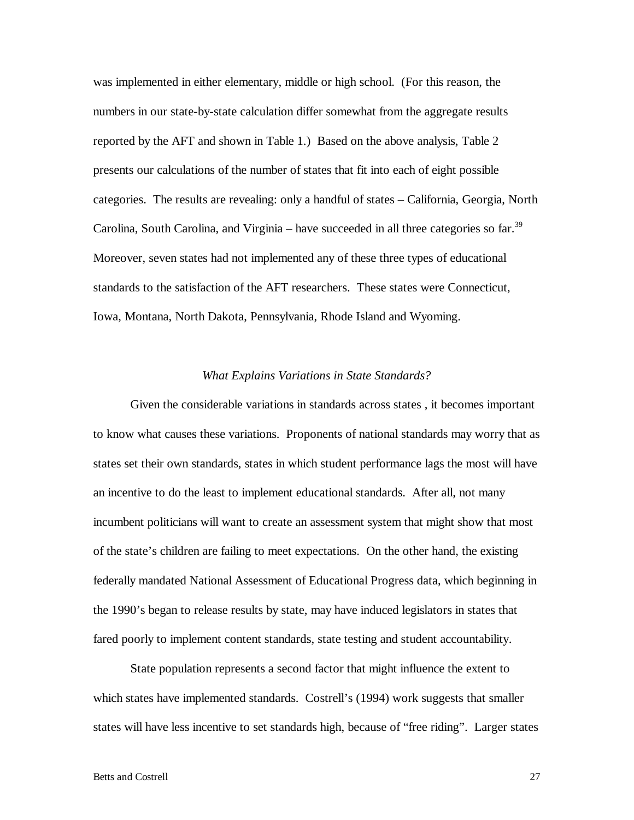was implemented in either elementary, middle or high school. (For this reason, the numbers in our state-by-state calculation differ somewhat from the aggregate results reported by the AFT and shown in Table 1.) Based on the above analysis, Table 2 presents our calculations of the number of states that fit into each of eight possible categories. The results are revealing: only a handful of states – California, Georgia, North Carolina, South Carolina, and Virginia – have succeeded in all three categories so far.<sup>39</sup> Moreover, seven states had not implemented any of these three types of educational standards to the satisfaction of the AFT researchers. These states were Connecticut, Iowa, Montana, North Dakota, Pennsylvania, Rhode Island and Wyoming.

# *What Explains Variations in State Standards?*

 Given the considerable variations in standards across states , it becomes important to know what causes these variations. Proponents of national standards may worry that as states set their own standards, states in which student performance lags the most will have an incentive to do the least to implement educational standards. After all, not many incumbent politicians will want to create an assessment system that might show that most of the state's children are failing to meet expectations. On the other hand, the existing federally mandated National Assessment of Educational Progress data, which beginning in the 1990's began to release results by state, may have induced legislators in states that fared poorly to implement content standards, state testing and student accountability.

 State population represents a second factor that might influence the extent to which states have implemented standards. Costrell's (1994) work suggests that smaller states will have less incentive to set standards high, because of "free riding". Larger states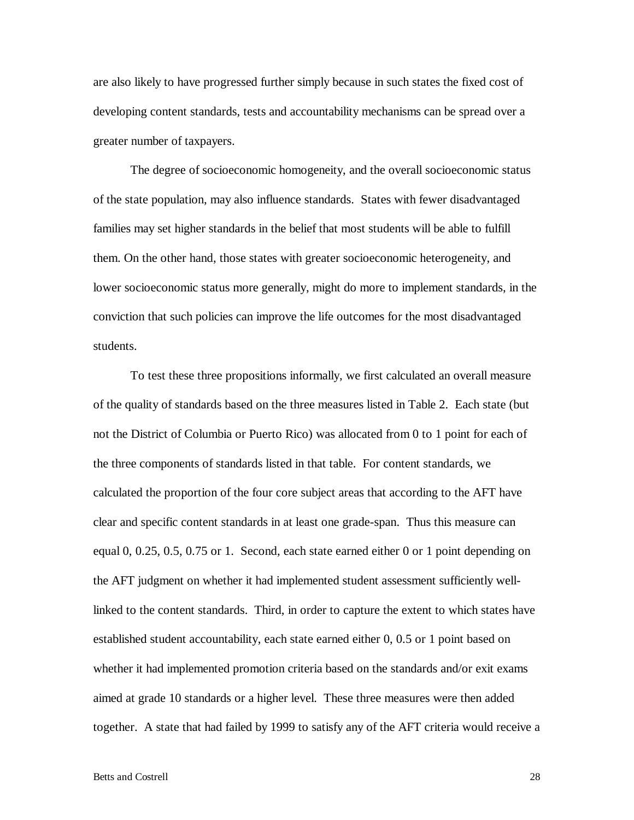are also likely to have progressed further simply because in such states the fixed cost of developing content standards, tests and accountability mechanisms can be spread over a greater number of taxpayers.

 The degree of socioeconomic homogeneity, and the overall socioeconomic status of the state population, may also influence standards. States with fewer disadvantaged families may set higher standards in the belief that most students will be able to fulfill them. On the other hand, those states with greater socioeconomic heterogeneity, and lower socioeconomic status more generally, might do more to implement standards, in the conviction that such policies can improve the life outcomes for the most disadvantaged students.

 To test these three propositions informally, we first calculated an overall measure of the quality of standards based on the three measures listed in Table 2. Each state (but not the District of Columbia or Puerto Rico) was allocated from 0 to 1 point for each of the three components of standards listed in that table. For content standards, we calculated the proportion of the four core subject areas that according to the AFT have clear and specific content standards in at least one grade-span. Thus this measure can equal 0, 0.25, 0.5, 0.75 or 1. Second, each state earned either 0 or 1 point depending on the AFT judgment on whether it had implemented student assessment sufficiently welllinked to the content standards. Third, in order to capture the extent to which states have established student accountability, each state earned either 0, 0.5 or 1 point based on whether it had implemented promotion criteria based on the standards and/or exit exams aimed at grade 10 standards or a higher level. These three measures were then added together. A state that had failed by 1999 to satisfy any of the AFT criteria would receive a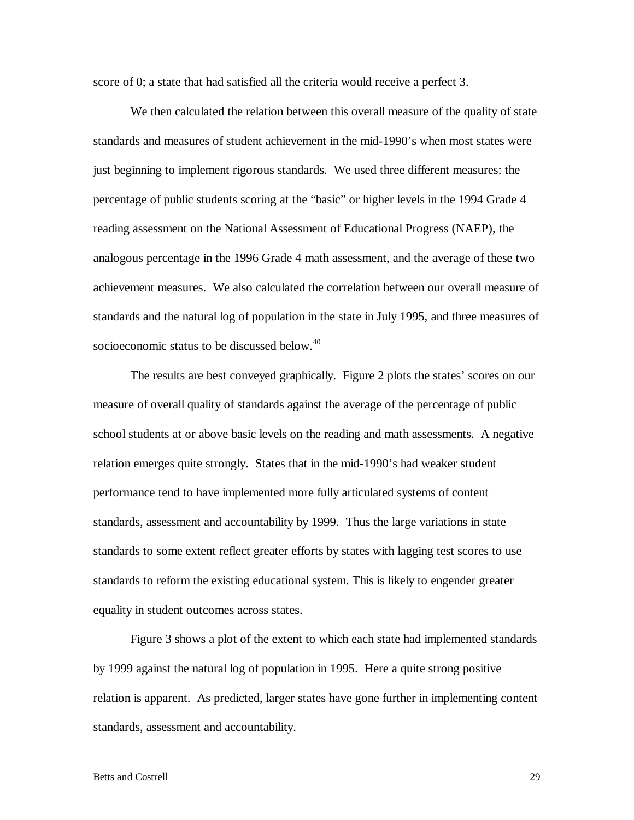score of 0; a state that had satisfied all the criteria would receive a perfect 3.

 We then calculated the relation between this overall measure of the quality of state standards and measures of student achievement in the mid-1990's when most states were just beginning to implement rigorous standards. We used three different measures: the percentage of public students scoring at the "basic" or higher levels in the 1994 Grade 4 reading assessment on the National Assessment of Educational Progress (NAEP), the analogous percentage in the 1996 Grade 4 math assessment, and the average of these two achievement measures. We also calculated the correlation between our overall measure of standards and the natural log of population in the state in July 1995, and three measures of socioeconomic status to be discussed below.<sup>40</sup>

 The results are best conveyed graphically. Figure 2 plots the states' scores on our measure of overall quality of standards against the average of the percentage of public school students at or above basic levels on the reading and math assessments. A negative relation emerges quite strongly. States that in the mid-1990's had weaker student performance tend to have implemented more fully articulated systems of content standards, assessment and accountability by 1999. Thus the large variations in state standards to some extent reflect greater efforts by states with lagging test scores to use standards to reform the existing educational system. This is likely to engender greater equality in student outcomes across states.

 Figure 3 shows a plot of the extent to which each state had implemented standards by 1999 against the natural log of population in 1995. Here a quite strong positive relation is apparent. As predicted, larger states have gone further in implementing content standards, assessment and accountability.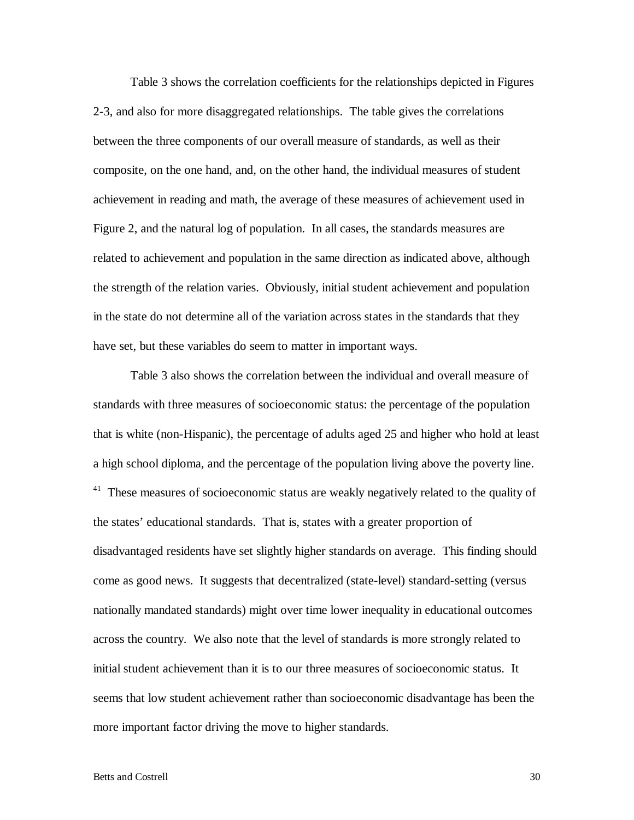Table 3 shows the correlation coefficients for the relationships depicted in Figures 2-3, and also for more disaggregated relationships. The table gives the correlations between the three components of our overall measure of standards, as well as their composite, on the one hand, and, on the other hand, the individual measures of student achievement in reading and math, the average of these measures of achievement used in Figure 2, and the natural log of population. In all cases, the standards measures are related to achievement and population in the same direction as indicated above, although the strength of the relation varies. Obviously, initial student achievement and population in the state do not determine all of the variation across states in the standards that they have set, but these variables do seem to matter in important ways.

 Table 3 also shows the correlation between the individual and overall measure of standards with three measures of socioeconomic status: the percentage of the population that is white (non-Hispanic), the percentage of adults aged 25 and higher who hold at least a high school diploma, and the percentage of the population living above the poverty line.  $41$  These measures of socioeconomic status are weakly negatively related to the quality of the states' educational standards. That is, states with a greater proportion of disadvantaged residents have set slightly higher standards on average. This finding should come as good news. It suggests that decentralized (state-level) standard-setting (versus nationally mandated standards) might over time lower inequality in educational outcomes across the country. We also note that the level of standards is more strongly related to initial student achievement than it is to our three measures of socioeconomic status. It seems that low student achievement rather than socioeconomic disadvantage has been the more important factor driving the move to higher standards.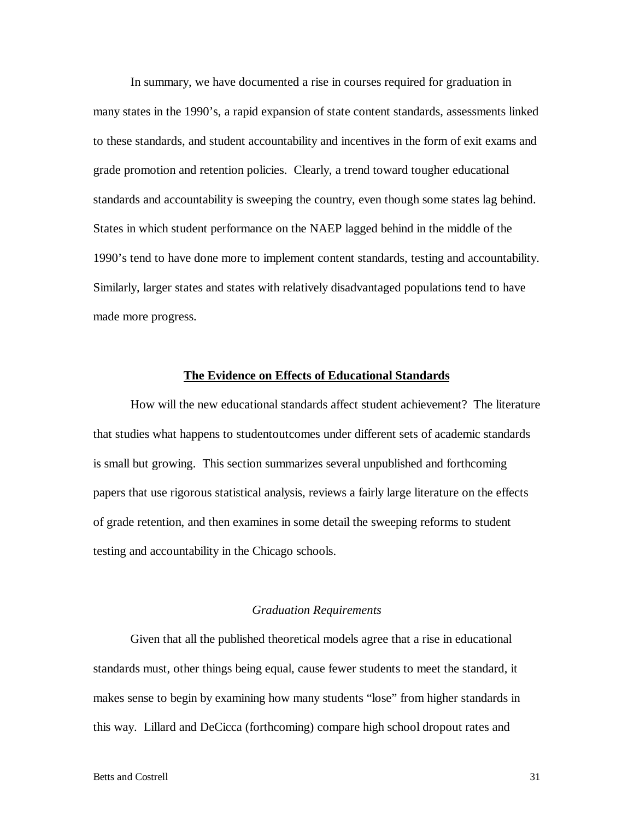In summary, we have documented a rise in courses required for graduation in many states in the 1990's, a rapid expansion of state content standards, assessments linked to these standards, and student accountability and incentives in the form of exit exams and grade promotion and retention policies. Clearly, a trend toward tougher educational standards and accountability is sweeping the country, even though some states lag behind. States in which student performance on the NAEP lagged behind in the middle of the 1990's tend to have done more to implement content standards, testing and accountability. Similarly, larger states and states with relatively disadvantaged populations tend to have made more progress.

# **The Evidence on Effects of Educational Standards**

 How will the new educational standards affect student achievement? The literature that studies what happens to studentoutcomes under different sets of academic standards is small but growing. This section summarizes several unpublished and forthcoming papers that use rigorous statistical analysis, reviews a fairly large literature on the effects of grade retention, and then examines in some detail the sweeping reforms to student testing and accountability in the Chicago schools.

# *Graduation Requirements*

 Given that all the published theoretical models agree that a rise in educational standards must, other things being equal, cause fewer students to meet the standard, it makes sense to begin by examining how many students "lose" from higher standards in this way. Lillard and DeCicca (forthcoming) compare high school dropout rates and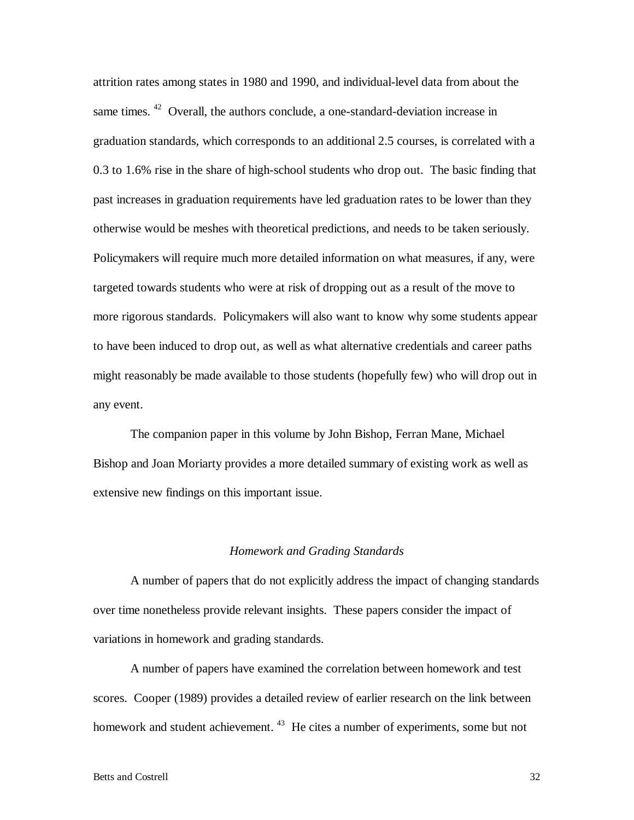attrition rates among states in 1980 and 1990, and individual-level data from about the same times. <sup>42</sup> Overall, the authors conclude, a one-standard-deviation increase in graduation standards, which corresponds to an additional 2.5 courses, is correlated with a 0.3 to 1.6% rise in the share of high-school students who drop out. The basic finding that past increases in graduation requirements have led graduation rates to be lower than they otherwise would be meshes with theoretical predictions, and needs to be taken seriously. Policymakers will require much more detailed information on what measures, if any, were targeted towards students who were at risk of dropping out as a result of the move to more rigorous standards. Policymakers will also want to know why some students appear to have been induced to drop out, as well as what alternative credentials and career paths might reasonably be made available to those students (hopefully few) who will drop out in any event.

 The companion paper in this volume by John Bishop, Ferran Mane, Michael Bishop and Joan Moriarty provides a more detailed summary of existing work as well as extensive new findings on this important issue.

#### *Homework and Grading Standards*

 A number of papers that do not explicitly address the impact of changing standards over time nonetheless provide relevant insights. These papers consider the impact of variations in homework and grading standards.

 A number of papers have examined the correlation between homework and test scores. Cooper (1989) provides a detailed review of earlier research on the link between homework and student achievement. <sup>43</sup> He cites a number of experiments, some but not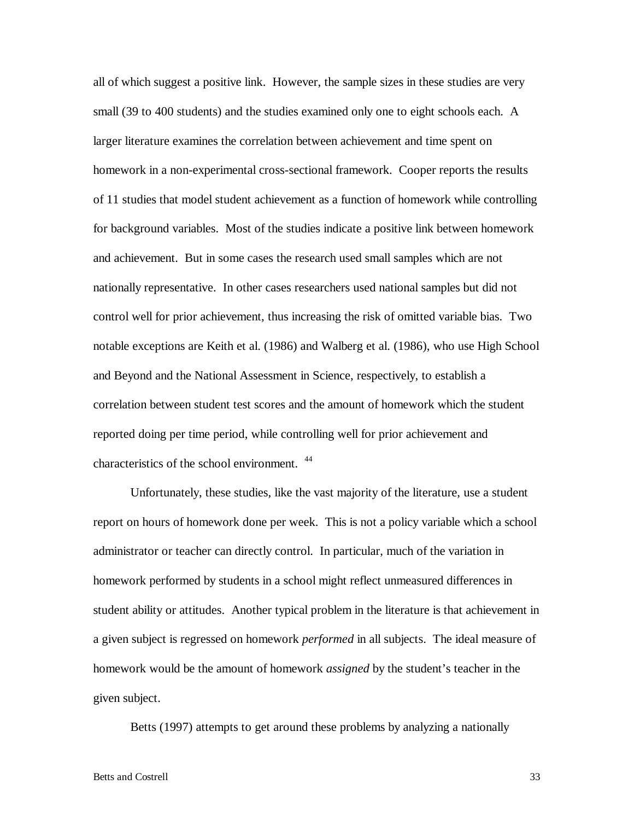all of which suggest a positive link. However, the sample sizes in these studies are very small (39 to 400 students) and the studies examined only one to eight schools each. A larger literature examines the correlation between achievement and time spent on homework in a non-experimental cross-sectional framework. Cooper reports the results of 11 studies that model student achievement as a function of homework while controlling for background variables. Most of the studies indicate a positive link between homework and achievement. But in some cases the research used small samples which are not nationally representative. In other cases researchers used national samples but did not control well for prior achievement, thus increasing the risk of omitted variable bias. Two notable exceptions are Keith et al. (1986) and Walberg et al. (1986), who use High School and Beyond and the National Assessment in Science, respectively, to establish a correlation between student test scores and the amount of homework which the student reported doing per time period, while controlling well for prior achievement and characteristics of the school environment.<sup>44</sup>

 Unfortunately, these studies, like the vast majority of the literature, use a student report on hours of homework done per week. This is not a policy variable which a school administrator or teacher can directly control. In particular, much of the variation in homework performed by students in a school might reflect unmeasured differences in student ability or attitudes. Another typical problem in the literature is that achievement in a given subject is regressed on homework *performed* in all subjects. The ideal measure of homework would be the amount of homework *assigned* by the student's teacher in the given subject.

Betts (1997) attempts to get around these problems by analyzing a nationally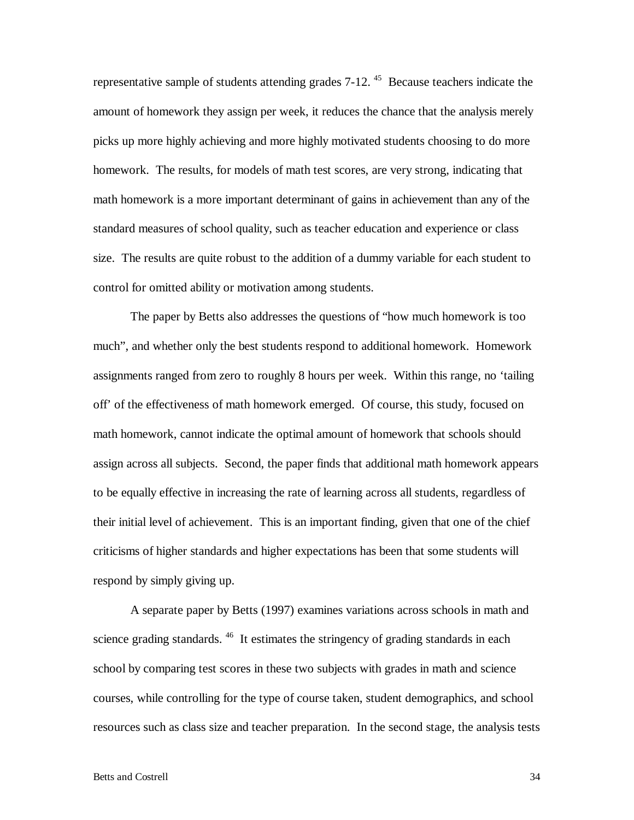representative sample of students attending grades 7-12.<sup>45</sup> Because teachers indicate the amount of homework they assign per week, it reduces the chance that the analysis merely picks up more highly achieving and more highly motivated students choosing to do more homework. The results, for models of math test scores, are very strong, indicating that math homework is a more important determinant of gains in achievement than any of the standard measures of school quality, such as teacher education and experience or class size. The results are quite robust to the addition of a dummy variable for each student to control for omitted ability or motivation among students.

 The paper by Betts also addresses the questions of "how much homework is too much", and whether only the best students respond to additional homework. Homework assignments ranged from zero to roughly 8 hours per week. Within this range, no 'tailing off' of the effectiveness of math homework emerged. Of course, this study, focused on math homework, cannot indicate the optimal amount of homework that schools should assign across all subjects. Second, the paper finds that additional math homework appears to be equally effective in increasing the rate of learning across all students, regardless of their initial level of achievement. This is an important finding, given that one of the chief criticisms of higher standards and higher expectations has been that some students will respond by simply giving up.

 A separate paper by Betts (1997) examines variations across schools in math and science grading standards.<sup>46</sup> It estimates the stringency of grading standards in each school by comparing test scores in these two subjects with grades in math and science courses, while controlling for the type of course taken, student demographics, and school resources such as class size and teacher preparation. In the second stage, the analysis tests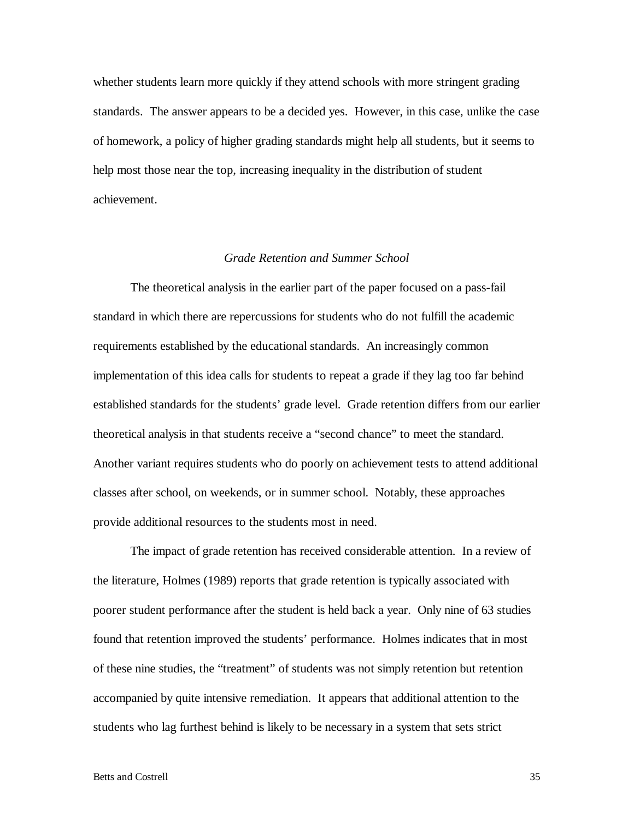whether students learn more quickly if they attend schools with more stringent grading standards. The answer appears to be a decided yes. However, in this case, unlike the case of homework, a policy of higher grading standards might help all students, but it seems to help most those near the top, increasing inequality in the distribution of student achievement.

# *Grade Retention and Summer School*

 The theoretical analysis in the earlier part of the paper focused on a pass-fail standard in which there are repercussions for students who do not fulfill the academic requirements established by the educational standards. An increasingly common implementation of this idea calls for students to repeat a grade if they lag too far behind established standards for the students' grade level. Grade retention differs from our earlier theoretical analysis in that students receive a "second chance" to meet the standard. Another variant requires students who do poorly on achievement tests to attend additional classes after school, on weekends, or in summer school. Notably, these approaches provide additional resources to the students most in need.

 The impact of grade retention has received considerable attention. In a review of the literature, Holmes (1989) reports that grade retention is typically associated with poorer student performance after the student is held back a year. Only nine of 63 studies found that retention improved the students' performance. Holmes indicates that in most of these nine studies, the "treatment" of students was not simply retention but retention accompanied by quite intensive remediation. It appears that additional attention to the students who lag furthest behind is likely to be necessary in a system that sets strict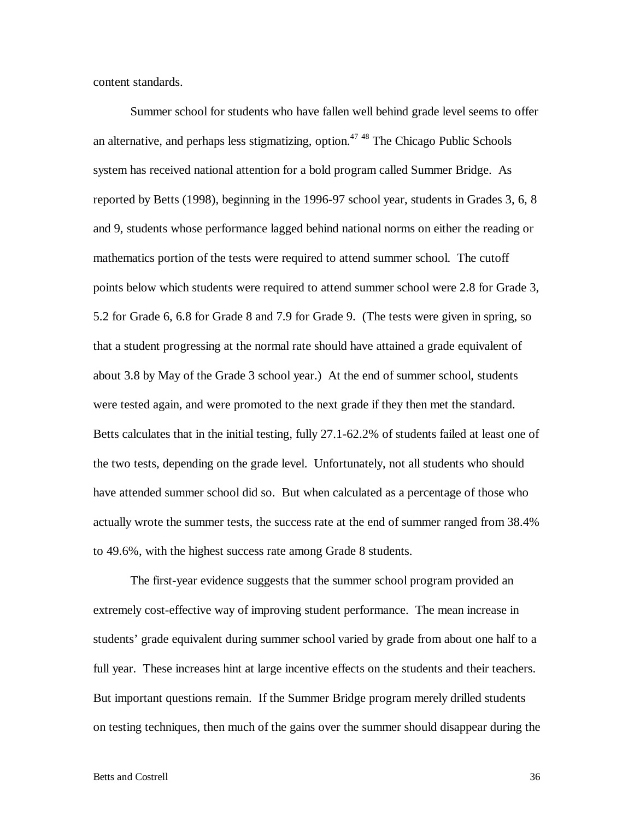content standards.

 Summer school for students who have fallen well behind grade level seems to offer an alternative, and perhaps less stigmatizing, option. $4748$  The Chicago Public Schools system has received national attention for a bold program called Summer Bridge. As reported by Betts (1998), beginning in the 1996-97 school year, students in Grades 3, 6, 8 and 9, students whose performance lagged behind national norms on either the reading or mathematics portion of the tests were required to attend summer school. The cutoff points below which students were required to attend summer school were 2.8 for Grade 3, 5.2 for Grade 6, 6.8 for Grade 8 and 7.9 for Grade 9. (The tests were given in spring, so that a student progressing at the normal rate should have attained a grade equivalent of about 3.8 by May of the Grade 3 school year.) At the end of summer school, students were tested again, and were promoted to the next grade if they then met the standard. Betts calculates that in the initial testing, fully 27.1-62.2% of students failed at least one of the two tests, depending on the grade level. Unfortunately, not all students who should have attended summer school did so. But when calculated as a percentage of those who actually wrote the summer tests, the success rate at the end of summer ranged from 38.4% to 49.6%, with the highest success rate among Grade 8 students.

 The first-year evidence suggests that the summer school program provided an extremely cost-effective way of improving student performance. The mean increase in students' grade equivalent during summer school varied by grade from about one half to a full year. These increases hint at large incentive effects on the students and their teachers. But important questions remain. If the Summer Bridge program merely drilled students on testing techniques, then much of the gains over the summer should disappear during the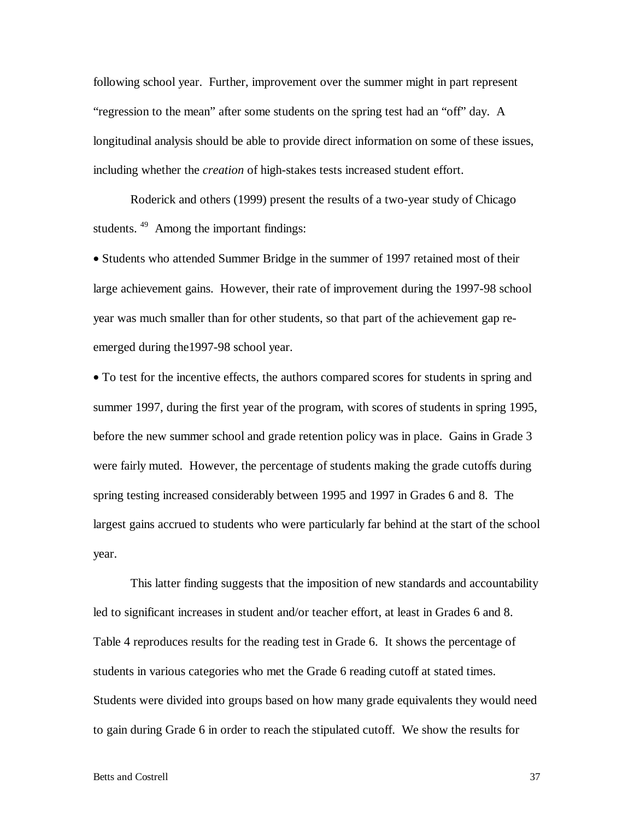following school year. Further, improvement over the summer might in part represent "regression to the mean" after some students on the spring test had an "off" day. A longitudinal analysis should be able to provide direct information on some of these issues, including whether the *creation* of high-stakes tests increased student effort.

 Roderick and others (1999) present the results of a two-year study of Chicago students.<sup>49</sup> Among the important findings:

• Students who attended Summer Bridge in the summer of 1997 retained most of their large achievement gains. However, their rate of improvement during the 1997-98 school year was much smaller than for other students, so that part of the achievement gap reemerged during the1997-98 school year.

• To test for the incentive effects, the authors compared scores for students in spring and summer 1997, during the first year of the program, with scores of students in spring 1995, before the new summer school and grade retention policy was in place. Gains in Grade 3 were fairly muted. However, the percentage of students making the grade cutoffs during spring testing increased considerably between 1995 and 1997 in Grades 6 and 8. The largest gains accrued to students who were particularly far behind at the start of the school year.

 This latter finding suggests that the imposition of new standards and accountability led to significant increases in student and/or teacher effort, at least in Grades 6 and 8. Table 4 reproduces results for the reading test in Grade 6. It shows the percentage of students in various categories who met the Grade 6 reading cutoff at stated times. Students were divided into groups based on how many grade equivalents they would need to gain during Grade 6 in order to reach the stipulated cutoff. We show the results for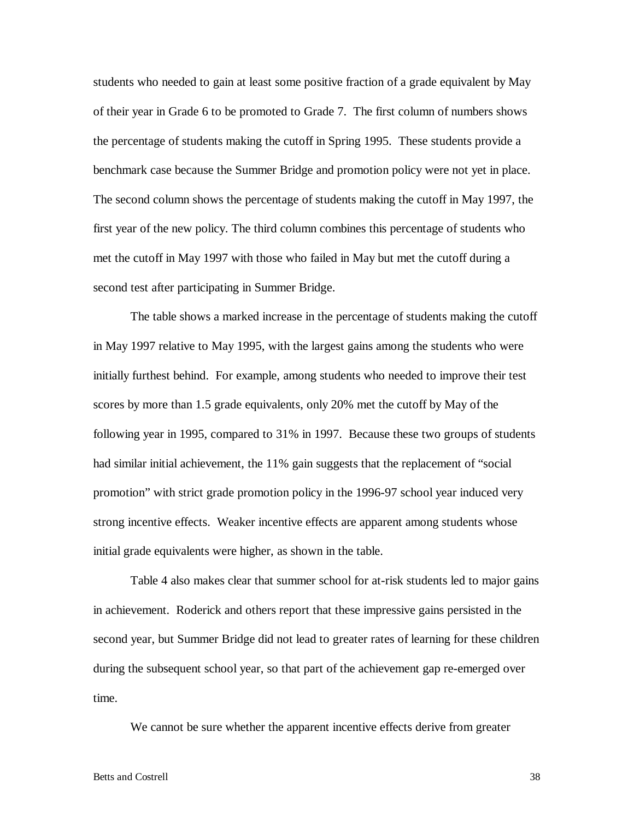students who needed to gain at least some positive fraction of a grade equivalent by May of their year in Grade 6 to be promoted to Grade 7. The first column of numbers shows the percentage of students making the cutoff in Spring 1995. These students provide a benchmark case because the Summer Bridge and promotion policy were not yet in place. The second column shows the percentage of students making the cutoff in May 1997, the first year of the new policy. The third column combines this percentage of students who met the cutoff in May 1997 with those who failed in May but met the cutoff during a second test after participating in Summer Bridge.

 The table shows a marked increase in the percentage of students making the cutoff in May 1997 relative to May 1995, with the largest gains among the students who were initially furthest behind. For example, among students who needed to improve their test scores by more than 1.5 grade equivalents, only 20% met the cutoff by May of the following year in 1995, compared to 31% in 1997. Because these two groups of students had similar initial achievement, the 11% gain suggests that the replacement of "social" promotion" with strict grade promotion policy in the 1996-97 school year induced very strong incentive effects. Weaker incentive effects are apparent among students whose initial grade equivalents were higher, as shown in the table.

 Table 4 also makes clear that summer school for at-risk students led to major gains in achievement. Roderick and others report that these impressive gains persisted in the second year, but Summer Bridge did not lead to greater rates of learning for these children during the subsequent school year, so that part of the achievement gap re-emerged over time.

We cannot be sure whether the apparent incentive effects derive from greater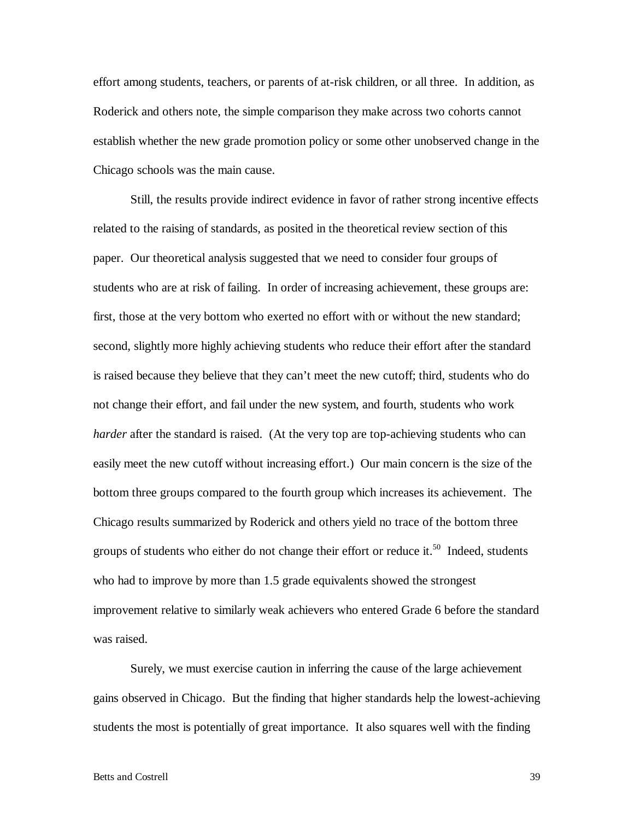effort among students, teachers, or parents of at-risk children, or all three. In addition, as Roderick and others note, the simple comparison they make across two cohorts cannot establish whether the new grade promotion policy or some other unobserved change in the Chicago schools was the main cause.

 Still, the results provide indirect evidence in favor of rather strong incentive effects related to the raising of standards, as posited in the theoretical review section of this paper. Our theoretical analysis suggested that we need to consider four groups of students who are at risk of failing. In order of increasing achievement, these groups are: first, those at the very bottom who exerted no effort with or without the new standard; second, slightly more highly achieving students who reduce their effort after the standard is raised because they believe that they can't meet the new cutoff; third, students who do not change their effort, and fail under the new system, and fourth, students who work *harder* after the standard is raised. (At the very top are top-achieving students who can easily meet the new cutoff without increasing effort.) Our main concern is the size of the bottom three groups compared to the fourth group which increases its achievement. The Chicago results summarized by Roderick and others yield no trace of the bottom three groups of students who either do not change their effort or reduce it.<sup>50</sup> Indeed, students who had to improve by more than 1.5 grade equivalents showed the strongest improvement relative to similarly weak achievers who entered Grade 6 before the standard was raised.

 Surely, we must exercise caution in inferring the cause of the large achievement gains observed in Chicago. But the finding that higher standards help the lowest-achieving students the most is potentially of great importance. It also squares well with the finding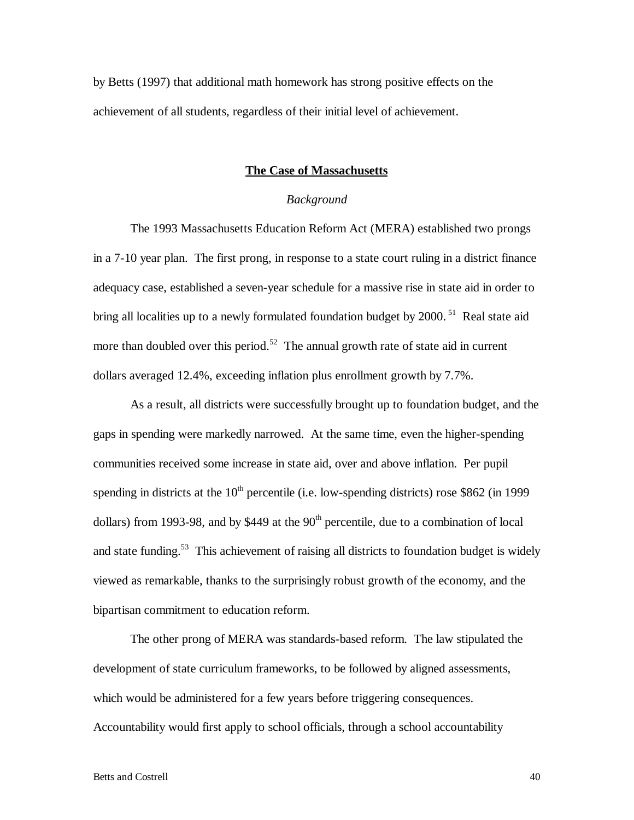by Betts (1997) that additional math homework has strong positive effects on the achievement of all students, regardless of their initial level of achievement.

# **The Case of Massachusetts**

# *Background*

 The 1993 Massachusetts Education Reform Act (MERA) established two prongs in a 7-10 year plan. The first prong, in response to a state court ruling in a district finance adequacy case, established a seven-year schedule for a massive rise in state aid in order to bring all localities up to a newly formulated foundation budget by 2000.<sup>51</sup> Real state aid more than doubled over this period.<sup>52</sup> The annual growth rate of state aid in current dollars averaged 12.4%, exceeding inflation plus enrollment growth by 7.7%.

 As a result, all districts were successfully brought up to foundation budget, and the gaps in spending were markedly narrowed. At the same time, even the higher-spending communities received some increase in state aid, over and above inflation. Per pupil spending in districts at the  $10<sup>th</sup>$  percentile (i.e. low-spending districts) rose \$862 (in 1999 dollars) from 1993-98, and by \$449 at the  $90<sup>th</sup>$  percentile, due to a combination of local and state funding.<sup>53</sup> This achievement of raising all districts to foundation budget is widely viewed as remarkable, thanks to the surprisingly robust growth of the economy, and the bipartisan commitment to education reform.

The other prong of MERA was standards-based reform. The law stipulated the development of state curriculum frameworks, to be followed by aligned assessments, which would be administered for a few years before triggering consequences. Accountability would first apply to school officials, through a school accountability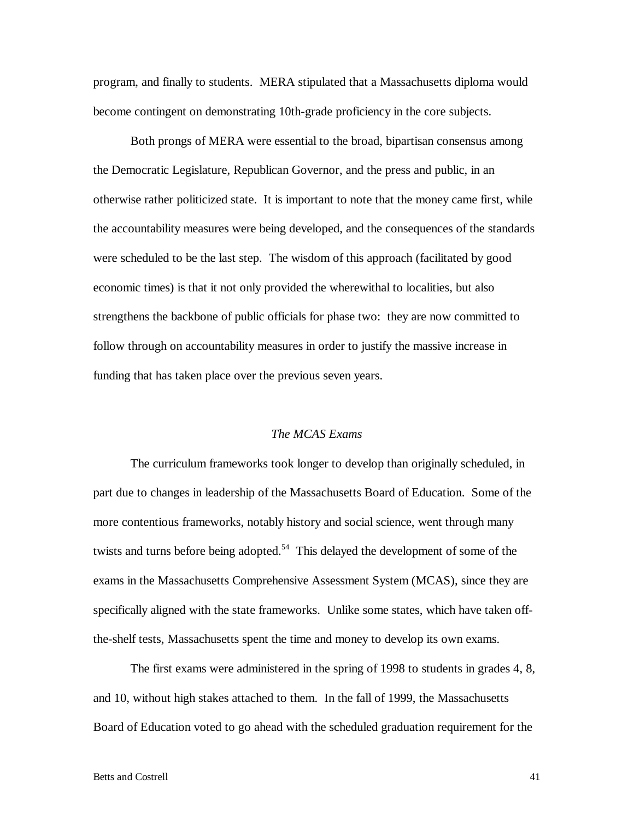program, and finally to students. MERA stipulated that a Massachusetts diploma would become contingent on demonstrating 10th-grade proficiency in the core subjects.

 Both prongs of MERA were essential to the broad, bipartisan consensus among the Democratic Legislature, Republican Governor, and the press and public, in an otherwise rather politicized state. It is important to note that the money came first, while the accountability measures were being developed, and the consequences of the standards were scheduled to be the last step. The wisdom of this approach (facilitated by good economic times) is that it not only provided the wherewithal to localities, but also strengthens the backbone of public officials for phase two: they are now committed to follow through on accountability measures in order to justify the massive increase in funding that has taken place over the previous seven years.

# *The MCAS Exams*

 The curriculum frameworks took longer to develop than originally scheduled, in part due to changes in leadership of the Massachusetts Board of Education. Some of the more contentious frameworks, notably history and social science, went through many twists and turns before being adopted.<sup>54</sup> This delayed the development of some of the exams in the Massachusetts Comprehensive Assessment System (MCAS), since they are specifically aligned with the state frameworks. Unlike some states, which have taken offthe-shelf tests, Massachusetts spent the time and money to develop its own exams.

 The first exams were administered in the spring of 1998 to students in grades 4, 8, and 10, without high stakes attached to them. In the fall of 1999, the Massachusetts Board of Education voted to go ahead with the scheduled graduation requirement for the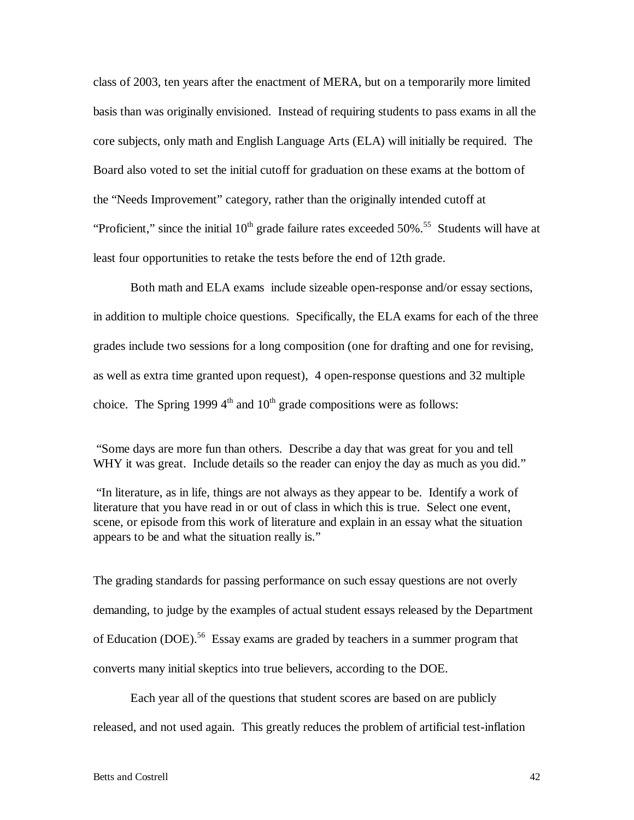class of 2003, ten years after the enactment of MERA, but on a temporarily more limited basis than was originally envisioned. Instead of requiring students to pass exams in all the core subjects, only math and English Language Arts (ELA) will initially be required. The Board also voted to set the initial cutoff for graduation on these exams at the bottom of the "Needs Improvement" category, rather than the originally intended cutoff at "Proficient," since the initial  $10<sup>th</sup>$  grade failure rates exceeded 50%.<sup>55</sup> Students will have at least four opportunities to retake the tests before the end of 12th grade.

 Both math and ELA exams include sizeable open-response and/or essay sections, in addition to multiple choice questions. Specifically, the ELA exams for each of the three grades include two sessions for a long composition (one for drafting and one for revising, as well as extra time granted upon request), 4 open-response questions and 32 multiple choice. The Spring 1999  $4<sup>th</sup>$  and  $10<sup>th</sup>$  grade compositions were as follows:

"Some days are more fun than others. Describe a day that was great for you and tell WHY it was great. Include details so the reader can enjoy the day as much as you did."

"In literature, as in life, things are not always as they appear to be. Identify a work of literature that you have read in or out of class in which this is true. Select one event, scene, or episode from this work of literature and explain in an essay what the situation appears to be and what the situation really is."

The grading standards for passing performance on such essay questions are not overly demanding, to judge by the examples of actual student essays released by the Department of Education (DOE).<sup>56</sup> Essay exams are graded by teachers in a summer program that converts many initial skeptics into true believers, according to the DOE.

 Each year all of the questions that student scores are based on are publicly released, and not used again. This greatly reduces the problem of artificial test-inflation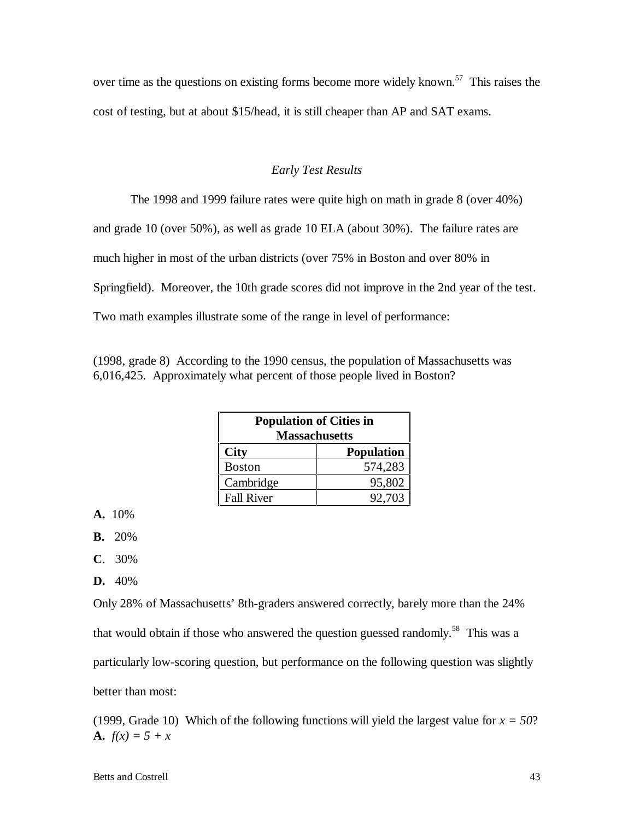over time as the questions on existing forms become more widely known.<sup>57</sup> This raises the cost of testing, but at about \$15/head, it is still cheaper than AP and SAT exams.

# *Early Test Results*

The 1998 and 1999 failure rates were quite high on math in grade 8 (over 40%)

and grade 10 (over 50%), as well as grade 10 ELA (about 30%). The failure rates are

much higher in most of the urban districts (over 75% in Boston and over 80% in

Springfield). Moreover, the 10th grade scores did not improve in the 2nd year of the test.

Two math examples illustrate some of the range in level of performance:

(1998, grade 8) According to the 1990 census, the population of Massachusetts was 6,016,425. Approximately what percent of those people lived in Boston?

| <b>Population of Cities in</b><br><b>Massachusetts</b> |                   |  |
|--------------------------------------------------------|-------------------|--|
| <b>City</b>                                            | <b>Population</b> |  |
| <b>Boston</b>                                          | 574,283           |  |
| Cambridge                                              | 95,802            |  |
| <b>Fall River</b>                                      | 92.703            |  |

**A.** 10%

**B.** 20%

- **C**. 30%
- **D.** 40%

Only 28% of Massachusetts' 8th-graders answered correctly, barely more than the 24% that would obtain if those who answered the question guessed randomly.<sup>58</sup> This was a particularly low-scoring question, but performance on the following question was slightly better than most:

(1999, Grade 10) Which of the following functions will yield the largest value for  $x = 50$ ? **A.**  $f(x) = 5 + x$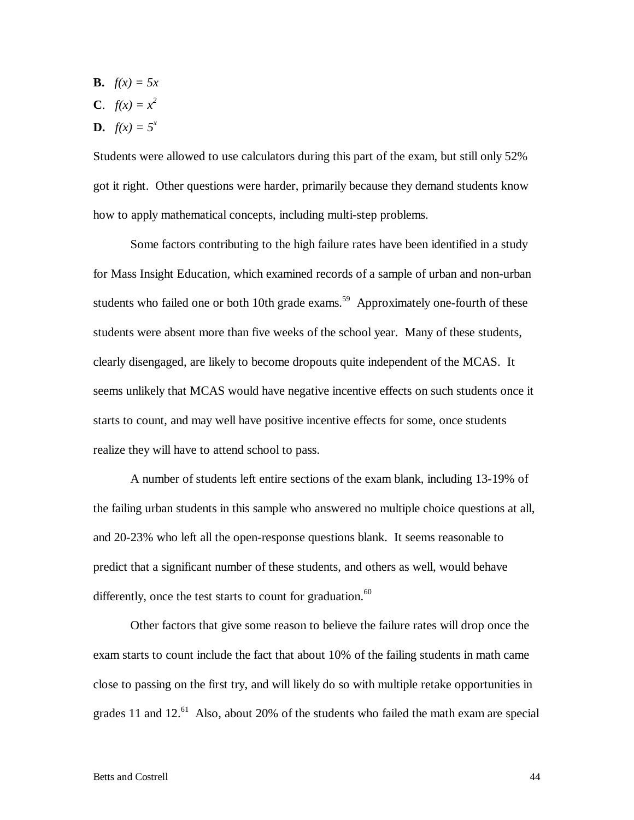**B.**  $f(x) = 5x$ **C**.  $f(x) = x^2$ **D.**  $f(x) = 5^x$ 

Students were allowed to use calculators during this part of the exam, but still only 52% got it right. Other questions were harder, primarily because they demand students know how to apply mathematical concepts, including multi-step problems.

 Some factors contributing to the high failure rates have been identified in a study for Mass Insight Education, which examined records of a sample of urban and non-urban students who failed one or both 10th grade exams.<sup>59</sup> Approximately one-fourth of these students were absent more than five weeks of the school year. Many of these students, clearly disengaged, are likely to become dropouts quite independent of the MCAS. It seems unlikely that MCAS would have negative incentive effects on such students once it starts to count, and may well have positive incentive effects for some, once students realize they will have to attend school to pass.

 A number of students left entire sections of the exam blank, including 13-19% of the failing urban students in this sample who answered no multiple choice questions at all, and 20-23% who left all the open-response questions blank. It seems reasonable to predict that a significant number of these students, and others as well, would behave differently, once the test starts to count for graduation. $60$ 

 Other factors that give some reason to believe the failure rates will drop once the exam starts to count include the fact that about 10% of the failing students in math came close to passing on the first try, and will likely do so with multiple retake opportunities in grades 11 and 12. $^{61}$  Also, about 20% of the students who failed the math exam are special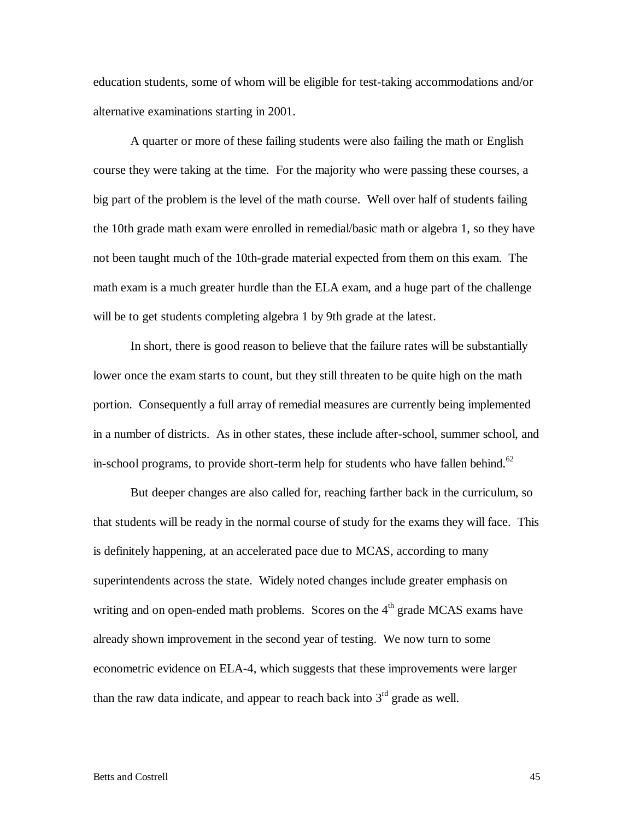education students, some of whom will be eligible for test-taking accommodations and/or alternative examinations starting in 2001.

 A quarter or more of these failing students were also failing the math or English course they were taking at the time. For the majority who were passing these courses, a big part of the problem is the level of the math course. Well over half of students failing the 10th grade math exam were enrolled in remedial/basic math or algebra 1, so they have not been taught much of the 10th-grade material expected from them on this exam. The math exam is a much greater hurdle than the ELA exam, and a huge part of the challenge will be to get students completing algebra 1 by 9th grade at the latest.

 In short, there is good reason to believe that the failure rates will be substantially lower once the exam starts to count, but they still threaten to be quite high on the math portion. Consequently a full array of remedial measures are currently being implemented in a number of districts. As in other states, these include after-school, summer school, and in-school programs, to provide short-term help for students who have fallen behind.<sup>62</sup>

 But deeper changes are also called for, reaching farther back in the curriculum, so that students will be ready in the normal course of study for the exams they will face. This is definitely happening, at an accelerated pace due to MCAS, according to many superintendents across the state. Widely noted changes include greater emphasis on writing and on open-ended math problems. Scores on the 4<sup>th</sup> grade MCAS exams have already shown improvement in the second year of testing. We now turn to some econometric evidence on ELA-4, which suggests that these improvements were larger than the raw data indicate, and appear to reach back into  $3<sup>rd</sup>$  grade as well.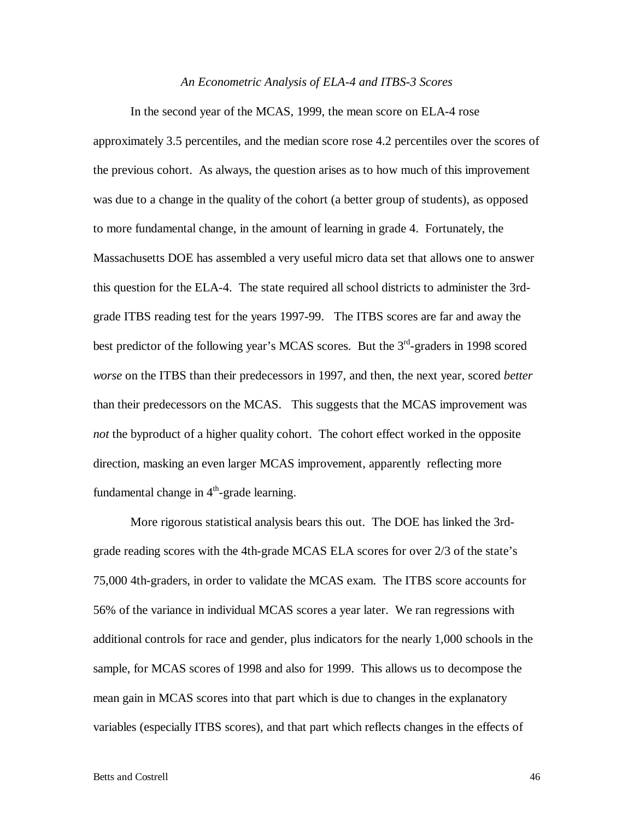#### *An Econometric Analysis of ELA-4 and ITBS-3 Scores*

 In the second year of the MCAS, 1999, the mean score on ELA-4 rose approximately 3.5 percentiles, and the median score rose 4.2 percentiles over the scores of the previous cohort. As always, the question arises as to how much of this improvement was due to a change in the quality of the cohort (a better group of students), as opposed to more fundamental change, in the amount of learning in grade 4. Fortunately, the Massachusetts DOE has assembled a very useful micro data set that allows one to answer this question for the ELA-4. The state required all school districts to administer the 3rdgrade ITBS reading test for the years 1997-99. The ITBS scores are far and away the best predictor of the following year's MCAS scores. But the  $3<sup>rd</sup>$ -graders in 1998 scored *worse* on the ITBS than their predecessors in 1997, and then, the next year, scored *better* than their predecessors on the MCAS. This suggests that the MCAS improvement was *not* the byproduct of a higher quality cohort. The cohort effect worked in the opposite direction, masking an even larger MCAS improvement, apparently reflecting more fundamental change in  $4<sup>th</sup>$ -grade learning.

 More rigorous statistical analysis bears this out. The DOE has linked the 3rdgrade reading scores with the 4th-grade MCAS ELA scores for over 2/3 of the state's 75,000 4th-graders, in order to validate the MCAS exam. The ITBS score accounts for 56% of the variance in individual MCAS scores a year later. We ran regressions with additional controls for race and gender, plus indicators for the nearly 1,000 schools in the sample, for MCAS scores of 1998 and also for 1999. This allows us to decompose the mean gain in MCAS scores into that part which is due to changes in the explanatory variables (especially ITBS scores), and that part which reflects changes in the effects of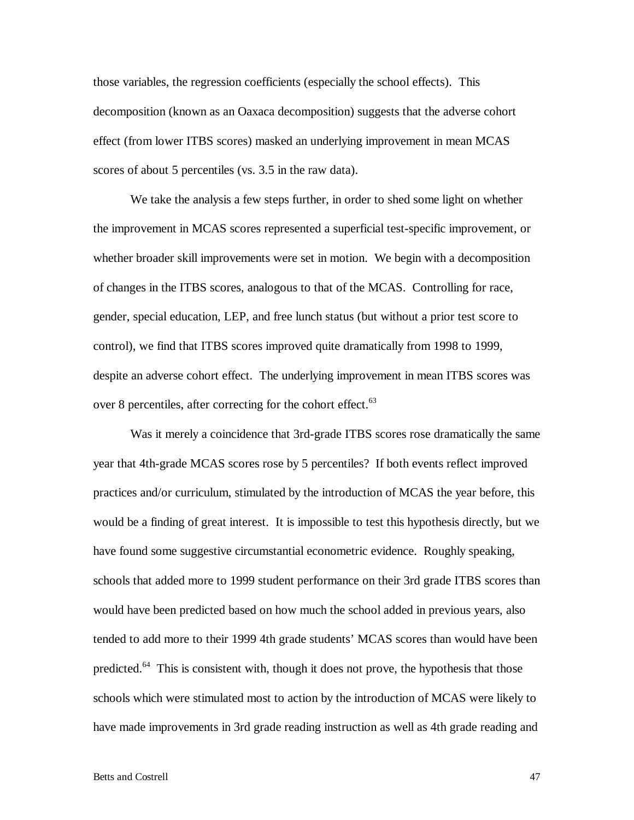those variables, the regression coefficients (especially the school effects). This decomposition (known as an Oaxaca decomposition) suggests that the adverse cohort effect (from lower ITBS scores) masked an underlying improvement in mean MCAS scores of about 5 percentiles (vs. 3.5 in the raw data).

 We take the analysis a few steps further, in order to shed some light on whether the improvement in MCAS scores represented a superficial test-specific improvement, or whether broader skill improvements were set in motion. We begin with a decomposition of changes in the ITBS scores, analogous to that of the MCAS. Controlling for race, gender, special education, LEP, and free lunch status (but without a prior test score to control), we find that ITBS scores improved quite dramatically from 1998 to 1999, despite an adverse cohort effect. The underlying improvement in mean ITBS scores was over 8 percentiles, after correcting for the cohort effect.<sup>63</sup>

 Was it merely a coincidence that 3rd-grade ITBS scores rose dramatically the same year that 4th-grade MCAS scores rose by 5 percentiles? If both events reflect improved practices and/or curriculum, stimulated by the introduction of MCAS the year before, this would be a finding of great interest. It is impossible to test this hypothesis directly, but we have found some suggestive circumstantial econometric evidence. Roughly speaking, schools that added more to 1999 student performance on their 3rd grade ITBS scores than would have been predicted based on how much the school added in previous years, also tended to add more to their 1999 4th grade students' MCAS scores than would have been predicted.<sup>64</sup> This is consistent with, though it does not prove, the hypothesis that those schools which were stimulated most to action by the introduction of MCAS were likely to have made improvements in 3rd grade reading instruction as well as 4th grade reading and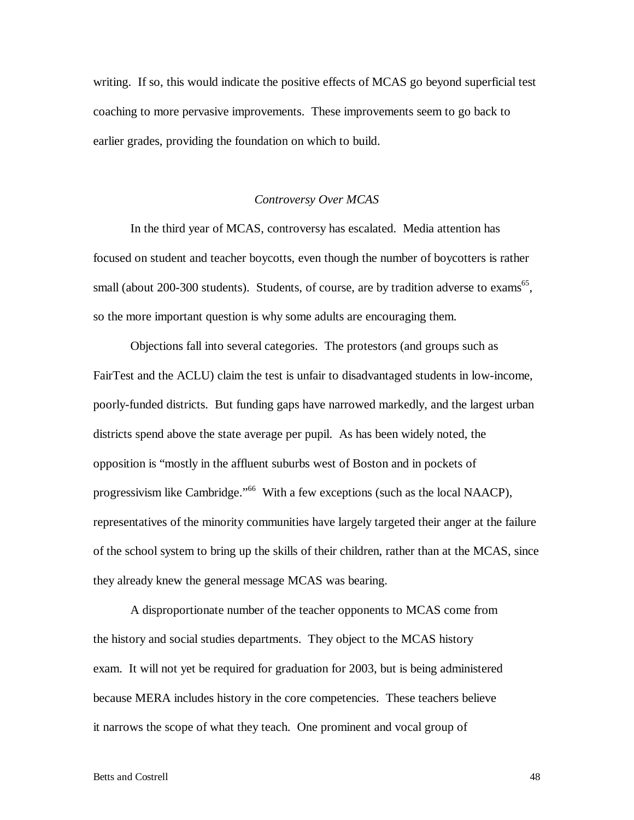writing. If so, this would indicate the positive effects of MCAS go beyond superficial test coaching to more pervasive improvements. These improvements seem to go back to earlier grades, providing the foundation on which to build.

# *Controversy Over MCAS*

 In the third year of MCAS, controversy has escalated. Media attention has focused on student and teacher boycotts, even though the number of boycotters is rather small (about 200-300 students). Students, of course, are by tradition adverse to exams<sup>65</sup>, so the more important question is why some adults are encouraging them.

 Objections fall into several categories. The protestors (and groups such as FairTest and the ACLU) claim the test is unfair to disadvantaged students in low-income, poorly-funded districts. But funding gaps have narrowed markedly, and the largest urban districts spend above the state average per pupil. As has been widely noted, the opposition is "mostly in the affluent suburbs west of Boston and in pockets of progressivism like Cambridge."<sup>66</sup> With a few exceptions (such as the local NAACP), representatives of the minority communities have largely targeted their anger at the failure of the school system to bring up the skills of their children, rather than at the MCAS, since they already knew the general message MCAS was bearing.

A disproportionate number of the teacher opponents to MCAS come from the history and social studies departments. They object to the MCAS history exam. It will not yet be required for graduation for 2003, but is being administered because MERA includes history in the core competencies. These teachers believe it narrows the scope of what they teach. One prominent and vocal group of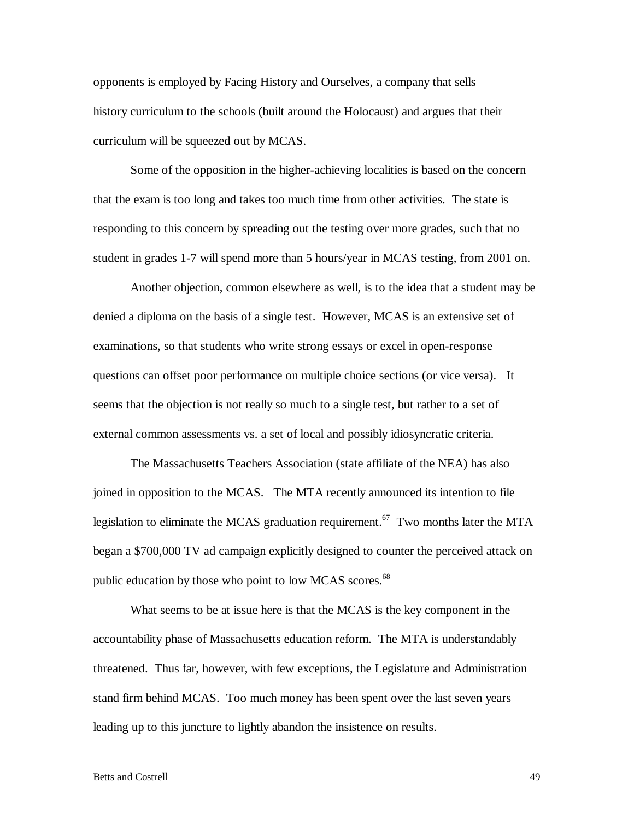opponents is employed by Facing History and Ourselves, a company that sells history curriculum to the schools (built around the Holocaust) and argues that their curriculum will be squeezed out by MCAS.

Some of the opposition in the higher-achieving localities is based on the concern that the exam is too long and takes too much time from other activities. The state is responding to this concern by spreading out the testing over more grades, such that no student in grades 1-7 will spend more than 5 hours/year in MCAS testing, from 2001 on.

Another objection, common elsewhere as well, is to the idea that a student may be denied a diploma on the basis of a single test. However, MCAS is an extensive set of examinations, so that students who write strong essays or excel in open-response questions can offset poor performance on multiple choice sections (or vice versa). It seems that the objection is not really so much to a single test, but rather to a set of external common assessments vs. a set of local and possibly idiosyncratic criteria.

 The Massachusetts Teachers Association (state affiliate of the NEA) has also joined in opposition to the MCAS. The MTA recently announced its intention to file legislation to eliminate the MCAS graduation requirement.<sup>67</sup> Two months later the MTA began a \$700,000 TV ad campaign explicitly designed to counter the perceived attack on public education by those who point to low MCAS scores.<sup>68</sup>

What seems to be at issue here is that the MCAS is the key component in the accountability phase of Massachusetts education reform. The MTA is understandably threatened. Thus far, however, with few exceptions, the Legislature and Administration stand firm behind MCAS. Too much money has been spent over the last seven years leading up to this juncture to lightly abandon the insistence on results.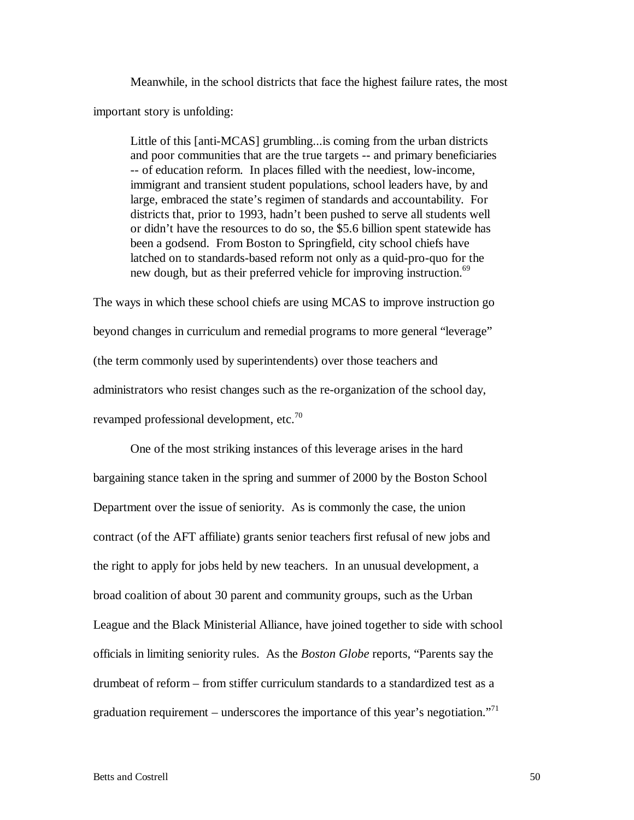Meanwhile, in the school districts that face the highest failure rates, the most important story is unfolding:

Little of this [anti-MCAS] grumbling...is coming from the urban districts and poor communities that are the true targets -- and primary beneficiaries -- of education reform. In places filled with the neediest, low-income, immigrant and transient student populations, school leaders have, by and large, embraced the state's regimen of standards and accountability. For districts that, prior to 1993, hadn't been pushed to serve all students well or didn't have the resources to do so, the \$5.6 billion spent statewide has been a godsend. From Boston to Springfield, city school chiefs have latched on to standards-based reform not only as a quid-pro-quo for the new dough, but as their preferred vehicle for improving instruction.<sup>69</sup>

The ways in which these school chiefs are using MCAS to improve instruction go beyond changes in curriculum and remedial programs to more general "leverage" (the term commonly used by superintendents) over those teachers and administrators who resist changes such as the re-organization of the school day, revamped professional development, etc.<sup>70</sup>

One of the most striking instances of this leverage arises in the hard bargaining stance taken in the spring and summer of 2000 by the Boston School Department over the issue of seniority. As is commonly the case, the union contract (of the AFT affiliate) grants senior teachers first refusal of new jobs and the right to apply for jobs held by new teachers. In an unusual development, a broad coalition of about 30 parent and community groups, such as the Urban League and the Black Ministerial Alliance, have joined together to side with school officials in limiting seniority rules. As the *Boston Globe* reports, "Parents say the drumbeat of reform – from stiffer curriculum standards to a standardized test as a graduation requirement – underscores the importance of this year's negotiation."<sup>71</sup>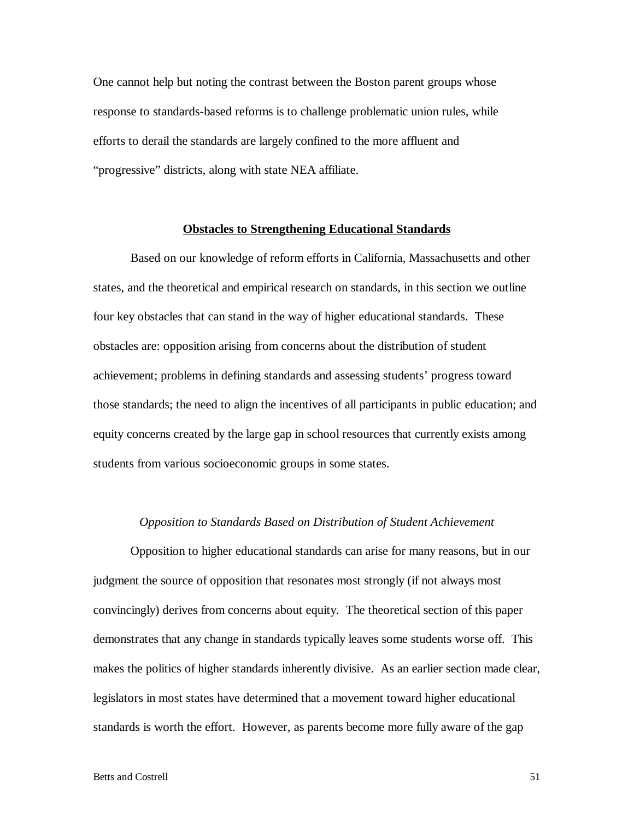One cannot help but noting the contrast between the Boston parent groups whose response to standards-based reforms is to challenge problematic union rules, while efforts to derail the standards are largely confined to the more affluent and "progressive" districts, along with state NEA affiliate.

# **Obstacles to Strengthening Educational Standards**

 Based on our knowledge of reform efforts in California, Massachusetts and other states, and the theoretical and empirical research on standards, in this section we outline four key obstacles that can stand in the way of higher educational standards. These obstacles are: opposition arising from concerns about the distribution of student achievement; problems in defining standards and assessing students' progress toward those standards; the need to align the incentives of all participants in public education; and equity concerns created by the large gap in school resources that currently exists among students from various socioeconomic groups in some states.

#### *Opposition to Standards Based on Distribution of Student Achievement*

 Opposition to higher educational standards can arise for many reasons, but in our judgment the source of opposition that resonates most strongly (if not always most convincingly) derives from concerns about equity. The theoretical section of this paper demonstrates that any change in standards typically leaves some students worse off. This makes the politics of higher standards inherently divisive. As an earlier section made clear, legislators in most states have determined that a movement toward higher educational standards is worth the effort. However, as parents become more fully aware of the gap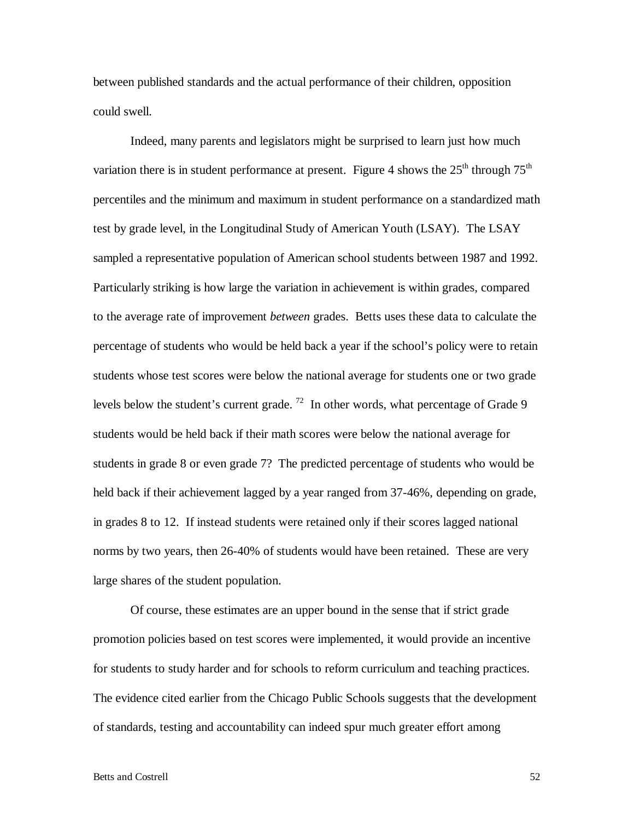between published standards and the actual performance of their children, opposition could swell.

 Indeed, many parents and legislators might be surprised to learn just how much variation there is in student performance at present. Figure 4 shows the  $25<sup>th</sup>$  through  $75<sup>th</sup>$ percentiles and the minimum and maximum in student performance on a standardized math test by grade level, in the Longitudinal Study of American Youth (LSAY). The LSAY sampled a representative population of American school students between 1987 and 1992. Particularly striking is how large the variation in achievement is within grades, compared to the average rate of improvement *between* grades. Betts uses these data to calculate the percentage of students who would be held back a year if the school's policy were to retain students whose test scores were below the national average for students one or two grade levels below the student's current grade. <sup>72</sup> In other words, what percentage of Grade 9 students would be held back if their math scores were below the national average for students in grade 8 or even grade 7? The predicted percentage of students who would be held back if their achievement lagged by a year ranged from 37-46%, depending on grade, in grades 8 to 12. If instead students were retained only if their scores lagged national norms by two years, then 26-40% of students would have been retained. These are very large shares of the student population.

 Of course, these estimates are an upper bound in the sense that if strict grade promotion policies based on test scores were implemented, it would provide an incentive for students to study harder and for schools to reform curriculum and teaching practices. The evidence cited earlier from the Chicago Public Schools suggests that the development of standards, testing and accountability can indeed spur much greater effort among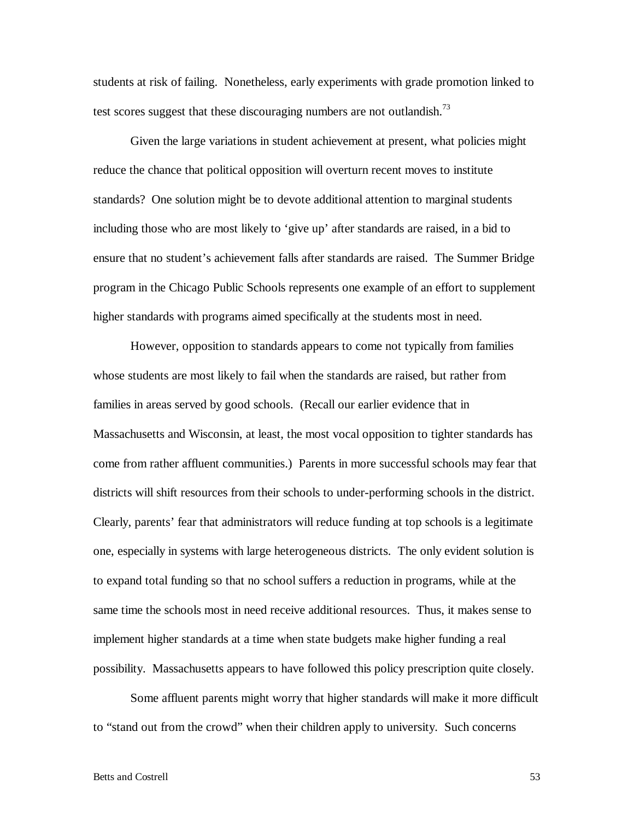students at risk of failing. Nonetheless, early experiments with grade promotion linked to test scores suggest that these discouraging numbers are not outlandish.<sup>73</sup>

 Given the large variations in student achievement at present, what policies might reduce the chance that political opposition will overturn recent moves to institute standards? One solution might be to devote additional attention to marginal students including those who are most likely to 'give up' after standards are raised, in a bid to ensure that no student's achievement falls after standards are raised. The Summer Bridge program in the Chicago Public Schools represents one example of an effort to supplement higher standards with programs aimed specifically at the students most in need.

 However, opposition to standards appears to come not typically from families whose students are most likely to fail when the standards are raised, but rather from families in areas served by good schools. (Recall our earlier evidence that in Massachusetts and Wisconsin, at least, the most vocal opposition to tighter standards has come from rather affluent communities.) Parents in more successful schools may fear that districts will shift resources from their schools to under-performing schools in the district. Clearly, parents' fear that administrators will reduce funding at top schools is a legitimate one, especially in systems with large heterogeneous districts. The only evident solution is to expand total funding so that no school suffers a reduction in programs, while at the same time the schools most in need receive additional resources. Thus, it makes sense to implement higher standards at a time when state budgets make higher funding a real possibility. Massachusetts appears to have followed this policy prescription quite closely.

Some affluent parents might worry that higher standards will make it more difficult to "stand out from the crowd" when their children apply to university. Such concerns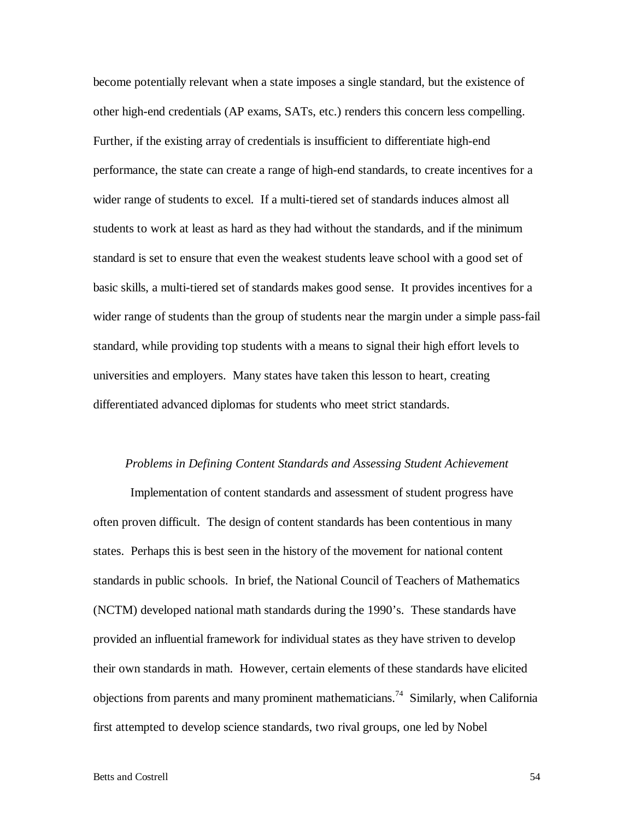become potentially relevant when a state imposes a single standard, but the existence of other high-end credentials (AP exams, SATs, etc.) renders this concern less compelling. Further, if the existing array of credentials is insufficient to differentiate high-end performance, the state can create a range of high-end standards, to create incentives for a wider range of students to excel. If a multi-tiered set of standards induces almost all students to work at least as hard as they had without the standards, and if the minimum standard is set to ensure that even the weakest students leave school with a good set of basic skills, a multi-tiered set of standards makes good sense. It provides incentives for a wider range of students than the group of students near the margin under a simple pass-fail standard, while providing top students with a means to signal their high effort levels to universities and employers. Many states have taken this lesson to heart, creating differentiated advanced diplomas for students who meet strict standards.

## *Problems in Defining Content Standards and Assessing Student Achievement*

 Implementation of content standards and assessment of student progress have often proven difficult. The design of content standards has been contentious in many states. Perhaps this is best seen in the history of the movement for national content standards in public schools. In brief, the National Council of Teachers of Mathematics (NCTM) developed national math standards during the 1990's. These standards have provided an influential framework for individual states as they have striven to develop their own standards in math. However, certain elements of these standards have elicited objections from parents and many prominent mathematicians.<sup>74</sup> Similarly, when California first attempted to develop science standards, two rival groups, one led by Nobel

#### Betts and Costrell 54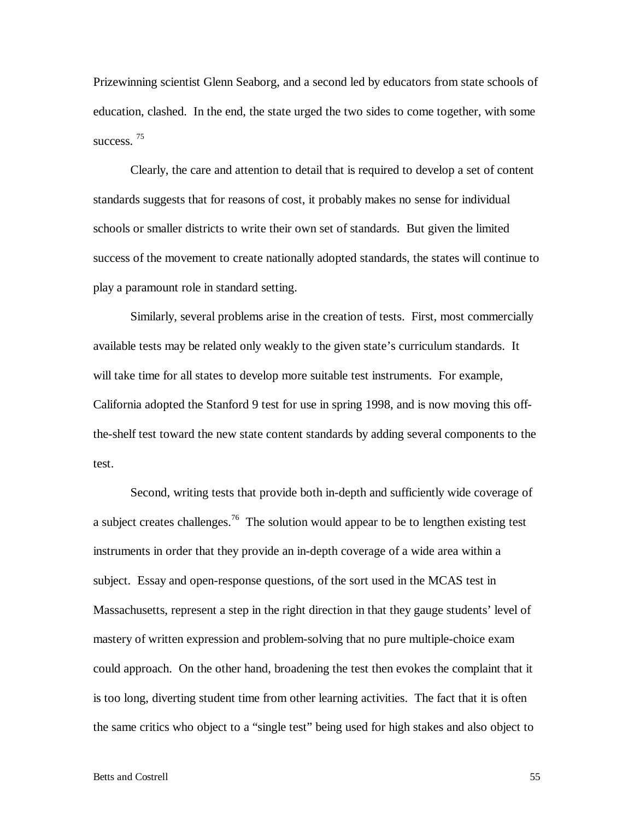Prizewinning scientist Glenn Seaborg, and a second led by educators from state schools of education, clashed. In the end, the state urged the two sides to come together, with some success.<sup>75</sup>

 Clearly, the care and attention to detail that is required to develop a set of content standards suggests that for reasons of cost, it probably makes no sense for individual schools or smaller districts to write their own set of standards. But given the limited success of the movement to create nationally adopted standards, the states will continue to play a paramount role in standard setting.

 Similarly, several problems arise in the creation of tests. First, most commercially available tests may be related only weakly to the given state's curriculum standards. It will take time for all states to develop more suitable test instruments. For example, California adopted the Stanford 9 test for use in spring 1998, and is now moving this offthe-shelf test toward the new state content standards by adding several components to the test.

 Second, writing tests that provide both in-depth and sufficiently wide coverage of a subject creates challenges.<sup>76</sup> The solution would appear to be to lengthen existing test instruments in order that they provide an in-depth coverage of a wide area within a subject. Essay and open-response questions, of the sort used in the MCAS test in Massachusetts, represent a step in the right direction in that they gauge students' level of mastery of written expression and problem-solving that no pure multiple-choice exam could approach. On the other hand, broadening the test then evokes the complaint that it is too long, diverting student time from other learning activities. The fact that it is often the same critics who object to a "single test" being used for high stakes and also object to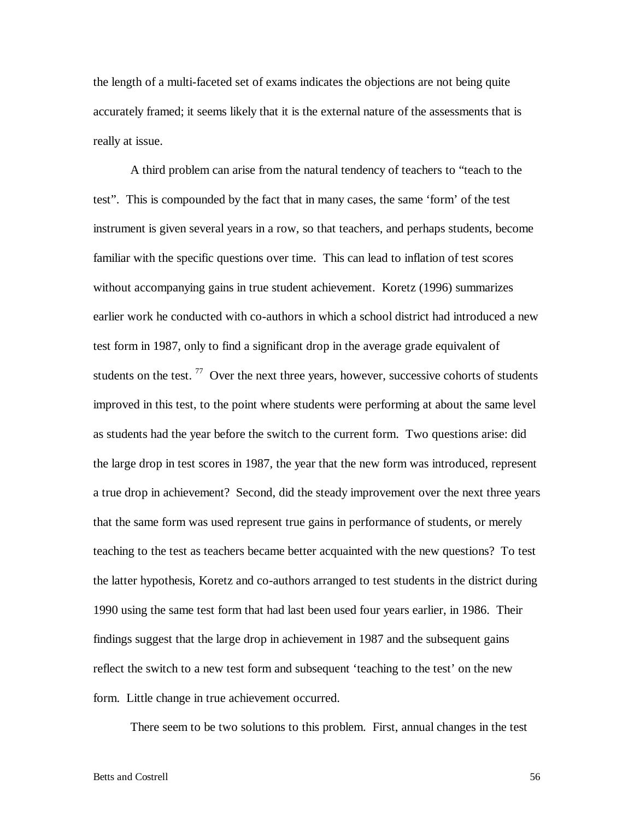the length of a multi-faceted set of exams indicates the objections are not being quite accurately framed; it seems likely that it is the external nature of the assessments that is really at issue.

 A third problem can arise from the natural tendency of teachers to "teach to the test". This is compounded by the fact that in many cases, the same 'form' of the test instrument is given several years in a row, so that teachers, and perhaps students, become familiar with the specific questions over time. This can lead to inflation of test scores without accompanying gains in true student achievement. Koretz (1996) summarizes earlier work he conducted with co-authors in which a school district had introduced a new test form in 1987, only to find a significant drop in the average grade equivalent of students on the test.  $77$  Over the next three years, however, successive cohorts of students improved in this test, to the point where students were performing at about the same level as students had the year before the switch to the current form. Two questions arise: did the large drop in test scores in 1987, the year that the new form was introduced, represent a true drop in achievement? Second, did the steady improvement over the next three years that the same form was used represent true gains in performance of students, or merely teaching to the test as teachers became better acquainted with the new questions? To test the latter hypothesis, Koretz and co-authors arranged to test students in the district during 1990 using the same test form that had last been used four years earlier, in 1986. Their findings suggest that the large drop in achievement in 1987 and the subsequent gains reflect the switch to a new test form and subsequent 'teaching to the test' on the new form. Little change in true achievement occurred.

There seem to be two solutions to this problem. First, annual changes in the test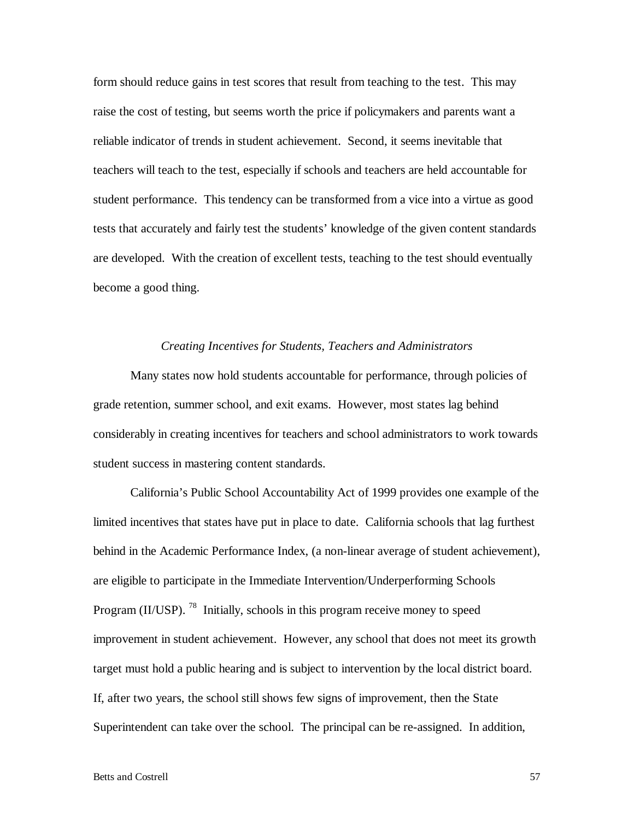form should reduce gains in test scores that result from teaching to the test. This may raise the cost of testing, but seems worth the price if policymakers and parents want a reliable indicator of trends in student achievement. Second, it seems inevitable that teachers will teach to the test, especially if schools and teachers are held accountable for student performance. This tendency can be transformed from a vice into a virtue as good tests that accurately and fairly test the students' knowledge of the given content standards are developed. With the creation of excellent tests, teaching to the test should eventually become a good thing.

#### *Creating Incentives for Students, Teachers and Administrators*

 Many states now hold students accountable for performance, through policies of grade retention, summer school, and exit exams. However, most states lag behind considerably in creating incentives for teachers and school administrators to work towards student success in mastering content standards.

 California's Public School Accountability Act of 1999 provides one example of the limited incentives that states have put in place to date. California schools that lag furthest behind in the Academic Performance Index, (a non-linear average of student achievement), are eligible to participate in the Immediate Intervention/Underperforming Schools Program (II/USP).<sup>78</sup> Initially, schools in this program receive money to speed improvement in student achievement. However, any school that does not meet its growth target must hold a public hearing and is subject to intervention by the local district board. If, after two years, the school still shows few signs of improvement, then the State Superintendent can take over the school. The principal can be re-assigned. In addition,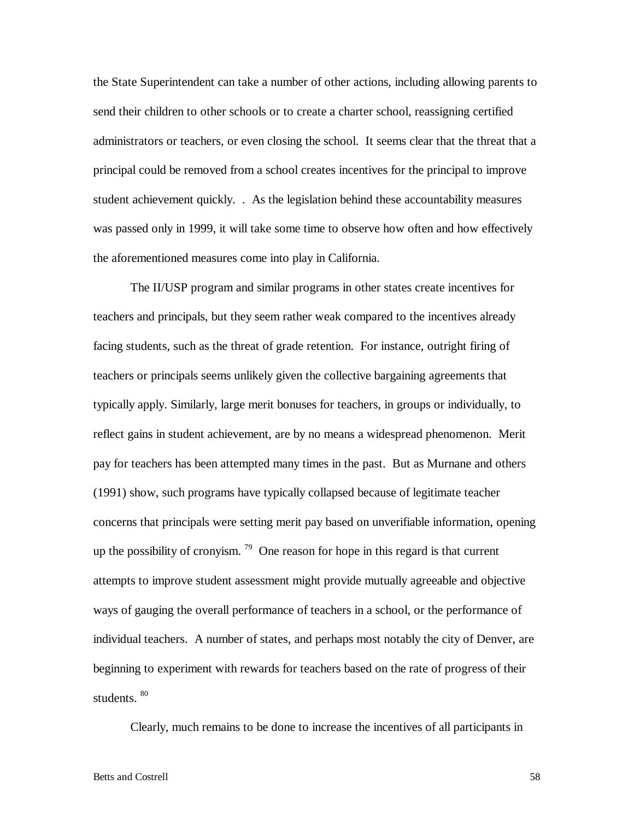the State Superintendent can take a number of other actions, including allowing parents to send their children to other schools or to create a charter school, reassigning certified administrators or teachers, or even closing the school. It seems clear that the threat that a principal could be removed from a school creates incentives for the principal to improve student achievement quickly. . As the legislation behind these accountability measures was passed only in 1999, it will take some time to observe how often and how effectively the aforementioned measures come into play in California.

 The II/USP program and similar programs in other states create incentives for teachers and principals, but they seem rather weak compared to the incentives already facing students, such as the threat of grade retention. For instance, outright firing of teachers or principals seems unlikely given the collective bargaining agreements that typically apply. Similarly, large merit bonuses for teachers, in groups or individually, to reflect gains in student achievement, are by no means a widespread phenomenon. Merit pay for teachers has been attempted many times in the past. But as Murnane and others (1991) show, such programs have typically collapsed because of legitimate teacher concerns that principals were setting merit pay based on unverifiable information, opening up the possibility of cronyism.  $79$  One reason for hope in this regard is that current attempts to improve student assessment might provide mutually agreeable and objective ways of gauging the overall performance of teachers in a school, or the performance of individual teachers. A number of states, and perhaps most notably the city of Denver, are beginning to experiment with rewards for teachers based on the rate of progress of their students. 80

Clearly, much remains to be done to increase the incentives of all participants in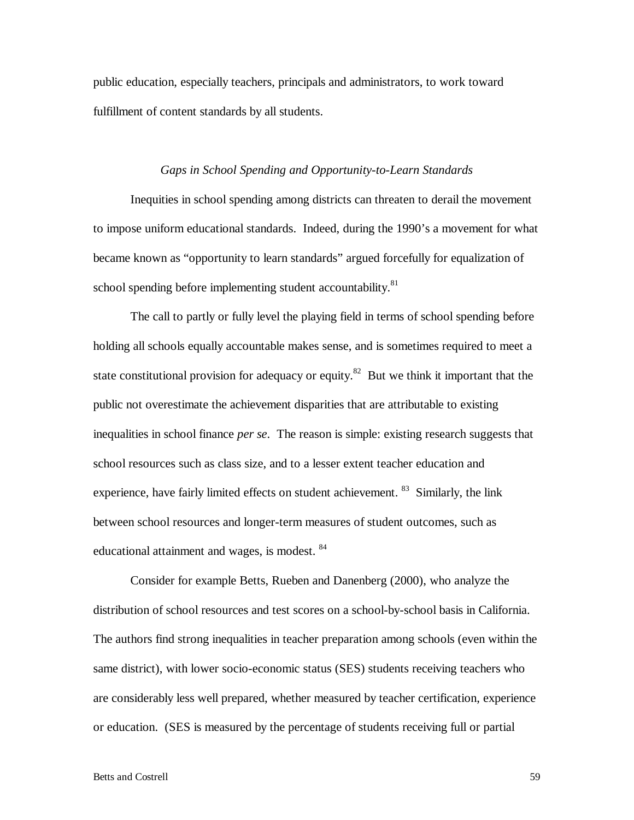public education, especially teachers, principals and administrators, to work toward fulfillment of content standards by all students.

# *Gaps in School Spending and Opportunity-to-Learn Standards*

 Inequities in school spending among districts can threaten to derail the movement to impose uniform educational standards. Indeed, during the 1990's a movement for what became known as "opportunity to learn standards" argued forcefully for equalization of school spending before implementing student accountability.<sup>81</sup>

 The call to partly or fully level the playing field in terms of school spending before holding all schools equally accountable makes sense, and is sometimes required to meet a state constitutional provision for adequacy or equity.<sup>82</sup> But we think it important that the public not overestimate the achievement disparities that are attributable to existing inequalities in school finance *per se*. The reason is simple: existing research suggests that school resources such as class size, and to a lesser extent teacher education and experience, have fairly limited effects on student achievement. <sup>83</sup> Similarly, the link between school resources and longer-term measures of student outcomes, such as educational attainment and wages, is modest. <sup>84</sup>

 Consider for example Betts, Rueben and Danenberg (2000), who analyze the distribution of school resources and test scores on a school-by-school basis in California. The authors find strong inequalities in teacher preparation among schools (even within the same district), with lower socio-economic status (SES) students receiving teachers who are considerably less well prepared, whether measured by teacher certification, experience or education. (SES is measured by the percentage of students receiving full or partial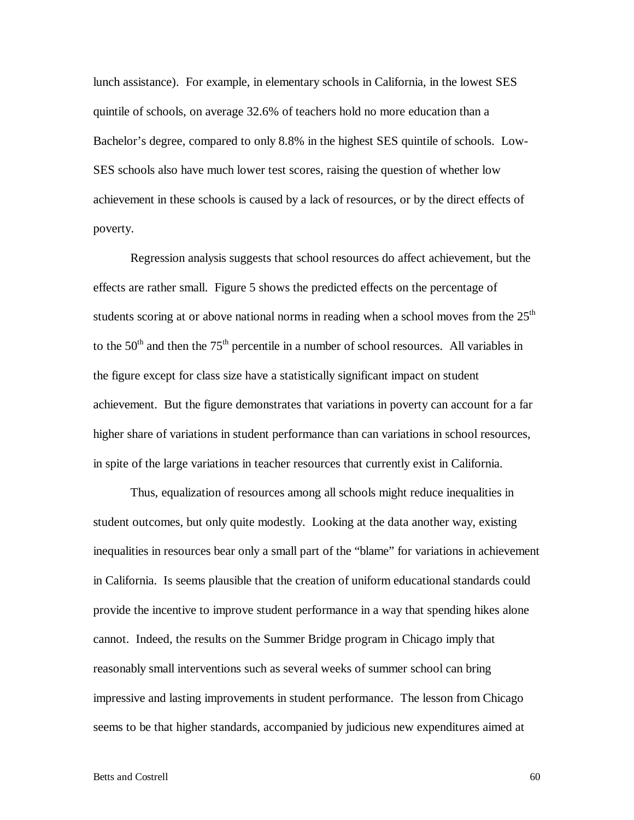lunch assistance). For example, in elementary schools in California, in the lowest SES quintile of schools, on average 32.6% of teachers hold no more education than a Bachelor's degree, compared to only 8.8% in the highest SES quintile of schools. Low-SES schools also have much lower test scores, raising the question of whether low achievement in these schools is caused by a lack of resources, or by the direct effects of poverty.

 Regression analysis suggests that school resources do affect achievement, but the effects are rather small. Figure 5 shows the predicted effects on the percentage of students scoring at or above national norms in reading when a school moves from the  $25<sup>th</sup>$ to the  $50<sup>th</sup>$  and then the  $75<sup>th</sup>$  percentile in a number of school resources. All variables in the figure except for class size have a statistically significant impact on student achievement. But the figure demonstrates that variations in poverty can account for a far higher share of variations in student performance than can variations in school resources, in spite of the large variations in teacher resources that currently exist in California.

 Thus, equalization of resources among all schools might reduce inequalities in student outcomes, but only quite modestly. Looking at the data another way, existing inequalities in resources bear only a small part of the "blame" for variations in achievement in California. Is seems plausible that the creation of uniform educational standards could provide the incentive to improve student performance in a way that spending hikes alone cannot. Indeed, the results on the Summer Bridge program in Chicago imply that reasonably small interventions such as several weeks of summer school can bring impressive and lasting improvements in student performance. The lesson from Chicago seems to be that higher standards, accompanied by judicious new expenditures aimed at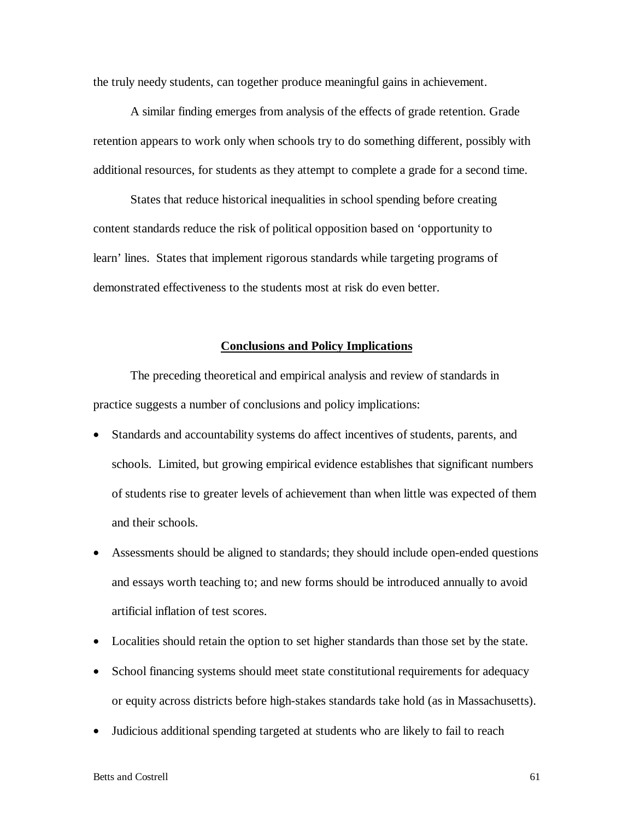the truly needy students, can together produce meaningful gains in achievement.

 A similar finding emerges from analysis of the effects of grade retention. Grade retention appears to work only when schools try to do something different, possibly with additional resources, for students as they attempt to complete a grade for a second time.

States that reduce historical inequalities in school spending before creating content standards reduce the risk of political opposition based on 'opportunity to learn' lines. States that implement rigorous standards while targeting programs of demonstrated effectiveness to the students most at risk do even better.

# **Conclusions and Policy Implications**

 The preceding theoretical and empirical analysis and review of standards in practice suggests a number of conclusions and policy implications:

- Standards and accountability systems do affect incentives of students, parents, and schools. Limited, but growing empirical evidence establishes that significant numbers of students rise to greater levels of achievement than when little was expected of them and their schools.
- Assessments should be aligned to standards; they should include open-ended questions and essays worth teaching to; and new forms should be introduced annually to avoid artificial inflation of test scores.
- Localities should retain the option to set higher standards than those set by the state.
- School financing systems should meet state constitutional requirements for adequacy or equity across districts before high-stakes standards take hold (as in Massachusetts).
- Judicious additional spending targeted at students who are likely to fail to reach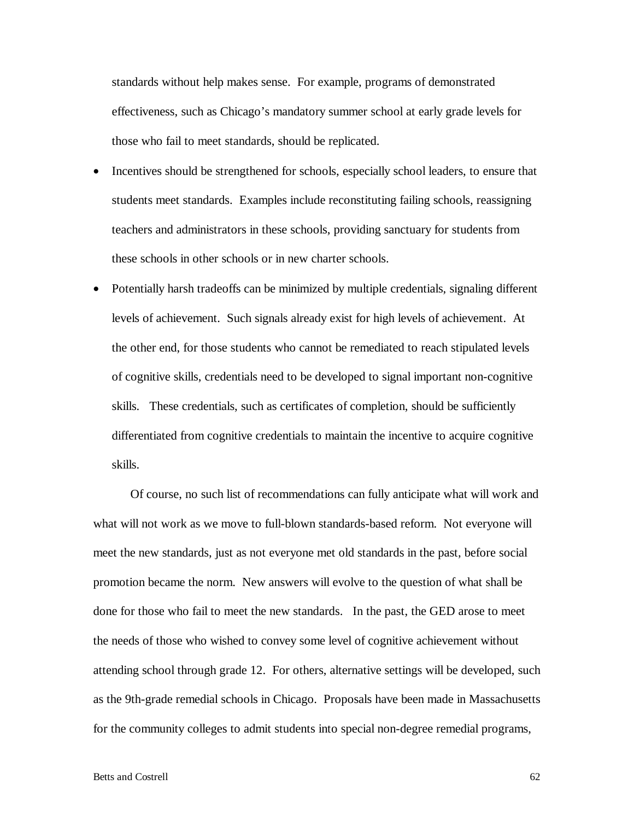standards without help makes sense. For example, programs of demonstrated effectiveness, such as Chicago's mandatory summer school at early grade levels for those who fail to meet standards, should be replicated.

- Incentives should be strengthened for schools, especially school leaders, to ensure that students meet standards. Examples include reconstituting failing schools, reassigning teachers and administrators in these schools, providing sanctuary for students from these schools in other schools or in new charter schools.
- Potentially harsh tradeoffs can be minimized by multiple credentials, signaling different levels of achievement. Such signals already exist for high levels of achievement. At the other end, for those students who cannot be remediated to reach stipulated levels of cognitive skills, credentials need to be developed to signal important non-cognitive skills. These credentials, such as certificates of completion, should be sufficiently differentiated from cognitive credentials to maintain the incentive to acquire cognitive skills.

 Of course, no such list of recommendations can fully anticipate what will work and what will not work as we move to full-blown standards-based reform. Not everyone will meet the new standards, just as not everyone met old standards in the past, before social promotion became the norm. New answers will evolve to the question of what shall be done for those who fail to meet the new standards. In the past, the GED arose to meet the needs of those who wished to convey some level of cognitive achievement without attending school through grade 12. For others, alternative settings will be developed, such as the 9th-grade remedial schools in Chicago. Proposals have been made in Massachusetts for the community colleges to admit students into special non-degree remedial programs,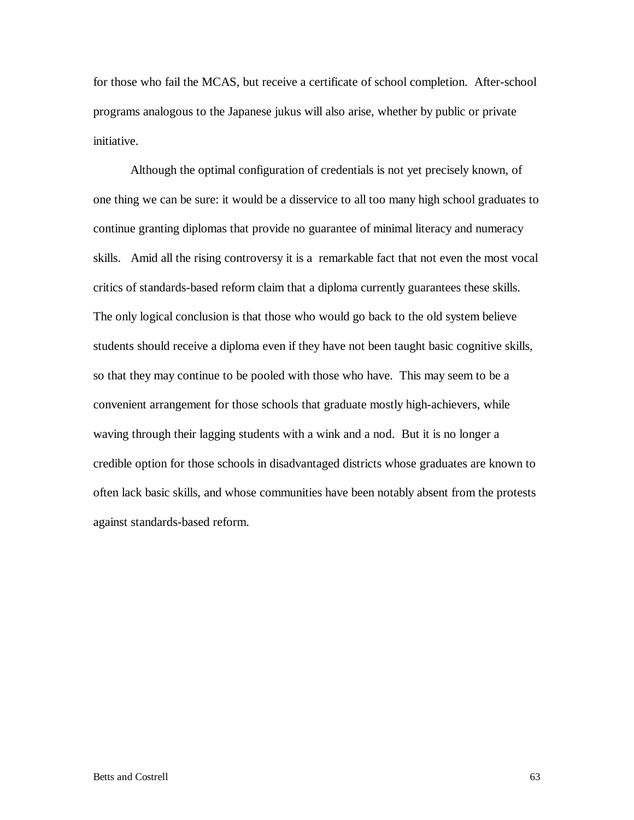for those who fail the MCAS, but receive a certificate of school completion. After-school programs analogous to the Japanese jukus will also arise, whether by public or private initiative.

 Although the optimal configuration of credentials is not yet precisely known, of one thing we can be sure: it would be a disservice to all too many high school graduates to continue granting diplomas that provide no guarantee of minimal literacy and numeracy skills. Amid all the rising controversy it is a remarkable fact that not even the most vocal critics of standards-based reform claim that a diploma currently guarantees these skills. The only logical conclusion is that those who would go back to the old system believe students should receive a diploma even if they have not been taught basic cognitive skills, so that they may continue to be pooled with those who have. This may seem to be a convenient arrangement for those schools that graduate mostly high-achievers, while waving through their lagging students with a wink and a nod. But it is no longer a credible option for those schools in disadvantaged districts whose graduates are known to often lack basic skills, and whose communities have been notably absent from the protests against standards-based reform.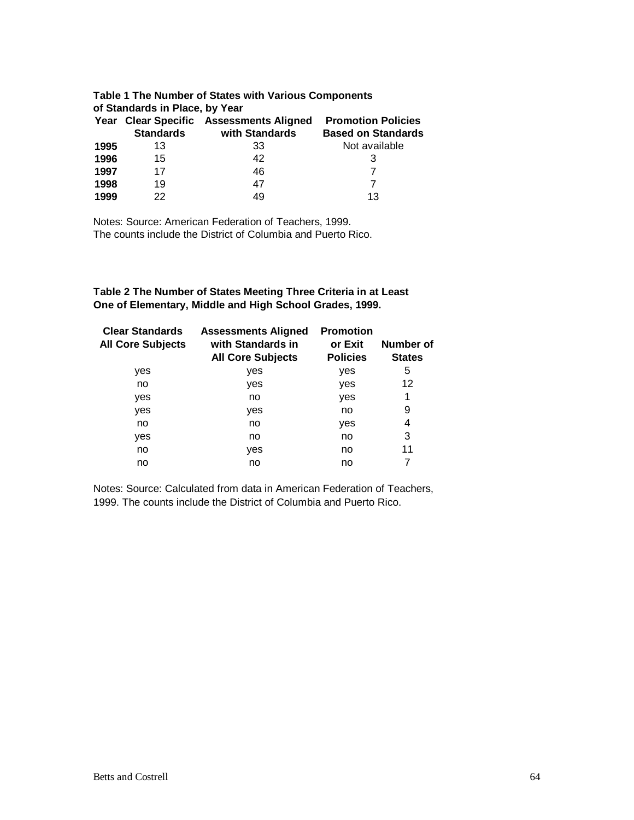| Table 1 The Number of States with Various Components<br>of Standards in Place, by Year |                  |                                         |                           |  |
|----------------------------------------------------------------------------------------|------------------|-----------------------------------------|---------------------------|--|
|                                                                                        |                  | Year Clear Specific Assessments Aligned | <b>Promotion Policies</b> |  |
|                                                                                        | <b>Standards</b> | with Standards                          | <b>Based on Standards</b> |  |
| 1995                                                                                   | 13               | 33                                      | Not available             |  |
| 1996                                                                                   | 15               | 42                                      | З                         |  |
| 1997                                                                                   | 17               | 46                                      |                           |  |
| 1998                                                                                   | 19               | 47                                      |                           |  |
| 1999                                                                                   | 22               | 49                                      | 13                        |  |

Notes: Source: American Federation of Teachers, 1999. The counts include the District of Columbia and Puerto Rico.

**Table 2 The Number of States Meeting Three Criteria in at Least One of Elementary, Middle and High School Grades, 1999.**

| <b>Clear Standards</b><br><b>All Core Subjects</b> | <b>Assessments Aligned</b><br>with Standards in<br><b>All Core Subjects</b> | <b>Promotion</b><br>or Exit<br><b>Policies</b> | Number of<br><b>States</b> |
|----------------------------------------------------|-----------------------------------------------------------------------------|------------------------------------------------|----------------------------|
| yes                                                | yes                                                                         | yes                                            | 5                          |
| no                                                 | yes                                                                         | yes                                            | 12                         |
| yes                                                | no                                                                          | yes                                            | 1                          |
| yes                                                | yes                                                                         | no                                             | 9                          |
| no                                                 | no                                                                          | yes                                            | 4                          |
| yes                                                | no                                                                          | no                                             | 3                          |
| no                                                 | yes                                                                         | no                                             | 11                         |
| no                                                 | no                                                                          | no                                             |                            |

Notes: Source: Calculated from data in American Federation of Teachers, 1999. The counts include the District of Columbia and Puerto Rico.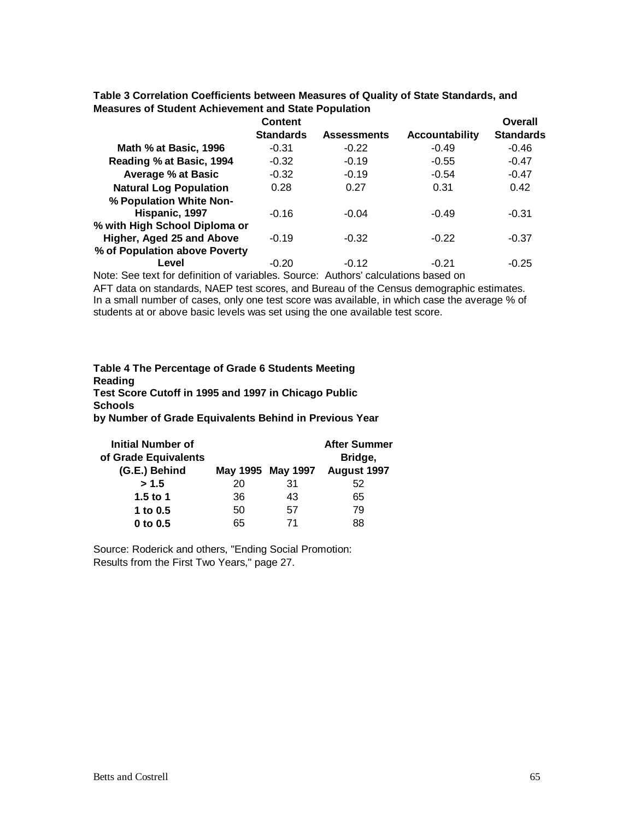|                               | Content          |                    |                       | Overall          |
|-------------------------------|------------------|--------------------|-----------------------|------------------|
|                               | <b>Standards</b> | <b>Assessments</b> | <b>Accountability</b> | <b>Standards</b> |
| Math % at Basic, 1996         | $-0.31$          | $-0.22$            | $-0.49$               | $-0.46$          |
| Reading % at Basic, 1994      | $-0.32$          | $-0.19$            | $-0.55$               | $-0.47$          |
| <b>Average % at Basic</b>     | $-0.32$          | $-0.19$            | $-0.54$               | $-0.47$          |
| <b>Natural Log Population</b> | 0.28             | 0.27               | 0.31                  | 0.42             |
| % Population White Non-       |                  |                    |                       |                  |
| Hispanic, 1997                | $-0.16$          | $-0.04$            | $-0.49$               | $-0.31$          |
| % with High School Diploma or |                  |                    |                       |                  |
| Higher, Aged 25 and Above     | $-0.19$          | $-0.32$            | $-0.22$               | $-0.37$          |
| % of Population above Poverty |                  |                    |                       |                  |
| Level                         | $-0.20$          | $-0.12$            | $-0.21$               | $-0.25$          |

**Table 3 Correlation Coefficients between Measures of Quality of State Standards, and Measures of Student Achievement and State Population** 

Note: See text for definition of variables. Source: Authors' calculations based on AFT data on standards, NAEP test scores, and Bureau of the Census demographic estimates. In a small number of cases, only one test score was available, in which case the average % of students at or above basic levels was set using the one available test score.

# **Table 4 The Percentage of Grade 6 Students Meeting Reading Test Score Cutoff in 1995 and 1997 in Chicago Public Schools by Number of Grade Equivalents Behind in Previous Year**

| <b>Initial Number of</b><br>of Grade Equivalents<br>(G.E.) Behind |    | May 1995 May 1997 | <b>After Summer</b><br>Bridge,<br>August 1997 |
|-------------------------------------------------------------------|----|-------------------|-----------------------------------------------|
| > 1.5                                                             | 20 | 31                | 52                                            |
| 1.5 to 1                                                          | 36 | 43                | 65                                            |
| 1 to $0.5$                                                        | 50 | 57                | 79                                            |
| $0$ to $0.5$                                                      | 65 | 71                | 88                                            |

Source: Roderick and others, "Ending Social Promotion: Results from the First Two Years," page 27.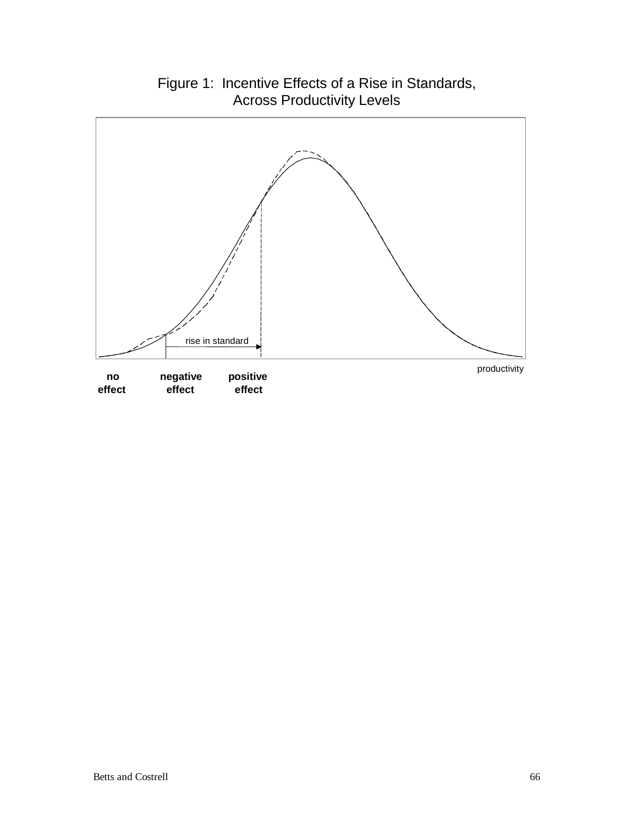

# Figure 1: Incentive Effects of a Rise in Standards, Across Productivity Levels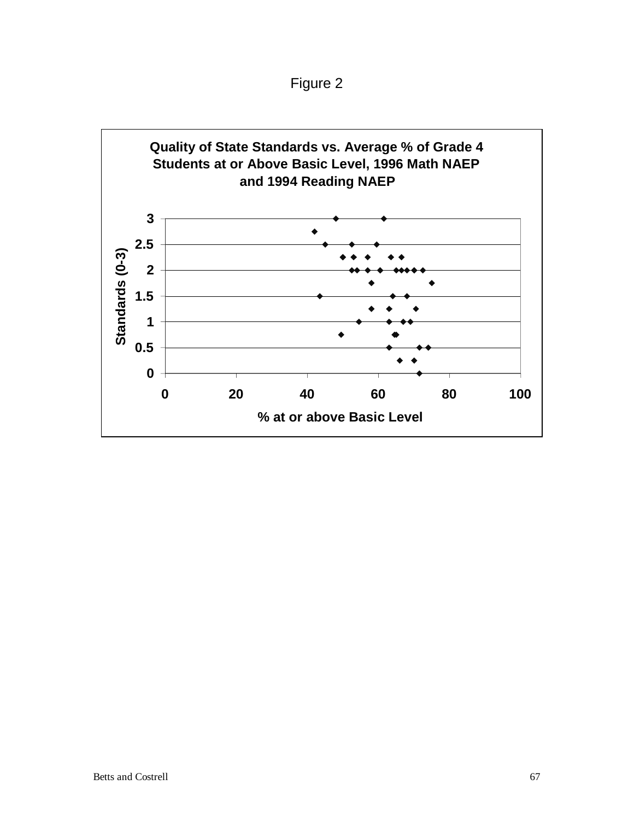Figure 2

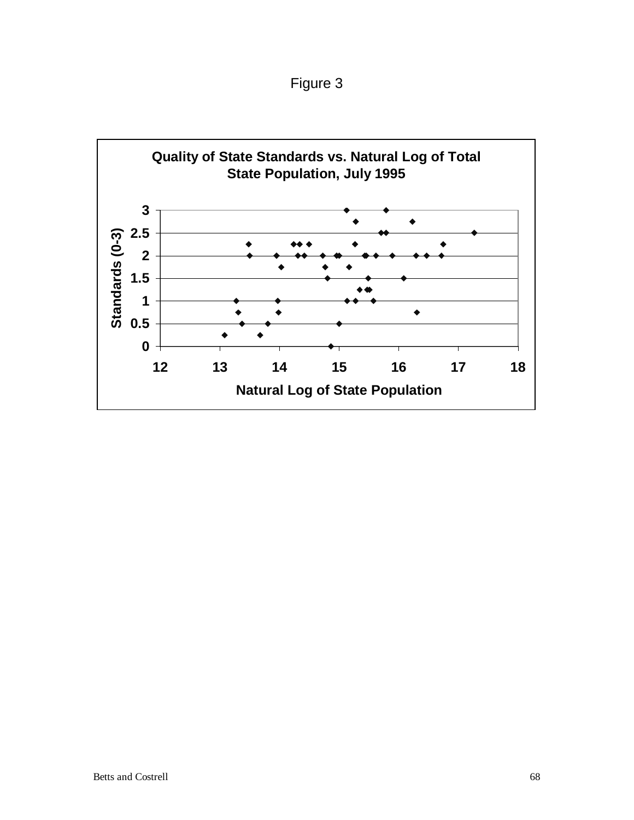Figure 3

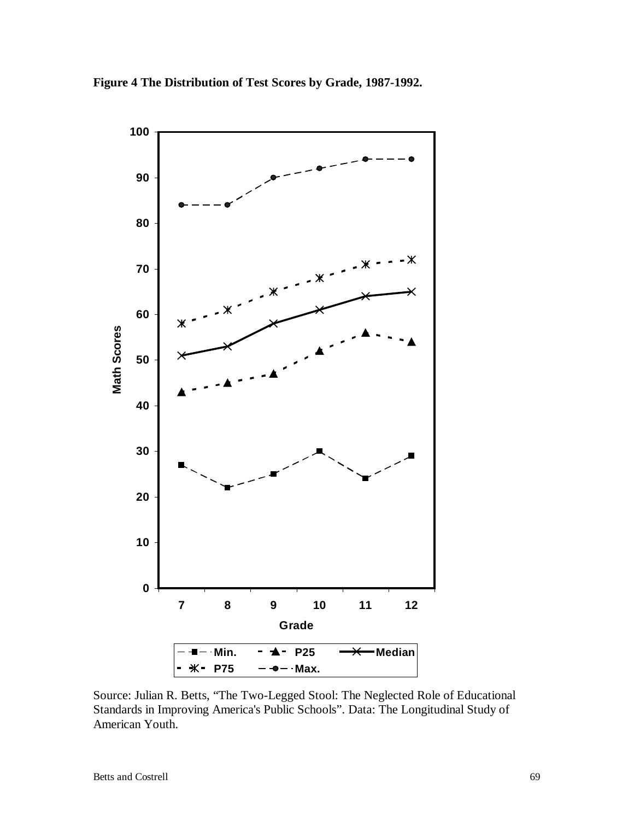

**Figure 4 The Distribution of Test Scores by Grade, 1987-1992.** 

Source: Julian R. Betts, "The Two-Legged Stool: The Neglected Role of Educational Standards in Improving America's Public Schools". Data: The Longitudinal Study of American Youth.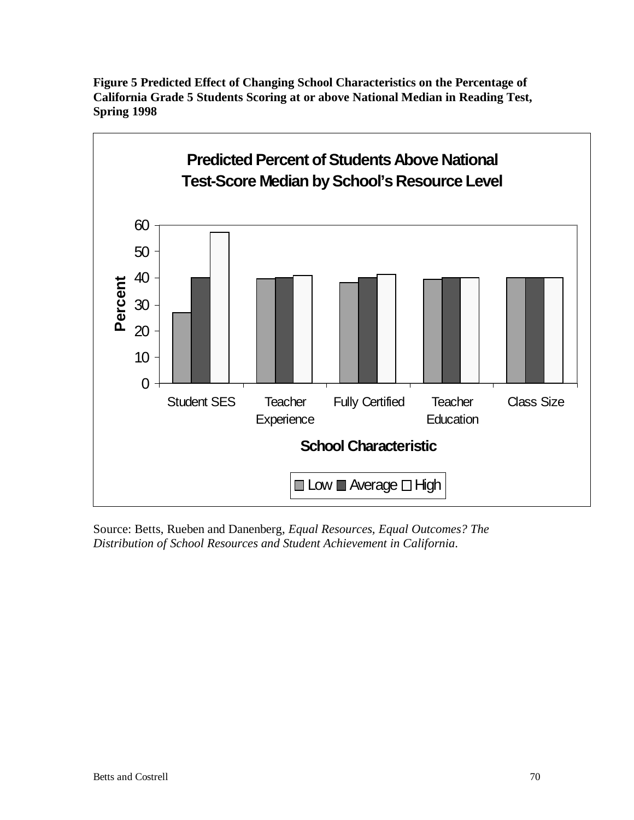

**Figure 5 Predicted Effect of Changing School Characteristics on the Percentage of California Grade 5 Students Scoring at or above National Median in Reading Test, Spring 1998**

Source: Betts, Rueben and Danenberg, *Equal Resources, Equal Outcomes? The Distribution of School Resources and Student Achievement in California*.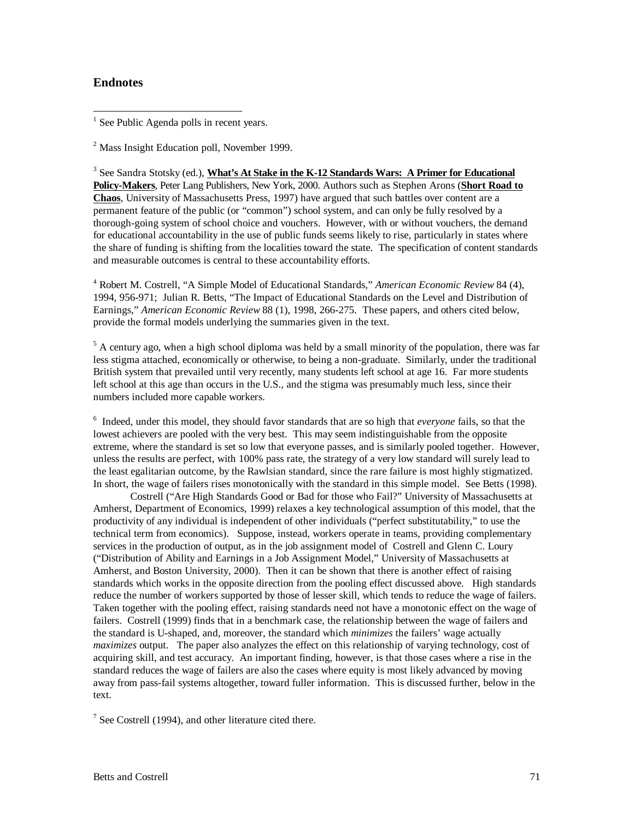## **Endnotes**

 $\overline{a}$ 

<sup>1</sup> See Public Agenda polls in recent years.

<sup>2</sup> Mass Insight Education poll, November 1999.

<sup>3</sup> See Sandra Stotsky (ed.), **What's At Stake in the K-12 Standards Wars: A Primer for Educational Policy-Makers**, Peter Lang Publishers, New York, 2000. Authors such as Stephen Arons (**Short Road to Chaos**, University of Massachusetts Press, 1997) have argued that such battles over content are a permanent feature of the public (or "common") school system, and can only be fully resolved by a thorough-going system of school choice and vouchers. However, with or without vouchers, the demand for educational accountability in the use of public funds seems likely to rise, particularly in states where the share of funding is shifting from the localities toward the state. The specification of content standards and measurable outcomes is central to these accountability efforts.

4 Robert M. Costrell, "A Simple Model of Educational Standards," *American Economic Review* 84 (4), 1994, 956-971; Julian R. Betts, "The Impact of Educational Standards on the Level and Distribution of Earnings," *American Economic Review* 88 (1), 1998, 266-275. These papers, and others cited below, provide the formal models underlying the summaries given in the text.

<sup>5</sup> A century ago, when a high school diploma was held by a small minority of the population, there was far less stigma attached, economically or otherwise, to being a non-graduate. Similarly, under the traditional British system that prevailed until very recently, many students left school at age 16. Far more students left school at this age than occurs in the U.S., and the stigma was presumably much less, since their numbers included more capable workers.

6 Indeed, under this model, they should favor standards that are so high that *everyone* fails, so that the lowest achievers are pooled with the very best. This may seem indistinguishable from the opposite extreme, where the standard is set so low that everyone passes, and is similarly pooled together. However, unless the results are perfect, with 100% pass rate, the strategy of a very low standard will surely lead to the least egalitarian outcome, by the Rawlsian standard, since the rare failure is most highly stigmatized. In short, the wage of failers rises monotonically with the standard in this simple model. See Betts (1998).

 Costrell ("Are High Standards Good or Bad for those who Fail?" University of Massachusetts at Amherst, Department of Economics, 1999) relaxes a key technological assumption of this model, that the productivity of any individual is independent of other individuals ("perfect substitutability," to use the technical term from economics). Suppose, instead, workers operate in teams, providing complementary services in the production of output, as in the job assignment model of Costrell and Glenn C. Loury ("Distribution of Ability and Earnings in a Job Assignment Model," University of Massachusetts at Amherst, and Boston University, 2000). Then it can be shown that there is another effect of raising standards which works in the opposite direction from the pooling effect discussed above. High standards reduce the number of workers supported by those of lesser skill, which tends to reduce the wage of failers. Taken together with the pooling effect, raising standards need not have a monotonic effect on the wage of failers. Costrell (1999) finds that in a benchmark case, the relationship between the wage of failers and the standard is U-shaped, and, moreover, the standard which *minimizes* the failers' wage actually *maximizes* output. The paper also analyzes the effect on this relationship of varying technology, cost of acquiring skill, and test accuracy. An important finding, however, is that those cases where a rise in the standard reduces the wage of failers are also the cases where equity is most likely advanced by moving away from pass-fail systems altogether, toward fuller information. This is discussed further, below in the text.

 $7$  See Costrell (1994), and other literature cited there.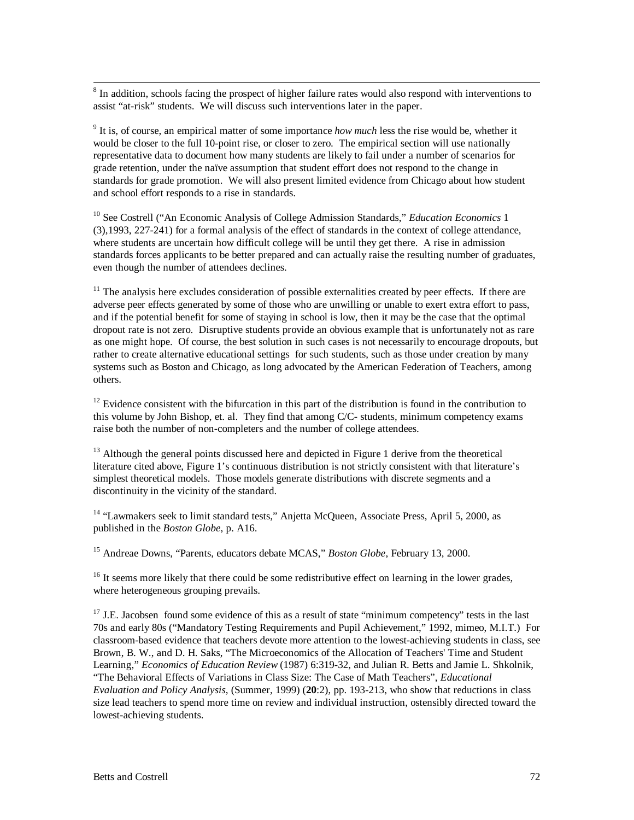8 <sup>8</sup> In addition, schools facing the prospect of higher failure rates would also respond with interventions to assist "at-risk" students. We will discuss such interventions later in the paper.

9 It is, of course, an empirical matter of some importance *how much* less the rise would be, whether it would be closer to the full 10-point rise, or closer to zero. The empirical section will use nationally representative data to document how many students are likely to fail under a number of scenarios for grade retention, under the naïve assumption that student effort does not respond to the change in standards for grade promotion. We will also present limited evidence from Chicago about how student and school effort responds to a rise in standards.

10 See Costrell ("An Economic Analysis of College Admission Standards," *Education Economics* 1 (3),1993, 227-241) for a formal analysis of the effect of standards in the context of college attendance, where students are uncertain how difficult college will be until they get there. A rise in admission standards forces applicants to be better prepared and can actually raise the resulting number of graduates, even though the number of attendees declines.

 $11$  The analysis here excludes consideration of possible externalities created by peer effects. If there are adverse peer effects generated by some of those who are unwilling or unable to exert extra effort to pass, and if the potential benefit for some of staying in school is low, then it may be the case that the optimal dropout rate is not zero. Disruptive students provide an obvious example that is unfortunately not as rare as one might hope. Of course, the best solution in such cases is not necessarily to encourage dropouts, but rather to create alternative educational settings for such students, such as those under creation by many systems such as Boston and Chicago, as long advocated by the American Federation of Teachers, among others.

 $12$  Evidence consistent with the bifurcation in this part of the distribution is found in the contribution to this volume by John Bishop, et. al. They find that among C/C- students, minimum competency exams raise both the number of non-completers and the number of college attendees.

 $13$  Although the general points discussed here and depicted in Figure 1 derive from the theoretical literature cited above, Figure 1's continuous distribution is not strictly consistent with that literature's simplest theoretical models. Those models generate distributions with discrete segments and a discontinuity in the vicinity of the standard.

<sup>14</sup> "Lawmakers seek to limit standard tests," Anjetta McQueen, Associate Press, April 5, 2000, as published in the *Boston Globe*, p. A16.

15 Andreae Downs, "Parents, educators debate MCAS," *Boston Globe*, February 13, 2000.

 $16$  It seems more likely that there could be some redistributive effect on learning in the lower grades, where heterogeneous grouping prevails.

 $17$  J.E. Jacobsen found some evidence of this as a result of state "minimum competency" tests in the last 70s and early 80s ("Mandatory Testing Requirements and Pupil Achievement," 1992, mimeo, M.I.T.) For classroom-based evidence that teachers devote more attention to the lowest-achieving students in class, see Brown, B. W., and D. H. Saks, "The Microeconomics of the Allocation of Teachers' Time and Student Learning," *Economics of Education Review* (1987) 6:319-32, and Julian R. Betts and Jamie L. Shkolnik, "The Behavioral Effects of Variations in Class Size: The Case of Math Teachers", *Educational Evaluation and Policy Analysis*, (Summer, 1999) (**20**:2), pp. 193-213, who show that reductions in class size lead teachers to spend more time on review and individual instruction, ostensibly directed toward the lowest-achieving students.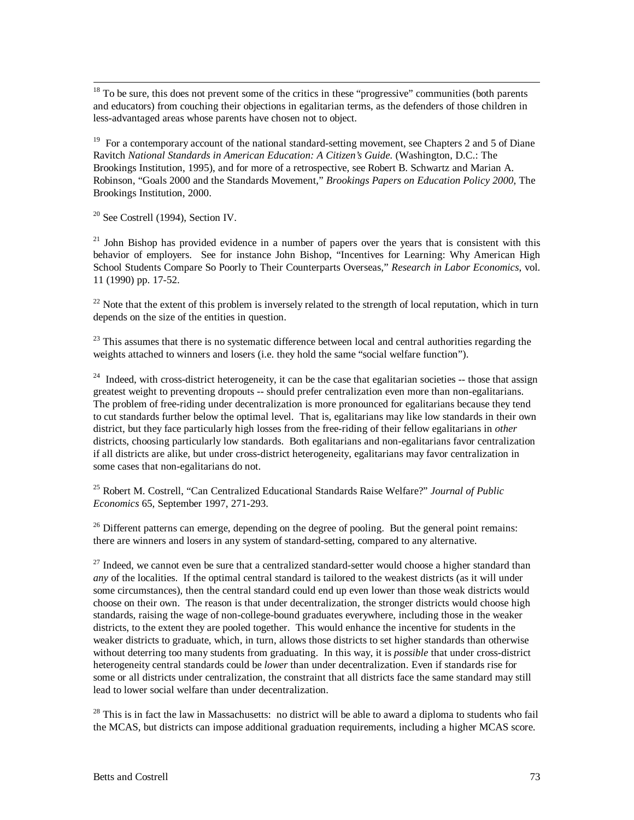$18$  To be sure, this does not prevent some of the critics in these "progressive" communities (both parents and educators) from couching their objections in egalitarian terms, as the defenders of those children in less-advantaged areas whose parents have chosen not to object.

<sup>19</sup> For a contemporary account of the national standard-setting movement, see Chapters 2 and 5 of Diane Ravitch *National Standards in American Education: A Citizen's Guide.* (Washington, D.C.: The Brookings Institution, 1995), and for more of a retrospective, see Robert B. Schwartz and Marian A. Robinson, "Goals 2000 and the Standards Movement," *Brookings Papers on Education Policy 2000*, The Brookings Institution, 2000.

 $20$  See Costrell (1994), Section IV.

 $21$  John Bishop has provided evidence in a number of papers over the years that is consistent with this behavior of employers. See for instance John Bishop, "Incentives for Learning: Why American High School Students Compare So Poorly to Their Counterparts Overseas," *Research in Labor Economics*, vol. 11 (1990) pp. 17-52.

 $^{22}$  Note that the extent of this problem is inversely related to the strength of local reputation, which in turn depends on the size of the entities in question.

 $^{23}$  This assumes that there is no systematic difference between local and central authorities regarding the weights attached to winners and losers (i.e. they hold the same "social welfare function").

<sup>24</sup> Indeed, with cross-district heterogeneity, it can be the case that egalitarian societies  $-$  those that assign greatest weight to preventing dropouts -- should prefer centralization even more than non-egalitarians. The problem of free-riding under decentralization is more pronounced for egalitarians because they tend to cut standards further below the optimal level. That is, egalitarians may like low standards in their own district, but they face particularly high losses from the free-riding of their fellow egalitarians in *other* districts, choosing particularly low standards. Both egalitarians and non-egalitarians favor centralization if all districts are alike, but under cross-district heterogeneity, egalitarians may favor centralization in some cases that non-egalitarians do not.

25 Robert M. Costrell, "Can Centralized Educational Standards Raise Welfare?" *Journal of Public Economics* 65, September 1997, 271-293.

 $^{26}$  Different patterns can emerge, depending on the degree of pooling. But the general point remains: there are winners and losers in any system of standard-setting, compared to any alternative.

 $27$  Indeed, we cannot even be sure that a centralized standard-setter would choose a higher standard than *any* of the localities. If the optimal central standard is tailored to the weakest districts (as it will under some circumstances), then the central standard could end up even lower than those weak districts would choose on their own. The reason is that under decentralization, the stronger districts would choose high standards, raising the wage of non-college-bound graduates everywhere, including those in the weaker districts, to the extent they are pooled together. This would enhance the incentive for students in the weaker districts to graduate, which, in turn, allows those districts to set higher standards than otherwise without deterring too many students from graduating. In this way, it is *possible* that under cross-district heterogeneity central standards could be *lower* than under decentralization. Even if standards rise for some or all districts under centralization, the constraint that all districts face the same standard may still lead to lower social welfare than under decentralization.

 $^{28}$  This is in fact the law in Massachusetts: no district will be able to award a diploma to students who fail the MCAS, but districts can impose additional graduation requirements, including a higher MCAS score.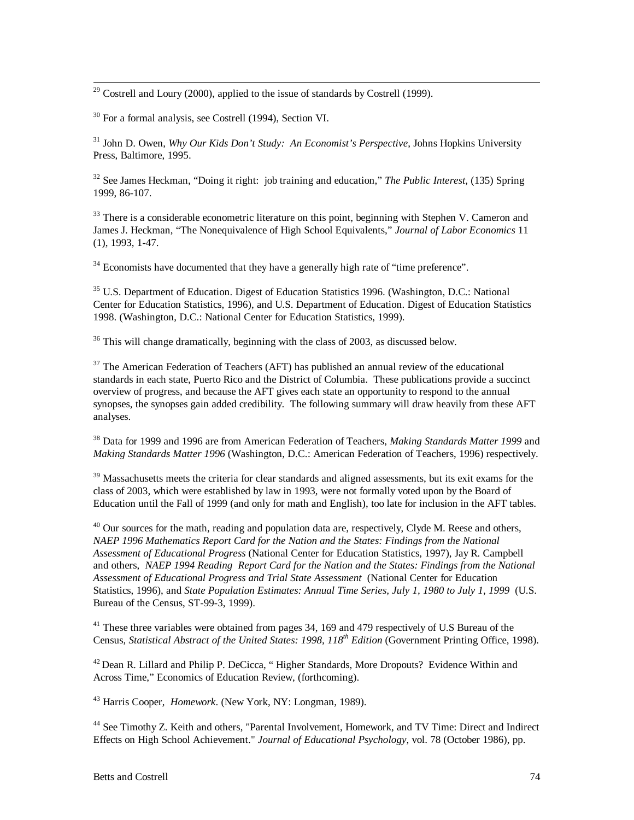<sup>29</sup> Costrell and Loury (2000), applied to the issue of standards by Costrell (1999).

30 For a formal analysis, see Costrell (1994), Section VI.

31 John D. Owen, *Why Our Kids Don't Study: An Economist's Perspective*, Johns Hopkins University Press, Baltimore, 1995.

32 See James Heckman, "Doing it right: job training and education," *The Public Interest*, (135) Spring 1999, 86-107.

<sup>33</sup> There is a considerable econometric literature on this point, beginning with Stephen V. Cameron and James J. Heckman, "The Nonequivalence of High School Equivalents," *Journal of Labor Economics* 11 (1), 1993, 1-47.

 $34$  Economists have documented that they have a generally high rate of "time preference".

 $35$  U.S. Department of Education. Digest of Education Statistics 1996. (Washington, D.C.: National Center for Education Statistics, 1996), and U.S. Department of Education. Digest of Education Statistics 1998. (Washington, D.C.: National Center for Education Statistics, 1999).

 $36$  This will change dramatically, beginning with the class of 2003, as discussed below.

 $37$  The American Federation of Teachers (AFT) has published an annual review of the educational standards in each state, Puerto Rico and the District of Columbia. These publications provide a succinct overview of progress, and because the AFT gives each state an opportunity to respond to the annual synopses, the synopses gain added credibility. The following summary will draw heavily from these AFT analyses.

38 Data for 1999 and 1996 are from American Federation of Teachers, *Making Standards Matter 1999* and *Making Standards Matter 1996* (Washington, D.C.: American Federation of Teachers, 1996) respectively.

<sup>39</sup> Massachusetts meets the criteria for clear standards and aligned assessments, but its exit exams for the class of 2003, which were established by law in 1993, were not formally voted upon by the Board of Education until the Fall of 1999 (and only for math and English), too late for inclusion in the AFT tables.

 $^{40}$  Our sources for the math, reading and population data are, respectively, Clyde M. Reese and others, *NAEP 1996 Mathematics Report Card for the Nation and the States: Findings from the National Assessment of Educational Progress* (National Center for Education Statistics, 1997), Jay R. Campbell and others, *NAEP 1994 Reading Report Card for the Nation and the States: Findings from the National Assessment of Educational Progress and Trial State Assessment* (National Center for Education Statistics, 1996), and *State Population Estimates: Annual Time Series, July 1, 1980 to July 1, 1999* (U.S. Bureau of the Census, ST-99-3, 1999).

 $41$ <sup>41</sup> These three variables were obtained from pages 34, 169 and 479 respectively of U.S Bureau of the Census, *Statistical Abstract of the United States: 1998, 118th Edition* (Government Printing Office, 1998).

 $42$  Dean R. Lillard and Philip P. DeCicca, "Higher Standards, More Dropouts? Evidence Within and Across Time," Economics of Education Review, (forthcoming).

43 Harris Cooper, *Homework*. (New York, NY: Longman, 1989).

44 See Timothy Z. Keith and others, "Parental Involvement, Homework, and TV Time: Direct and Indirect Effects on High School Achievement." *Journal of Educational Psychology*, vol. 78 (October 1986), pp.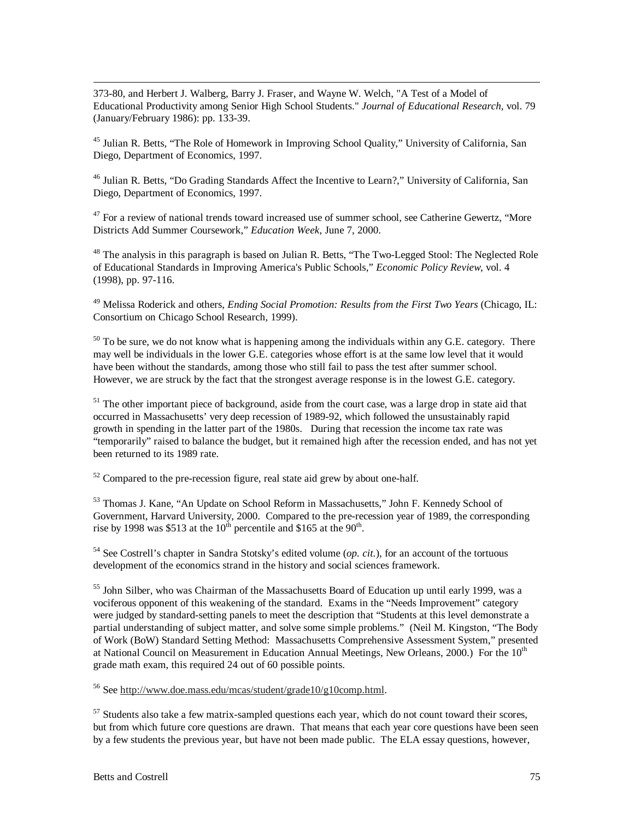373-80, and Herbert J. Walberg, Barry J. Fraser, and Wayne W. Welch, "A Test of a Model of Educational Productivity among Senior High School Students." *Journal of Educational Research*, vol. 79 (January/February 1986): pp. 133-39.

<sup>45</sup> Julian R. Betts, "The Role of Homework in Improving School Quality," University of California, San Diego, Department of Economics, 1997.

<sup>46</sup> Julian R. Betts, "Do Grading Standards Affect the Incentive to Learn?," University of California, San Diego, Department of Economics, 1997.

 $47$  For a review of national trends toward increased use of summer school, see Catherine Gewertz, "More Districts Add Summer Coursework," *Education Week*, June 7, 2000.

<sup>48</sup> The analysis in this paragraph is based on Julian R. Betts, "The Two-Legged Stool: The Neglected Role of Educational Standards in Improving America's Public Schools," *Economic Policy Review*, vol. 4 (1998), pp. 97-116.

49 Melissa Roderick and others, *Ending Social Promotion: Results from the First Two Years* (Chicago, IL: Consortium on Chicago School Research, 1999).

 $50$  To be sure, we do not know what is happening among the individuals within any G.E. category. There may well be individuals in the lower G.E. categories whose effort is at the same low level that it would have been without the standards, among those who still fail to pass the test after summer school. However, we are struck by the fact that the strongest average response is in the lowest G.E. category.

 $51$  The other important piece of background, aside from the court case, was a large drop in state aid that occurred in Massachusetts' very deep recession of 1989-92, which followed the unsustainably rapid growth in spending in the latter part of the 1980s. During that recession the income tax rate was "temporarily" raised to balance the budget, but it remained high after the recession ended, and has not yet been returned to its 1989 rate.

 $52$  Compared to the pre-recession figure, real state aid grew by about one-half.

53 Thomas J. Kane, "An Update on School Reform in Massachusetts," John F. Kennedy School of Government, Harvard University, 2000. Compared to the pre-recession year of 1989, the corresponding rise by 1998 was \$513 at the 10<sup>th</sup> percentile and \$165 at the 90<sup>th</sup>.

54 See Costrell's chapter in Sandra Stotsky's edited volume (*op. cit.*), for an account of the tortuous development of the economics strand in the history and social sciences framework.

<sup>55</sup> John Silber, who was Chairman of the Massachusetts Board of Education up until early 1999, was a vociferous opponent of this weakening of the standard. Exams in the "Needs Improvement" category were judged by standard-setting panels to meet the description that "Students at this level demonstrate a partial understanding of subject matter, and solve some simple problems." (Neil M. Kingston, "The Body of Work (BoW) Standard Setting Method: Massachusetts Comprehensive Assessment System," presented at National Council on Measurement in Education Annual Meetings, New Orleans, 2000.) For the 10<sup>th</sup> grade math exam, this required 24 out of 60 possible points.

56 See http://www.doe.mass.edu/mcas/student/grade10/g10comp.html.

 $57$  Students also take a few matrix-sampled questions each year, which do not count toward their scores, but from which future core questions are drawn. That means that each year core questions have been seen by a few students the previous year, but have not been made public. The ELA essay questions, however,

 $\overline{a}$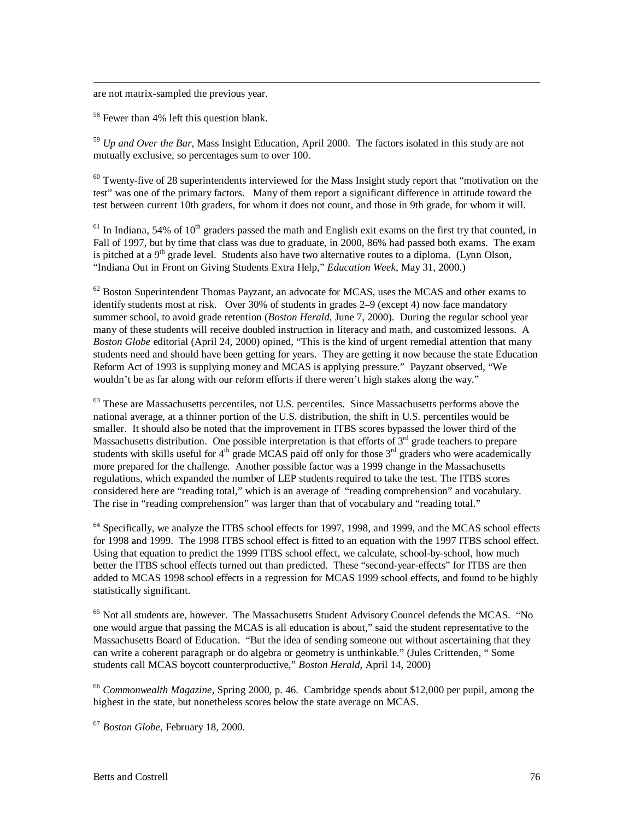are not matrix-sampled the previous year.

 $\overline{a}$ 

<sup>58</sup> Fewer than 4% left this question blank.

<sup>59</sup> *Up and Over the Bar*, Mass Insight Education, April 2000. The factors isolated in this study are not mutually exclusive, so percentages sum to over 100.

 $60$  Twenty-five of 28 superintendents interviewed for the Mass Insight study report that "motivation on the test" was one of the primary factors. Many of them report a significant difference in attitude toward the test between current 10th graders, for whom it does not count, and those in 9th grade, for whom it will.

 $61$  In Indiana, 54% of 10<sup>th</sup> graders passed the math and English exit exams on the first try that counted, in Fall of 1997, but by time that class was due to graduate, in 2000, 86% had passed both exams. The exam is pitched at a  $9<sup>th</sup>$  grade level. Students also have two alternative routes to a diploma. (Lynn Olson, "Indiana Out in Front on Giving Students Extra Help," *Education Week*, May 31, 2000.)

 $62$  Boston Superintendent Thomas Payzant, an advocate for MCAS, uses the MCAS and other exams to identify students most at risk. Over 30% of students in grades 2–9 (except 4) now face mandatory summer school, to avoid grade retention (*Boston Herald*, June 7, 2000). During the regular school year many of these students will receive doubled instruction in literacy and math, and customized lessons. A *Boston Globe* editorial (April 24, 2000) opined, "This is the kind of urgent remedial attention that many students need and should have been getting for years. They are getting it now because the state Education Reform Act of 1993 is supplying money and MCAS is applying pressure." Payzant observed, "We wouldn't be as far along with our reform efforts if there weren't high stakes along the way."

<sup>63</sup> These are Massachusetts percentiles, not U.S. percentiles. Since Massachusetts performs above the national average, at a thinner portion of the U.S. distribution, the shift in U.S. percentiles would be smaller. It should also be noted that the improvement in ITBS scores bypassed the lower third of the Massachusetts distribution. One possible interpretation is that efforts of  $3<sup>rd</sup>$  grade teachers to prepare students with skills useful for  $4<sup>th</sup>$  grade MCAS paid off only for those  $3<sup>rd</sup>$  graders who were academically more prepared for the challenge. Another possible factor was a 1999 change in the Massachusetts regulations, which expanded the number of LEP students required to take the test. The ITBS scores considered here are "reading total," which is an average of "reading comprehension" and vocabulary. The rise in "reading comprehension" was larger than that of vocabulary and "reading total."

<sup>64</sup> Specifically, we analyze the ITBS school effects for 1997, 1998, and 1999, and the MCAS school effects for 1998 and 1999. The 1998 ITBS school effect is fitted to an equation with the 1997 ITBS school effect. Using that equation to predict the 1999 ITBS school effect, we calculate, school-by-school, how much better the ITBS school effects turned out than predicted. These "second-year-effects" for ITBS are then added to MCAS 1998 school effects in a regression for MCAS 1999 school effects, and found to be highly statistically significant.

<sup>65</sup> Not all students are, however. The Massachusetts Student Advisory Councel defends the MCAS. "No one would argue that passing the MCAS is all education is about," said the student representative to the Massachusetts Board of Education. "But the idea of sending someone out without ascertaining that they can write a coherent paragraph or do algebra or geometry is unthinkable." (Jules Crittenden, " Some students call MCAS boycott counterproductive," *Boston Herald*, April 14, 2000)

<sup>66</sup> *Commonwealth Magazine*, Spring 2000, p. 46. Cambridge spends about \$12,000 per pupil, among the highest in the state, but nonetheless scores below the state average on MCAS.

<sup>67</sup> *Boston Globe*, February 18, 2000.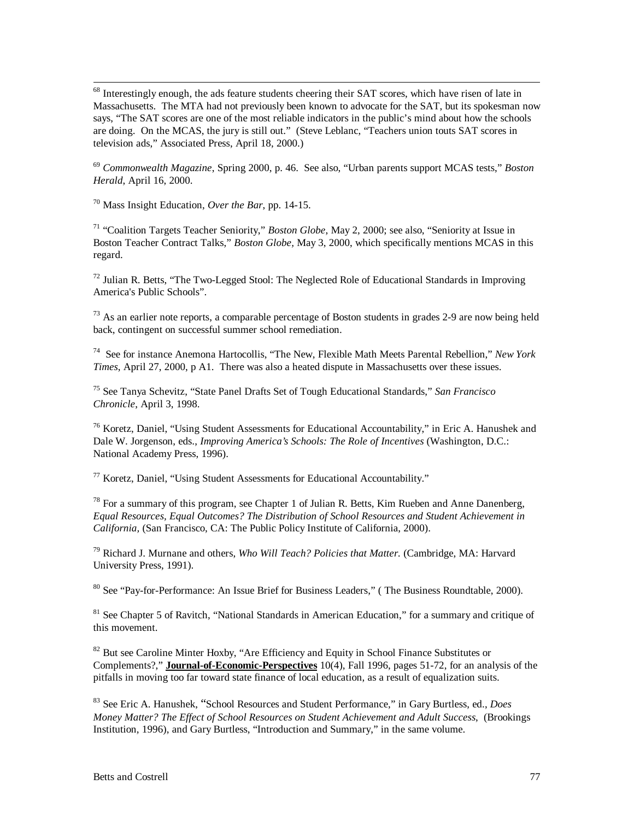<sup>68</sup> Interestingly enough, the ads feature students cheering their SAT scores, which have risen of late in Massachusetts. The MTA had not previously been known to advocate for the SAT, but its spokesman now says, "The SAT scores are one of the most reliable indicators in the public's mind about how the schools are doing. On the MCAS, the jury is still out." (Steve Leblanc, "Teachers union touts SAT scores in television ads," Associated Press, April 18, 2000.)

<sup>69</sup> *Commonwealth Magazine*, Spring 2000, p. 46. See also, "Urban parents support MCAS tests," *Boston Herald*, April 16, 2000.

70 Mass Insight Education, *Over the Bar*, pp. 14-15.

<sup>71</sup> "Coalition Targets Teacher Seniority," *Boston Globe*, May 2, 2000; see also, "Seniority at Issue in Boston Teacher Contract Talks," *Boston Globe,* May 3, 2000, which specifically mentions MCAS in this regard.

 $^{72}$  Julian R. Betts, "The Two-Legged Stool: The Neglected Role of Educational Standards in Improving America's Public Schools".

 $^{73}$  As an earlier note reports, a comparable percentage of Boston students in grades 2-9 are now being held back, contingent on successful summer school remediation.

74 See for instance Anemona Hartocollis, "The New, Flexible Math Meets Parental Rebellion," *New York Times*, April 27, 2000, p A1. There was also a heated dispute in Massachusetts over these issues.

75 See Tanya Schevitz, "State Panel Drafts Set of Tough Educational Standards," *San Francisco Chronicle*, April 3, 1998.

 $76$  Koretz, Daniel, "Using Student Assessments for Educational Accountability," in Eric A. Hanushek and Dale W. Jorgenson, eds., *Improving America's Schools: The Role of Incentives* (Washington, D.C.: National Academy Press, 1996).

 $77$  Koretz, Daniel, "Using Student Assessments for Educational Accountability."

 $78$  For a summary of this program, see Chapter 1 of Julian R. Betts, Kim Rueben and Anne Danenberg, *Equal Resources, Equal Outcomes? The Distribution of School Resources and Student Achievement in California,* (San Francisco, CA: The Public Policy Institute of California, 2000).

79 Richard J. Murnane and others, *Who Will Teach? Policies that Matter.* (Cambridge, MA: Harvard University Press, 1991).

 $80$  See "Pay-for-Performance: An Issue Brief for Business Leaders," (The Business Roundtable, 2000).

 $81$  See Chapter 5 of Ravitch, "National Standards in American Education," for a summary and critique of this movement.

 $82$  But see Caroline Minter Hoxby, "Are Efficiency and Equity in School Finance Substitutes or Complements?," **Journal-of-Economic-Perspectives** 10(4), Fall 1996, pages 51-72, for an analysis of the pitfalls in moving too far toward state finance of local education, as a result of equalization suits.

83 See Eric A. Hanushek, "School Resources and Student Performance," in Gary Burtless, ed., *Does Money Matter? The Effect of School Resources on Student Achievement and Adult Success*, (Brookings Institution, 1996), and Gary Burtless, "Introduction and Summary," in the same volume.